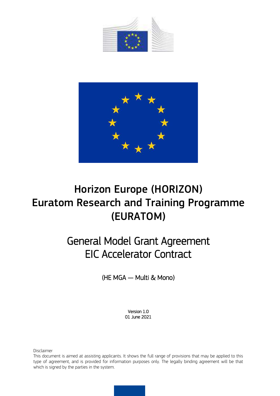



# Horizon Europe (HORIZON) Euratom Research and Training Programme (EURATOM)

# General Model Grant Agreement EIC Accelerator Contract

(HE MGA — Multi & Mono)

Version 1.0 01 June 2021

Disclaimer

This document is aimed at assisting applicants. It shows the full range of provisions that may be applied to this type of agreement, and is provided for information purposes only. The legally binding agreement will be that which is signed by the parties in the system.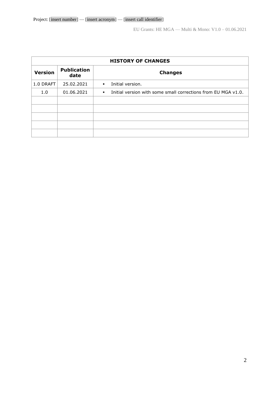| <b>HISTORY OF CHANGES</b> |                            |                                                                                 |  |  |  |  |
|---------------------------|----------------------------|---------------------------------------------------------------------------------|--|--|--|--|
| <b>Version</b>            | <b>Publication</b><br>date | <b>Changes</b>                                                                  |  |  |  |  |
| 1.0 DRAFT                 | 25.02.2021                 | Initial version.<br>$\blacksquare$                                              |  |  |  |  |
| 1.0                       | 01.06.2021                 | Initial version with some small corrections from EU MGA v1.0.<br>$\blacksquare$ |  |  |  |  |
|                           |                            |                                                                                 |  |  |  |  |
|                           |                            |                                                                                 |  |  |  |  |
|                           |                            |                                                                                 |  |  |  |  |
|                           |                            |                                                                                 |  |  |  |  |
|                           |                            |                                                                                 |  |  |  |  |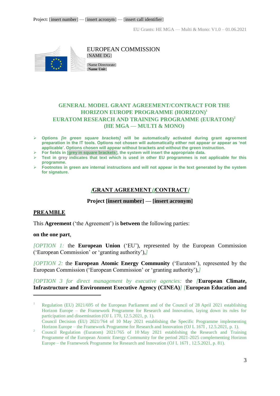

EUROPEAN COMMISSION [NAME DG]

[Name Directorate] [**Name Unit**]

# **GENERAL MODEL GRANT AGREEMENT/CONTRACT FOR THE HORIZON EUROPE PROGRAMME (HORIZON) 1 EURATOM RESEARCH AND TRAINING PROGRAMME (EURATOM) 2 (HE MGA — MULTI & MONO)**

- **Options** *[in green square brackets]* **will be automatically activated during grant agreement preparation in the IT tools. Options not chosen will automatically either not appear or appear as 'not applicable'. Options chosen will appear without brackets and without the green instruction.**
- **For fields in [grey in square brackets], the system will insert the appropriate data.**
- **Text in grey indicates that text which is used in other EU programmes is not applicable for this programme.**
- <span id="page-2-0"></span> **Footnotes in green are internal instructions and will not appear in the text generated by the system for signature.**

# **[GRANT AGREEMENT][CONTRACT]**

# **Project [insert number] — [insert acronym]**

## <span id="page-2-1"></span>**PREAMBLE**

This **Agreement** ('the Agreement') is **between** the following parties:

#### **on the one part**,

 $\overline{a}$ 

*[OPTION 1:* the **European Union** ('EU'), represented by the European Commission ('European Commission' or 'granting authority'),*]* 

*[OPTION 2:* the **European Atomic Energy Community** ('Euratom'), represented by the European Commission ('European Commission' or 'granting authority'),*]* 

*[OPTION 3 for direct management by executive agencies:* the *[***European Climate, Infrastructure and Environment Executive Agency (CINEA)***] [***European Education and** 

<sup>1</sup> Regulation (EU) 2021/695 of the European Parliament and of the Council of 28 April 2021 establishing Horizon Europe – the Framework Programme for Research and Innovation, laying down its rules for participation and dissemination (OJ L 170, 12.5.2021, p. 1).

Council Decision (EU) 2021/764 of 10 May 2021 establishing the Specific Programme implementing Horizon Europe – the Framework Programme for Research and Innovation (OJ L 167I , 12.5.2021, p. 1).

<sup>&</sup>lt;sup>2</sup> Council Regulation (Euratom)  $2021/765$  of 10 May 2021 establishing the Research and Training Programme of the European Atomic Energy Community for the period 2021-2025 complementing Horizon Europe – the Framework Programme for Research and Innovation (OJ L 167I , 12.5.2021, p. 81).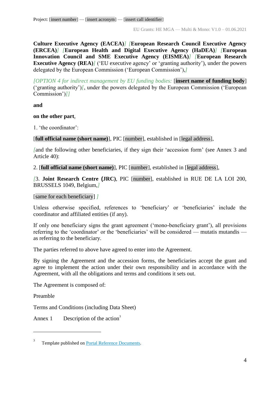**Culture Executive Agency (EACEA)***] [***European Research Council Executive Agency (ERCEA)***] [***European Health and Digital Executive Agency (HaDEA)***] [***European Innovation Council and SME Executive Agency (EISMEA)***] [***European Research Executive Agency (REA)<sup>***]* **('EU executive agency' or 'granting authority'), under the powers**</sup> delegated by the European Commission ('European Commission'),*]*

*[OPTION 4 for indirect management by EU funding bodies:* [**insert name of funding body**] ('granting authority')*[*, under the powers delegated by the European Commission ('European Commission')*]]*

**and** 

## **on the other part**,

1. 'the coordinator':

[**full official name (short name)**], PIC [number], established in [legal address],

*[*and the following other beneficiaries, if they sign their 'accession form' (see Annex 3 and Article 40):

2. [**full official name (short name)**], PIC [number], established in [legal address],

*[*3. **Joint Research Centre (JRC)**, PIC [number], established in RUE DE LA LOI 200, BRUSSELS 1049, Belgium,*]*

[same for each beneficiary] *]*

Unless otherwise specified, references to 'beneficiary' or 'beneficiaries' include the coordinator and affiliated entities (if any).

If only one beneficiary signs the grant agreement ('mono-beneficiary grant'), all provisions referring to the 'coordinator' or the 'beneficiaries' will be considered — mutatis mutandis as referring to the beneficiary.

The parties referred to above have agreed to enter into the Agreement.

By signing the Agreement and the accession forms, the beneficiaries accept the grant and agree to implement the action under their own responsibility and in accordance with the Agreement, with all the obligations and terms and conditions it sets out.

The Agreement is composed of:

Preamble

 $\overline{a}$ 

Terms and Conditions (including Data Sheet)

Annex 1 Description of the action<sup>3</sup>

<sup>3</sup> Template published on [Portal Reference Documents.](https://ec.europa.eu/info/funding-tenders/opportunities/portal/screen/how-to-participate/reference-documents)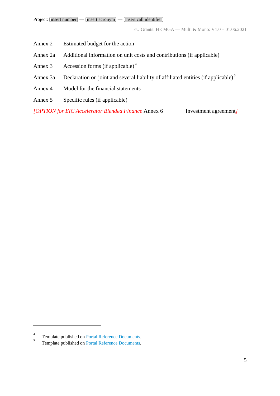- Annex 2 Estimated budget for the action
- Annex 2a Additional information on unit costs and contributions (if applicable)
- Annex 3 Accession forms (if applicable)<sup>4</sup>
- Annex 3a Declaration on joint and several liability of affiliated entities (if applicable)<sup>5</sup>
- Annex 4 Model for the financial statements
- Annex 5 Specific rules (if applicable)

*[OPTION for EIC Accelerator Blended Finance* Annex 6 Investment agreement*]*

<sup>4</sup> Template published on [Portal Reference Documents.](https://ec.europa.eu/info/funding-tenders/opportunities/portal/screen/how-to-participate/reference-documents)

<sup>5</sup> Template published on [Portal Reference Documents.](https://ec.europa.eu/info/funding-tenders/opportunities/portal/screen/how-to-participate/reference-documents)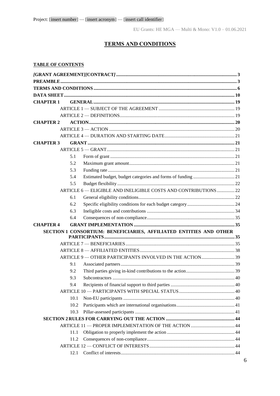# **TERMS AND CONDITIONS**

## <span id="page-5-0"></span>**TABLE OF CONTENTS**

| <b>CHAPTER 1</b> |      |                                                                    |  |
|------------------|------|--------------------------------------------------------------------|--|
|                  |      |                                                                    |  |
|                  |      |                                                                    |  |
| <b>CHAPTER 2</b> |      |                                                                    |  |
|                  |      |                                                                    |  |
|                  |      |                                                                    |  |
| <b>CHAPTER 3</b> |      |                                                                    |  |
|                  |      |                                                                    |  |
|                  | 5.1  |                                                                    |  |
|                  | 5.2  |                                                                    |  |
|                  | 5.3  |                                                                    |  |
|                  | 5.4  |                                                                    |  |
|                  | 5.5  |                                                                    |  |
|                  |      | ARTICLE 6 - ELIGIBLE AND INELIGIBLE COSTS AND CONTRIBUTIONS  22    |  |
|                  | 6.1  |                                                                    |  |
|                  | 6.2  |                                                                    |  |
|                  | 6.3  |                                                                    |  |
|                  | 6.4  |                                                                    |  |
| <b>CHAPTER 4</b> |      |                                                                    |  |
|                  |      | SECTION 1 CONSORTIUM: BENEFICIARIES, AFFILIATED ENTITIES AND OTHER |  |
|                  |      |                                                                    |  |
|                  |      |                                                                    |  |
|                  |      |                                                                    |  |
|                  | 9.1  |                                                                    |  |
|                  | 9.2  |                                                                    |  |
|                  | 9.3  |                                                                    |  |
|                  | 9.4  |                                                                    |  |
|                  |      |                                                                    |  |
|                  | 10.1 |                                                                    |  |
|                  | 10.2 |                                                                    |  |
|                  | 10.3 |                                                                    |  |
|                  |      |                                                                    |  |
|                  |      |                                                                    |  |
|                  | 11.1 |                                                                    |  |
|                  | 11.2 |                                                                    |  |
|                  |      |                                                                    |  |
|                  | 12.1 |                                                                    |  |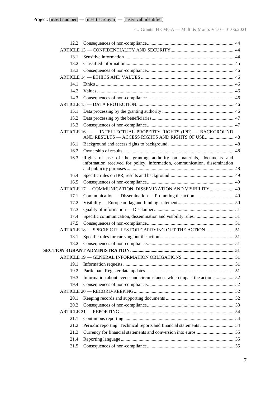| 12.2        |                                                                                                                                                   |  |
|-------------|---------------------------------------------------------------------------------------------------------------------------------------------------|--|
|             |                                                                                                                                                   |  |
| 13.1        |                                                                                                                                                   |  |
| 13.2        |                                                                                                                                                   |  |
| 13.3        |                                                                                                                                                   |  |
|             |                                                                                                                                                   |  |
| 14.1        |                                                                                                                                                   |  |
| 142         |                                                                                                                                                   |  |
| 14.3        |                                                                                                                                                   |  |
|             |                                                                                                                                                   |  |
| 15.1        |                                                                                                                                                   |  |
| 15.2        |                                                                                                                                                   |  |
| 15.3        |                                                                                                                                                   |  |
| ARTICLE 16- | INTELLECTUAL PROPERTY RIGHTS (IPR) - BACKGROUND<br>AND RESULTS - ACCESS RIGHTS AND RIGHTS OF USE 48                                               |  |
| 16.1        |                                                                                                                                                   |  |
| 16.2        |                                                                                                                                                   |  |
| 16.3        | Rights of use of the granting authority on materials, documents and<br>information received for policy, information, communication, dissemination |  |
| 16.4        |                                                                                                                                                   |  |
| 16.5        |                                                                                                                                                   |  |
|             | ARTICLE 17 - COMMUNICATION, DISSEMINATION AND VISIBILITY  49                                                                                      |  |
| 17.1        |                                                                                                                                                   |  |
| 17.2        |                                                                                                                                                   |  |
| 17.3        |                                                                                                                                                   |  |
| 17.4        |                                                                                                                                                   |  |
| 17.5        |                                                                                                                                                   |  |
|             | ARTICLE 18 - SPECIFIC RULES FOR CARRYING OUT THE ACTION  51                                                                                       |  |
| 18.1        |                                                                                                                                                   |  |
| 18.2        |                                                                                                                                                   |  |
|             |                                                                                                                                                   |  |
|             |                                                                                                                                                   |  |
| 19.1        |                                                                                                                                                   |  |
| 19.2        |                                                                                                                                                   |  |
| 19.3        | Information about events and circumstances which impact the action 52                                                                             |  |
| 19.4        |                                                                                                                                                   |  |
|             |                                                                                                                                                   |  |
| 20.1        |                                                                                                                                                   |  |
| 20.2        |                                                                                                                                                   |  |
|             |                                                                                                                                                   |  |
| 21.1        |                                                                                                                                                   |  |
| 21.2        | Periodic reporting: Technical reports and financial statements 54                                                                                 |  |
| 21.3        |                                                                                                                                                   |  |
| 21.4        |                                                                                                                                                   |  |
| 21.5        |                                                                                                                                                   |  |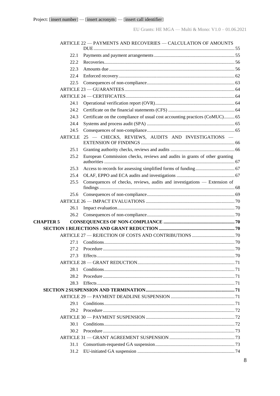|                  | ARTICLE 22 - PAYMENTS AND RECOVERIES - CALCULATION OF AMOUNTS               |  |
|------------------|-----------------------------------------------------------------------------|--|
|                  |                                                                             |  |
| 22.1             |                                                                             |  |
| 22.2             |                                                                             |  |
| 22.3             |                                                                             |  |
| 22.4             |                                                                             |  |
| 22.5             |                                                                             |  |
|                  |                                                                             |  |
|                  |                                                                             |  |
| 24.1             |                                                                             |  |
| 24.2             |                                                                             |  |
| 24.3             | Certificate on the compliance of usual cost accounting practices (CoMUC) 65 |  |
| 24.4             |                                                                             |  |
| 24.5             |                                                                             |  |
| <b>ARTICLE</b>   | 25 - CHECKS, REVIEWS, AUDITS AND INVESTIGATIONS -                           |  |
| 25.1             |                                                                             |  |
| 25.2             | European Commission checks, reviews and audits in grants of other granting  |  |
| 25.3             |                                                                             |  |
| 25.4             |                                                                             |  |
| 25.5             | Consequences of checks, reviews, audits and investigations — Extension of   |  |
| 25.6             |                                                                             |  |
|                  |                                                                             |  |
| 26.1             |                                                                             |  |
| 26.2             |                                                                             |  |
| <b>CHAPTER 5</b> |                                                                             |  |
|                  |                                                                             |  |
|                  |                                                                             |  |
| 27.1             |                                                                             |  |
|                  |                                                                             |  |
| 27.3             |                                                                             |  |
|                  |                                                                             |  |
| 28.1             |                                                                             |  |
| 28.2             |                                                                             |  |
| 28.3             |                                                                             |  |
|                  |                                                                             |  |
|                  |                                                                             |  |
| 29.1             |                                                                             |  |
|                  |                                                                             |  |
|                  |                                                                             |  |
| 30.1             |                                                                             |  |
| 30.2             |                                                                             |  |
|                  |                                                                             |  |
| 31.1             |                                                                             |  |
| 31.2             |                                                                             |  |
|                  |                                                                             |  |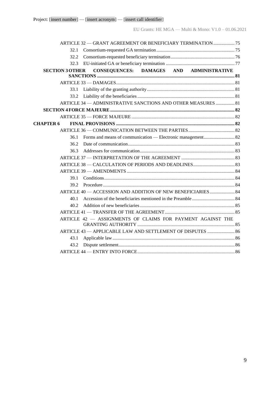|                        | ARTICLE 32 - GRANT AGREEMENT OR BENEFICIARY TERMINATION  75  |  |
|------------------------|--------------------------------------------------------------|--|
| 32.1                   |                                                              |  |
| 32.2.                  |                                                              |  |
| 32.3                   |                                                              |  |
| <b>SECTION 3 OTHER</b> | CONSEQUENCES: DAMAGES AND ADMINISTRATIVE                     |  |
|                        |                                                              |  |
|                        |                                                              |  |
| 33.1                   |                                                              |  |
| 33.2                   |                                                              |  |
|                        | ARTICLE 34 - ADMINISTRATIVE SANCTIONS AND OTHER MEASURES  81 |  |
|                        |                                                              |  |
|                        |                                                              |  |
| <b>CHAPTER 6</b>       |                                                              |  |
|                        |                                                              |  |
| 36.1                   |                                                              |  |
| 36.2                   |                                                              |  |
| 36.3                   |                                                              |  |
|                        |                                                              |  |
|                        |                                                              |  |
|                        |                                                              |  |
| 39.1                   |                                                              |  |
| 39.2                   |                                                              |  |
|                        | ARTICLE 40 - ACCESSION AND ADDITION OF NEW BENEFICIARIES  84 |  |
| 40.1                   |                                                              |  |
| 40.2                   |                                                              |  |
|                        |                                                              |  |
|                        | ARTICLE 42 - ASSIGNMENTS OF CLAIMS FOR PAYMENT AGAINST THE   |  |
|                        | ARTICLE 43 - APPLICABLE LAW AND SETTLEMENT OF DISPUTES  86   |  |
| 43.1                   |                                                              |  |
| 43.2                   |                                                              |  |
|                        |                                                              |  |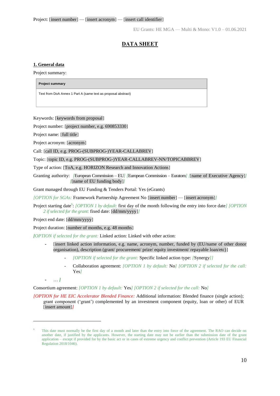# **DATA SHEET**

#### <span id="page-9-0"></span>**1. General data**

Project summary:

**Project summary** 

Text from DoA Annex 1 Part A (same text as proposal abstract)

Keywords: [keywords from proposal]

Project number: [project number, e.g. 690853330]

Project name: [full title]

Project acronym: [acronym]

Call: [call ID, e.g. PROG-(SUBPROG-)YEAR-CALLABREV]

Topic: [topic ID, e.g. PROG-(SUBPROG-)YEAR-CALLABREV-NN/TOPICABBREV]

Type of action: [ToA, e.g. HORIZON Research and Innovation Actions]

Granting authority: *[European Commission – EU] [European Commission – Euratom] [finame of Executive Agency]] [*[name of EU funding body]*]*

Grant managed through EU Funding & Tenders Portal: Yes (eGrants)

*[OPTION for SGAs:* Framework Partnership Agreement No [insert number] — [insert acronym]*]*

Project starting date<sup>6</sup>: *[OPTION 1 by default:* first day of the month following the entry into force date*] [OPTION 2 if selected for the grant:* fixed date: [dd/mm/yyyy]*]*

Project end date: [dd/mm/yyyy]

Project duration: [number of months, e.g. 48 months]

*[OPTION if selected for the grant:* Linked action: Linked with other action:

- **-** [insert linked action information, e.g. name, acronym, number, funded by (EU/name of other donor organisation), description (grant/ procurement/ prize/ equity investment/ repayable loan/etc)]
	- *[OPTION if selected for the grant:* Specific linked action type: *[*Synergy*]]*
	- Collaboration agreement: *[OPTION 1 by default:* No*] [OPTION 2 if selected for the call:*  Yes*]*

**-** … *]*

 $\overline{a}$ 

Consortium agreement: *[OPTION 1 by default:* Yes*] [OPTION 2 if selected for the call:* No*]*

*[OPTION for HE EIC Accelerator Blended Finance:* Additional information: Blended finance (single action); grant component ('grant') complemented by an investment component (equity, loan or other) of EUR [insert amount]*]*

This date must normally be the first day of a month and later than the entry into force of the agreement. The RAO can decide on another date, if justified by the applicants. However, the starting date may not be earlier than the submission date of the grant application – except if provided for by the basic act or in cases of extreme urgency and conflict prevention (Article 193 EU Financial Regulation 2018/1046).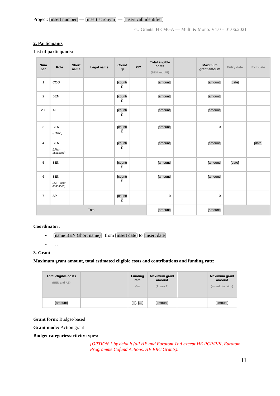Project: [insert number] — [insert acronym] — [insert call identifier]

EU Grants: HE MGA — Multi & Mono: V1.0 – 01.06.2021

## **2. Participants**

#### **List of participants:**

| <b>Num</b><br>ber | Role                                    | <b>Short</b><br>name | Legal name | Count<br>ry   | <b>PIC</b> | <b>Total eligible</b><br>costs<br>(BEN and AE) |  | <b>Maximum</b><br>grant amount | Entry date | Exit date |
|-------------------|-----------------------------------------|----------------------|------------|---------------|------------|------------------------------------------------|--|--------------------------------|------------|-----------|
| $\mathbf{1}$      | COO                                     |                      |            | [countr<br>y] |            | [amount]                                       |  | [amount]                       | [date]     |           |
| $\overline{2}$    | <b>BEN</b>                              |                      |            | [countr<br>y] |            | [amount]                                       |  | [amount]                       |            |           |
| 2.1               | AE                                      |                      |            | [countr<br>y] |            | [amount]                                       |  | [amount]                       |            |           |
| 3                 | <b>BEN</b><br>(UTRO)                    |                      |            | [countr<br>y] |            | [amount]                                       |  | $\mathsf 0$                    |            |           |
| 4                 | <b>BEN</b><br>(pillar-<br>assessed)     |                      |            | [countr<br>y] |            | [amount]                                       |  | [amount]                       |            | [date]    |
| 5                 | <b>BEN</b>                              |                      |            | [countr<br>y] |            | [amount]                                       |  | [amount]                       | [date]     |           |
| 6                 | <b>BEN</b><br>(IO, pillar-<br>assessed) |                      |            | [countr<br>y] |            | [amount]                                       |  | [amount]                       |            |           |
| $\overline{7}$    | AP                                      |                      |            | [countr<br>y] |            | $\mathsf 0$                                    |  | $\pmb{0}$                      |            |           |
| Total             |                                         |                      | [amount]   |               | [amount]   |                                                |  |                                |            |           |

### **Coordinator:**

**-** [name BEN (short name)]: from [insert date] to [insert date]

**-** …

## **3. Grant**

#### **Maximum grant amount, total estimated eligible costs and contributions and funding rate:**

| Total eligible costs<br>(BEN and AE) | <b>Funding</b><br>rate<br>$(\% )$ | <b>Maximum</b> grant<br>amount<br>(Annex 2) | Maximum grant<br>amount<br>(award decision) |
|--------------------------------------|-----------------------------------|---------------------------------------------|---------------------------------------------|
| [amount]                             | $[] , []$                         | [amount]                                    | [amount]                                    |

**Grant form:** Budget-based

**Grant mode:** Action grant

**Budget categories/activity types:**

*[OPTION 1 by default (all HE and Euratom ToA except HE PCP/PPI, Euratom Programme Cofund Actions, HE ERC Grants):*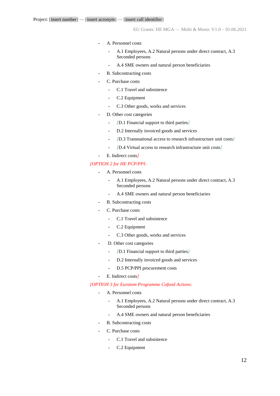- **-** A. Personnel costs
	- **-** A.1 Employees, A.2 Natural persons under direct contract, A.3 Seconded persons
	- **-** A.4 SME owners and natural person beneficiaries
- **-** B. Subcontracting costs
- **-** C. Purchase costs
	- **-** C.1 Travel and subsistence
	- **-** C.2 Equipment
	- **-** C.3 Other goods, works and services
- **-** D. Other cost categories
	- **-** *[*D.1 Financial support to third parties*]*
	- **-** D.2 Internally invoiced goods and services
	- **-** *[*D.3 Transnational access to research infrastructure unit costs*]*
	- **-** *[*D.4 Virtual access to research infrastructure unit costs*]*
- **-** E. Indirect costs*]*

#### *[OPTION 2 for HE PCP/PPI:*

- **-** A. Personnel costs
	- **-** A.1 Employees, A.2 Natural persons under direct contract, A.3 Seconded persons
	- **-** A.4 SME owners and natural person beneficiaries
- **-** B. Subcontracting costs
- **-** C. Purchase costs
	- **-** C.1 Travel and subsistence
	- **-** C.2 Equipment
	- **-** C.3 Other goods, works and services
- **-** D. Other cost categories
	- **-** *[*D.1 Financial support to third parties*]*
	- **-** D.2 Internally invoiced goods and services
	- **-** D.5 PCP/PPI procurement costs
- **-** E. Indirect costs*]*

*[OPTION 3 for Euratom Programme Cofund Actions:*

- **-** A. Personnel costs
	- **-** A.1 Employees, A.2 Natural persons under direct contract, A.3 Seconded persons
	- **-** A.4 SME owners and natural person beneficiaries
- **-** B. Subcontracting costs
- **-** C. Purchase costs
	- **-** C.1 Travel and subsistence
	- **-** C.2 Equipment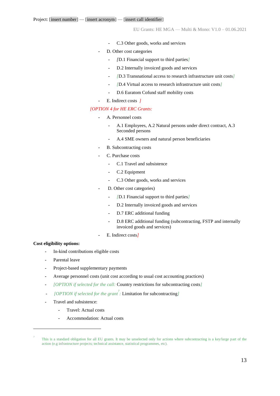- **-** C.3 Other goods, works and services
- **-** D. Other cost categories
	- **-** *[*D.1 Financial support to third parties*]*
	- **-** D.2 Internally invoiced goods and services
	- **-** *[*D.3 Transnational access to research infrastructure unit costs*]*
	- **-** *[*D.4 Virtual access to research infrastructure unit costs*]*
	- **-** D.6 Euratom Cofund staff mobility costs
- **-** E. Indirect costs *]*

#### *[OPTION 4 for HE ERC Grants:*

- **-** A. Personnel costs
	- **-** A.1 Employees, A.2 Natural persons under direct contract, A.3 Seconded persons
	- **-** A.4 SME owners and natural person beneficiaries
- **-** B. Subcontracting costs
- **-** C. Purchase costs
	- **-** C.1 Travel and subsistence
	- **-** C.2 Equipment
	- **-** C.3 Other goods, works and services
- **-** D. Other cost categories)
	- **-** *[*D.1 Financial support to third parties*]*
	- **-** D.2 Internally invoiced goods and services
	- **-** D.7 ERC additional funding
	- **-** D.8 ERC additional funding (subcontracting, FSTP and internally invoiced goods and services)
- **-** E. Indirect costs*]*

#### **Cost eligibility options:**

- **-** In-kind contributions eligible costs
- **-** Parental leave
- **-** Project-based supplementary payments
- **-** Average personnel costs (unit cost according to usual cost accounting practices)
- **-** *[OPTION if selected for the call:* Country restrictions for subcontracting costs*]*
- *[OPTION if selected for the grant<sup>7</sup> :* Limitation for subcontracting*]*
- **-** Travel and subsistence:
	- **-** Travel: Actual costs
	- **-** Accommodation: Actual costs

This is a standard obligation for all EU grants. It may be unselected only for actions where subcontracting is a key/large part of the action (e.g infrastructure projects; technical assistance, statistical programmes, etc).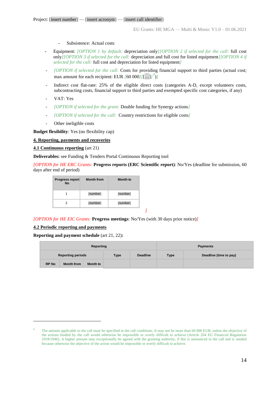- **-** Subsistence: Actual costs
- **-** Equipment: *[OPTION 1 by default:* depreciation only*][OPTION 2 if selected for the call:* full cost only*][OPTION 3 if selected for the call:* depreciation and full cost for listed equipment*][OPTION 4 if selected for the call:* full cost and depreciation for listed equipment*]*
- *[OPTION if selected for the call:* Costs for providing financial support to third parties (actual cost; max amount for each recipient: EUR  $[60 000]/[...]^{8}$
- Indirect cost flat-rate: 25% of the eligible direct costs (categories A-D, except volunteers costs, subcontracting costs, financial support to third parties and exempted specific cost categories, if any)
- VAT: Yes
- *[OPTION if selected for the grant:* Double funding for Synergy actions*]*
- *[OPTION if selected for the call:* Country restrictions for eligible costs*]*
- Other ineligible costs

**Budget flexibility**: Yes (no flexibility cap)

#### **4. Reporting, payments and recoveries**

#### **4.1 Continuous reporting** (art 21)

**Deliverables:** see Funding & Tenders Portal Continuous Reporting tool

*[OPTION for HE ERC Grants:* **Progress reports (ERC Scientific report)**: No/Yes (deadline for submission, 60 days after end of period)

| <b>Progress report</b><br><b>No</b> | <b>Month from</b> | Month to |
|-------------------------------------|-------------------|----------|
|                                     | [number]          | [number] |
| 2                                   | [number]          | [number] |

#### *[OPTION for HE EIC Grants:* **Progress meetings**: No/Yes (with 30 days prior notice)*]*

#### **4.2 Periodic reporting and payments**

 $\overline{a}$ 

**Reporting and payment schedule** (art 21, 22)**:**

|                          |                   | Reporting |             |                 | <b>Payments</b> |                        |
|--------------------------|-------------------|-----------|-------------|-----------------|-----------------|------------------------|
| <b>Reporting periods</b> |                   |           | <b>Type</b> | <b>Deadline</b> | <b>Type</b>     | Deadline (time to pay) |
| <b>RP No</b>             | <b>Month from</b> | Month to  |             |                 |                 |                        |

*]*

The amount applicable to the call must be specified in the call conditions. It may not be more than 60 000 EUR, unless the objective of the actions funded by the call would otherwise be impossible or overly difficult to achieve (Article 204 EU Financial Regulation 2018/1046). A higher amount may exceptionally be agreed with the granting authority, if this is announced in the call and is needed because otherwise the objective of the action would be impossible or overly difficult to achieve.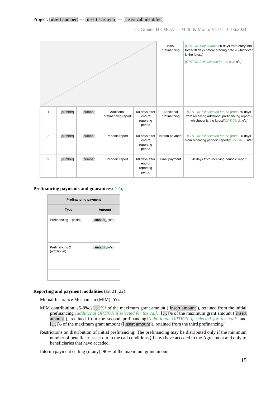|                |          |          |                                   | Initial<br>prefinancing                        | [OPTION 1 by default: 30 days from entry into<br>force/10 days before starting date - whichever<br>is the latest]<br>[OPTION 2: if selected for the call: n/a] |                                                                                                                                            |
|----------------|----------|----------|-----------------------------------|------------------------------------------------|----------------------------------------------------------------------------------------------------------------------------------------------------------------|--------------------------------------------------------------------------------------------------------------------------------------------|
| 1              | [number] | [number] | Additional<br>prefinancing report | 60 days after<br>end of<br>reporting<br>period | Additional<br>prefinancing                                                                                                                                     | [OPTION 1 if selected for the grant: 60 days<br>from receiving additional prefinancing report -<br>whichever is the latest/[OPTION 2: n/a] |
| $\overline{2}$ | [number] | [number] | Periodic report                   | 60 days after<br>end of<br>reporting<br>period | Interim payment                                                                                                                                                | [OPTION 1 if selected for the grant: 90 days<br>from receiving periodic report <i>[OPTION 2: n/a]</i>                                      |
| 3              | [number] | [number] | Periodic report                   | 60 days after<br>end of<br>reporting<br>period | Final payment                                                                                                                                                  | 90 days from receiving periodic report                                                                                                     |

#### **Prefinancing payments and guarantees:** *[*n/a*]*

| <b>Prefinancing payment</b>    |                 |  |  |  |  |  |
|--------------------------------|-----------------|--|--|--|--|--|
| <b>Type</b>                    | <b>Amount</b>   |  |  |  |  |  |
| Prefinancing 1 (initial)       | [amount]] [n/a] |  |  |  |  |  |
| Prefinancing 2<br>(additional) | [amount]]/n/a]  |  |  |  |  |  |

#### **Reporting and payment modalities** (art 21, 22)**:**

Mutual Insurance Mechanism (MIM): Yes

- MIM contribution: *[*5-8%*][*[…]%*]* of the maximum grant amount ([insert amount]), retained from the initial prefinancing *[additional OPTION if selected for the call:*, […]% of the maximum grant amount ([insert amount]), retained from the second prefinancing*][additional OPTION if selected for the call:* and […]% of the maximum grant amount ([insert amount]), retained from the third prefinancing*]*
- Restrictions on distribution of initial prefinancing: The prefinancing may be distributed only if the minimum number of beneficiaries set out in the call conditions (if any) have acceded to the Agreement and only to beneficiaries that have acceded.

Interim payment ceiling (if any): 90% of the maximum grant amount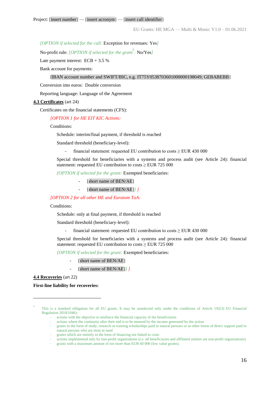*[OPTION if selected for the call:* Exception for revenues: Yes*]*

No-profit rule: *[OPTION if selected for the grant<sup>9</sup>*: **No/Yes***]* 

Late payment interest:  $ECB + 3.5\%$ 

Bank account for payments:

#### [IBAN account number and SWIFT/BIC, e.g. IT75Y0538703601000000198049; GEBABEBB]

Conversion into euros: Double conversion

Reporting language: Language of the Agreement

#### **4.3 Certificates** (art 24)

Certificates on the financial statements (CFS):

*[OPTION 1 for HE EIT KIC Actions:* 

Conditions:

Schedule: interim/final payment, if threshold is reached

Standard threshold (beneficiary-level):

- financial statement: requested EU contribution to costs ≥ EUR 430 000

Special threshold for beneficiaries with a systems and process audit (see Article 24): financial statement: requested EU contribution to costs  $\geq$  EUR 725 000

*[OPTION if selected for the grant:* Exempted beneficiaries:

- [short name of BEN/AE]
- [short name of BEN/AE]] *]*

*[OPTION 2 for all other HE and Euratom ToA:*

#### Conditions:

Schedule: only at final payment, if threshold is reached

Standard threshold (beneficiary-level):

- financial statement: requested EU contribution to costs  $\geq$  EUR 430 000

Special threshold for beneficiaries with a systems and process audit (see Article 24): financial statement: requested EU contribution to costs  $\geq$  EUR 725 000

*[OPTION if selected for the grant:* Exempted beneficiaries:

- [short name of BEN/AE]
- [short name of BEN/AE]*] ]*

**4.4 Recoveries** (art 22)

 $\overline{a}$ 

**First-line liability for recoveries:**

- grants which are entirely in the form of financing not linked to costs
- actions implemented only by non-profit organisations (i.e. all beneficiaries and affiliated entities are non-profit organisations)
- grants with a maximum amount of not more than EUR 60 000 (low value grants).

<sup>9</sup> This is a standard obligation for all EU grants. It may be unselected only under the conditions of Article 192(3) EU Financial Regulation 2018/1046):

<sup>-</sup> actions with the objective to reinforce the financial capacity of the beneficiaries

<sup>-</sup> actions where the continuity after their end is to be ensured by the income generated by the action

<sup>-</sup> grants in the form of study, research or training scholarships paid to natural persons or as other forms of direct support paid to natural persons who are most in need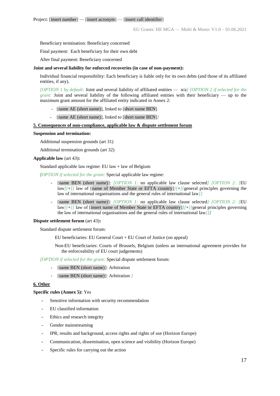Beneficiary termination: Beneficiary concerned

Final payment: Each beneficiary for their own debt

After final payment: Beneficiary concerned

#### **Joint and several liability for enforced recoveries (in case of non-payment):**

Individual financial responsibility: Each beneficiary is liable only for its own debts (and those of its affiliated entities, if any).

*[OPTION 1 by default:* Joint and several liability of affiliated entities — n/a*] [OPTION 2 if selected for the grant:* Joint and several liability of the following affiliated entities with their beneficiary — up to the maximum grant amount for the affiliated entity indicated in Annex 2:

- [name AE (short name)], linked to [short name BEN]
- [name AE (short name)], linked to [short name BEN]*]*

#### **5. Consequences of non-compliance, applicable law & dispute settlement forum**

#### **Suspension and termination:**

Additional suspension grounds (art 31)

Additional termination grounds (art 32)

#### **Applicable law** (art 43)**:**

Standard applicable law regime: EU law + law of Belgium

*[OPTION if selected for the grant:* Special applicable law regime:

- [name BEN (short name)]: *[OPTION 1:* no applicable law clause selected] *[OPTION 2: [EU*] law*][*+*][* law of [name of Member State or EFTA country]*][*+*][*general principles governing the law of international organisations and the general rules of international law*]]*
- [name BEN (short name)]: *[OPTION 1:* no applicable law clause selected] *[OPTION 2: [EU*] law*][*+*][* law of [insert name of Member State or EFTA country]*][*+*][*general principles governing the law of international organisations and the general rules of international law*]]]*

#### **Dispute settlement forum** (art 43)**:**

Standard dispute settlement forum:

EU beneficiaries: EU General Court + EU Court of Justice (on appeal)

Non-EU beneficiaries: Courts of Brussels, Belgium (unless an international agreement provides for the enforceability of EU court judgements)

*[OPTION if selected for the grant:* Special dispute settlement forum:

- [name BEN (short name)]: Arbitration
- [name BEN (short name)]: Arbitration *]*

#### **6. Other**

#### **Specific rules (Annex 5):** Yes

- **-** Sensitive information with security recommendation
- **-** EU classified information
- **-** Ethics and research integrity
- **-** Gender mainstreaming
- **-** IPR, results and background, access rights and rights of use (Horizon Europe)
- **-** Communication, dissemination, open science and visibility (Horizon Europe)
- **-** Specific rules for carrying out the action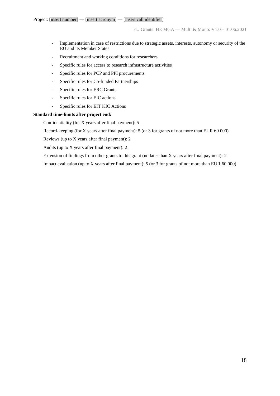- Implementation in case of restrictions due to strategic assets, interests, autonomy or security of the EU and its Member States
- Recruitment and working conditions for researchers
- Specific rules for access to research infrastructure activities
- Specific rules for PCP and PPI procurements
- Specific rules for Co-funded Partnerships
- Specific rules for ERC Grants
- Specific rules for EIC actions
- Specific rules for EIT KIC Actions

#### **Standard time-limits after project end:**

Confidentiality (for X years after final payment): 5

Record-keeping (for X years after final payment): 5 (or 3 for grants of not more than EUR 60 000)

Reviews (up to X years after final payment): 2

Audits (up to X years after final payment): 2

Extension of findings from other grants to this grant (no later than X years after final payment): 2

Impact evaluation (up to X years after final payment): 5 (or 3 for grants of not more than EUR 60 000)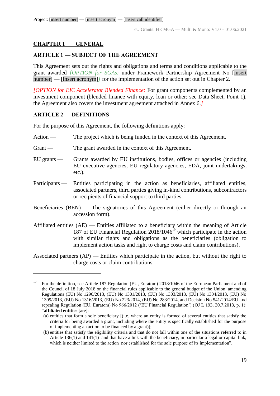# <span id="page-18-0"></span>**CHAPTER 1 GENERAL**

# <span id="page-18-1"></span>**ARTICLE 1 — SUBJECT OF THE AGREEMENT**

This Agreement sets out the rights and obligations and terms and conditions applicable to the grant awarded *[OPTION for SGAs:* under Framework Partnership Agreement No [insert number] — [insert acronym]/ for the implementation of the action set out in Chapter 2.

*[OPTION for EIC Accelerator Blended Finance:* For grant components complemented by an investment component (blended finance with equity, loan or other; see Data Sheet, Point 1), the Agreement also covers the investment agreement attached in Annex 6.*]*

## <span id="page-18-2"></span>**ARTICLE 2 — DEFINITIONS**

 $\overline{a}$ 

For the purpose of this Agreement, the following definitions apply:

- Action The project which is being funded in the context of this Agreement.
- Grant The grant awarded in the context of this Agreement.
- EU grants Grants awarded by EU institutions, bodies, offices or agencies (including EU executive agencies, EU regulatory agencies, EDA, joint undertakings, etc.).
- Participants Entities participating in the action as beneficiaries, affiliated entities, associated partners, third parties giving in-kind contributions, subcontractors or recipients of financial support to third parties.
- Beneficiaries (BEN) The signatories of this Agreement (either directly or through an accession form).
- Affiliated entities (AE) Entities affiliated to a beneficiary within the meaning of Article 187 of EU Financial Regulation 2018/1046<sup>10</sup> which participate in the action with similar rights and obligations as the beneficiaries (obligation to implement action tasks and right to charge costs and claim contributions).

Associated partners (AP) — Entities which participate in the action, but without the right to charge costs or claim contributions.

<sup>10</sup> For the definition, see Article 187 Regulation (EU, Euratom) 2018/1046 of the European Parliament and of the Council of 18 July 2018 on the financial rules applicable to the general budget of the Union, amending Regulations (EU) No 1296/2013, (EU) No 1301/2013, (EU) No 1303/2013, (EU) No 1304/2013, (EU) No 1309/2013, (EU) No 1316/2013, (EU) No 223/2014, (EU) No 283/2014, and Decision No 541/2014/EU and repealing Regulation (EU, Euratom) No 966/2012 ('EU Financial Regulation') (OJ L 193, 30.7.2018, p. 1): "**affiliated entities** [are]:

<sup>(</sup>a) entities that form a sole beneficiary [(i.e. where an entity is formed of several entities that satisfy the criteria for being awarded a grant, including where the entity is specifically established for the purpose of implementing an action to be financed by a grant)];

<sup>(</sup>b) entities that satisfy the eligibility criteria and that do not fall within one of the situations referred to in Article 136(1) and 141(1) and that have a link with the beneficiary, in particular a legal or capital link, which is neither limited to the action nor established for the sole purpose of its implementation".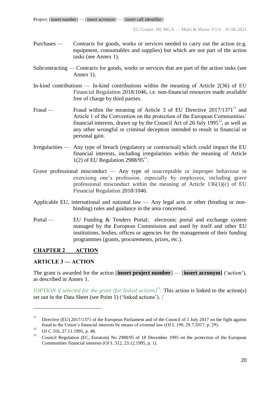- Purchases Contracts for goods, works or services needed to carry out the action (e.g. equipment, consumables and supplies) but which are not part of the action tasks (see Annex 1).
- Subcontracting Contracts for goods, works or services that are part of the action tasks (see Annex 1).
- In-kind contributions In-kind contributions within the meaning of Article 2(36) of EU Financial Regulation 2018/1046, i.e. non-financial resources made available free of charge by third parties.
- Fraud Fraud within the meaning of Article 3 of EU Directive  $2017/1371<sup>11</sup>$  and Article 1 of the Convention on the protection of the European Communities' financial interests, drawn up by the Council Act of 26 July 1995<sup>12</sup>, as well as any other wrongful or criminal deception intended to result in financial or personal gain.
- Irregularities Any type of breach (regulatory or contractual) which could impact the EU financial interests, including irregularities within the meaning of Article  $1(2)$  of EU Regulation 2988/95 $^{13}$ .
- Grave professional misconduct Any type of unacceptable or improper behaviour in exercising one's profession, especially by employees, including grave professional misconduct within the meaning of Article 136(1)(c) of EU Financial Regulation 2018/1046.
- Applicable EU, international and national law Any legal acts or other (binding or nonbinding) rules and guidance in the area concerned.
- Portal EU Funding & Tenders Portal; electronic portal and exchange system managed by the European Commission and used by itself and other EU institutions, bodies, offices or agencies for the management of their funding programmes (grants, procurements, prizes, etc.).

# <span id="page-19-0"></span>**CHAPTER 2 ACTION**

# <span id="page-19-1"></span>**ARTICLE 3 — ACTION**

The grant is awarded for the action [**insert project number**] — [**insert acronym]** ('action'), as described in Annex 1.

*[OPTION if selected for the grant (for linked actions)<sup>14</sup>: This action is linked to the action(s)* set out in the Data Sheet (see Point 1) ('linked actions'). *]*

<sup>&</sup>lt;sup>11</sup> Directive (EU) 2017/1371 of the European Parliament and of the Council of 5 July 2017 on the fight against fraud to the Union's financial interests by means of criminal law (OJ L 198, 28.7.2017, p. 29).

<sup>&</sup>lt;sup>12</sup> OJ C 316, 27.11.1995, p. 48.

<sup>13</sup> Council Regulation (EC, Euratom) No 2988/95 of 18 December 1995 on the protection of the European Communities financial interests (OJ L 312, 23.12.1995, p. 1).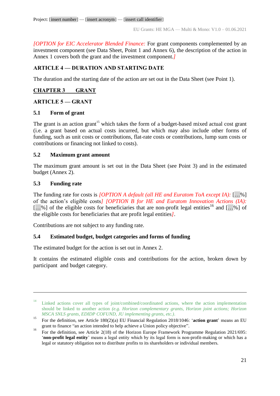*[OPTION for EIC Accelerator Blended Finance:* For grant components complemented by an investment component (see Data Sheet, Point 1 and Annex 6), the description of the action in Annex 1 covers both the grant and the investment component.*]*

# <span id="page-20-0"></span>**ARTICLE 4 — DURATION AND STARTING DATE**

The duration and the starting date of the action are set out in the Data Sheet (see Point 1).

# <span id="page-20-1"></span>**CHAPTER 3 GRANT**

## <span id="page-20-2"></span>**ARTICLE 5 — GRANT**

# <span id="page-20-3"></span>**5.1 Form of grant**

The grant is an action grant<sup>15</sup> which takes the form of a budget-based mixed actual cost grant (i.e. a grant based on actual costs incurred, but which may also include other forms of funding, such as unit costs or contributions, flat-rate costs or contributions, lump sum costs or contributions or financing not linked to costs).

# <span id="page-20-4"></span>**5.2 Maximum grant amount**

The maximum grant amount is set out in the Data Sheet (see Point 3) and in the estimated budget (Annex 2).

# <span id="page-20-5"></span>**5.3 Funding rate**

 $\overline{a}$ 

The funding rate for costs is *[OPTION A default (all HE and Euratom ToA except IA):* […%] of the action's eligible costs*] [OPTION B for HE and Euratom Innovation Actions (IA):*  $[...]$ %] of the eligible costs for beneficiaries that are non-profit legal entities<sup>16</sup> and  $[...]$ the eligible costs for beneficiaries that are profit legal entities*]*.

Contributions are not subject to any funding rate.

# <span id="page-20-6"></span>**5.4 Estimated budget, budget categories and forms of funding**

The estimated budget for the action is set out in Annex 2.

It contains the estimated eligible costs and contributions for the action, broken down by participant and budget category.

<sup>&</sup>lt;sup>14</sup> Linked actions cover all types of joint/combined/coordinated actions, where the action implementation should be linked to another action *(e.g. Horizon complementary grants, Horizon joint actions; Horizon MSCA SNLS grants, EDIDP COFUND, JU implementing grants, etc.)*.

<sup>15</sup> For the definition, see Article 180(2)(a) EU Financial Regulation 2018/1046: '**action grant**' means an EU grant to finance "an action intended to help achieve a Union policy objective".

<sup>&</sup>lt;sup>16</sup> For the definition, see Article 2(18) of the Horizon Europe Framework Programme Regulation 2021/695: '**non-profit legal entity**' means a legal entity which by its legal form is non-profit-making or which has a legal or statutory obligation not to distribute profits to its shareholders or individual members.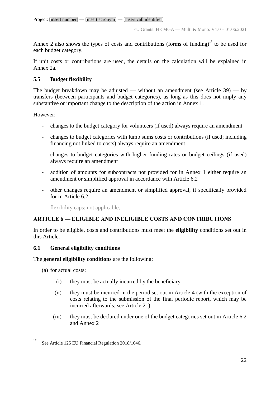Annex 2 also shows the types of costs and contributions (forms of funding) $17$  to be used for each budget category.

If unit costs or contributions are used, the details on the calculation will be explained in Annex 2a.

# <span id="page-21-0"></span>**5.5 Budget flexibility**

The budget breakdown may be adjusted — without an amendment (see Article 39) — by transfers (between participants and budget categories), as long as this does not imply any substantive or important change to the description of the action in Annex 1.

However:

- changes to the budget category for volunteers (if used) always require an amendment
- changes to budget categories with lump sums costs or contributions (if used; including financing not linked to costs) always require an amendment
- changes to budget categories with higher funding rates or budget ceilings (if used) always require an amendment
- addition of amounts for subcontracts not provided for in Annex 1 either require an amendment or simplified approval in accordance with Article 6.2
- other changes require an amendment or simplified approval, if specifically provided for in Article 6.2
- flexibility caps: not applicable.

# <span id="page-21-1"></span>**ARTICLE 6 — ELIGIBLE AND INELIGIBLE COSTS AND CONTRIBUTIONS**

In order to be eligible, costs and contributions must meet the **eligibility** conditions set out in this Article.

## <span id="page-21-2"></span>**6.1 General eligibility conditions**

The **general eligibility conditions** are the following:

(a) for actual costs:

- (i) they must be actually incurred by the beneficiary
- (ii) they must be incurred in the period set out in Article 4 (with the exception of costs relating to the submission of the final periodic report, which may be incurred afterwards; see Article 21)
- (iii) they must be declared under one of the budget categories set out in Article 6.2 and Annex 2

<sup>&</sup>lt;sup>17</sup> See Article 125 EU Financial Regulation 2018/1046.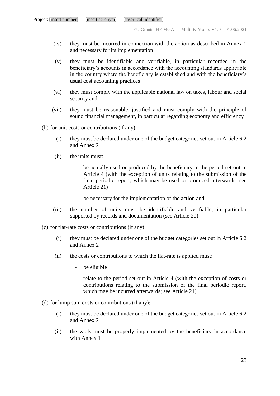- (iv) they must be incurred in connection with the action as described in Annex 1 and necessary for its implementation
- (v) they must be identifiable and verifiable, in particular recorded in the beneficiary's accounts in accordance with the accounting standards applicable in the country where the beneficiary is established and with the beneficiary's usual cost accounting practices
- (vi) they must comply with the applicable national law on taxes, labour and social security and
- (vii) they must be reasonable, justified and must comply with the principle of sound financial management, in particular regarding economy and efficiency

(b) for unit costs or contributions (if any):

- (i) they must be declared under one of the budget categories set out in Article 6.2 and Annex 2
- (ii) the units must:
	- be actually used or produced by the beneficiary in the period set out in Article 4 (with the exception of units relating to the submission of the final periodic report, which may be used or produced afterwards; see Article 21)
	- be necessary for the implementation of the action and
- (iii) the number of units must be identifiable and verifiable, in particular supported by records and documentation (see Article 20)
- (c) for flat-rate costs or contributions (if any):
	- (i) they must be declared under one of the budget categories set out in Article 6.2 and Annex 2
	- (ii) the costs or contributions to which the flat-rate is applied must:
		- be eligible
		- relate to the period set out in Article 4 (with the exception of costs or contributions relating to the submission of the final periodic report, which may be incurred afterwards; see Article 21)
- (d) for lump sum costs or contributions (if any):
	- (i) they must be declared under one of the budget categories set out in Article 6.2 and Annex 2
	- (ii) the work must be properly implemented by the beneficiary in accordance with Annex 1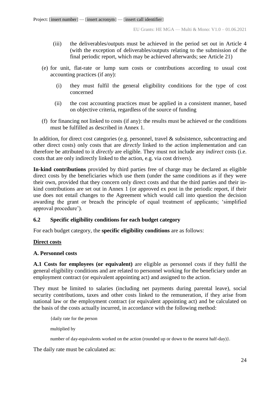- (iii) the deliverables/outputs must be achieved in the period set out in Article 4 (with the exception of deliverables/outputs relating to the submission of the final periodic report, which may be achieved afterwards; see Article 21)
- (e) for unit, flat-rate or lump sum costs or contributions according to usual cost accounting practices (if any):
	- (i) they must fulfil the general eligibility conditions for the type of cost concerned
	- (ii) the cost accounting practices must be applied in a consistent manner, based on objective criteria, regardless of the source of funding
- (f) for financing not linked to costs (if any): the results must be achieved or the conditions must be fulfilled as described in Annex 1.

In addition, for direct cost categories (e.g. personnel, travel & subsistence, subcontracting and other direct costs) only costs that are *directly* linked to the action implementation and can therefore be attributed to it *directly* are eligible. They must not include any *indirect* costs (i.e. costs that are only indirectly linked to the action, e.g. via cost drivers).

**In-kind contributions** provided by third parties free of charge may be declared as eligible direct costs by the beneficiaries which use them (under the same conditions as if they were their own, provided that they concern only direct costs and that the third parties and their inkind contributions are set out in Annex 1 (or approved ex post in the periodic report, if their use does not entail changes to the Agreement which would call into question the decision awarding the grant or breach the principle of equal treatment of applicants; 'simplified approval procedure').

# <span id="page-23-0"></span>**6.2 Specific eligibility conditions for each budget category**

For each budget category, the **specific eligibility conditions** are as follows:

# **Direct costs**

## **A. Personnel costs**

**A.1 Costs for employees (or equivalent)** are eligible as personnel costs if they fulfil the general eligibility conditions and are related to personnel working for the beneficiary under an employment contract (or equivalent appointing act) and assigned to the action.

They must be limited to salaries (including net payments during parental leave), social security contributions, taxes and other costs linked to the remuneration, if they arise from national law or the employment contract (or equivalent appointing act) and be calculated on the basis of the costs actually incurred, in accordance with the following method:

{daily rate for the person multiplied by number of day-equivalents worked on the action (rounded up or down to the nearest half-day).

The daily rate must be calculated as: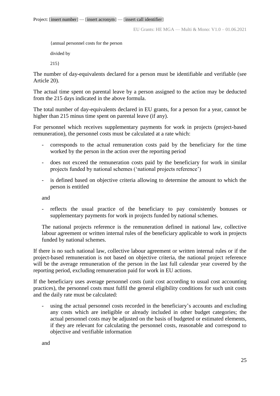{annual personnel costs for the person

divided by

215}

The number of day-equivalents declared for a person must be identifiable and verifiable (see Article 20).

The actual time spent on parental leave by a person assigned to the action may be deducted from the 215 days indicated in the above formula.

The total number of day-equivalents declared in EU grants, for a person for a year, cannot be higher than 215 minus time spent on parental leave (if any).

For personnel which receives supplementary payments for work in projects (project-based remuneration), the personnel costs must be calculated at a rate which:

- corresponds to the actual remuneration costs paid by the beneficiary for the time worked by the person in the action over the reporting period
- does not exceed the remuneration costs paid by the beneficiary for work in similar projects funded by national schemes ('national projects reference')
- is defined based on objective criteria allowing to determine the amount to which the person is entitled

and

- reflects the usual practice of the beneficiary to pay consistently bonuses or supplementary payments for work in projects funded by national schemes.

The national projects reference is the remuneration defined in national law, collective labour agreement or written internal rules of the beneficiary applicable to work in projects funded by national schemes.

If there is no such national law, collective labour agreement or written internal rules or if the project-based remuneration is not based on objective criteria, the national project reference will be the average remuneration of the person in the last full calendar year covered by the reporting period, excluding remuneration paid for work in EU actions.

If the beneficiary uses average personnel costs (unit cost according to usual cost accounting practices), the personnel costs must fulfil the general eligibility conditions for such unit costs and the daily rate must be calculated:

using the actual personnel costs recorded in the beneficiary's accounts and excluding any costs which are ineligible or already included in other budget categories; the actual personnel costs may be adjusted on the basis of budgeted or estimated elements, if they are relevant for calculating the personnel costs, reasonable and correspond to objective and verifiable information

and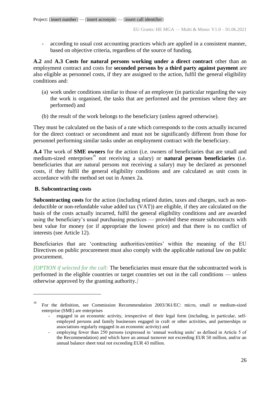according to usual cost accounting practices which are applied in a consistent manner, based on objective criteria, regardless of the source of funding.

**A.2** and **A.3 Costs for natural persons working under a direct contract** other than an employment contract and costs for **seconded persons by a third party against payment** are also eligible as personnel costs, if they are assigned to the action, fulfil the general eligibility conditions and:

- (a) work under conditions similar to those of an employee (in particular regarding the way the work is organised, the tasks that are performed and the premises where they are performed) and
- (b) the result of the work belongs to the beneficiary (unless agreed otherwise).

They must be calculated on the basis of a rate which corresponds to the costs actually incurred for the direct contract or secondment and must not be significantly different from those for personnel performing similar tasks under an employment contract with the beneficiary.

**A.4** The work of **SME owners** for the action (i.e. owners of beneficiaries that are small and medium-sized enterprises<sup>18</sup> not receiving a salary) or **natural person beneficiaries** (i.e. beneficiaries that are natural persons not receiving a salary) may be declared as personnel costs, if they fulfil the general eligibility conditions and are calculated as unit costs in accordance with the method set out in Annex 2a.

## **B. Subcontracting costs**

 $\overline{a}$ 

**Subcontracting costs** for the action (including related duties, taxes and charges, such as nondeductible or non-refundable value added tax (VAT)) are eligible, if they are calculated on the basis of the costs actually incurred, fulfil the general eligibility conditions and are awarded using the beneficiary's usual purchasing practices — provided these ensure subcontracts with best value for money (or if appropriate the lowest price) and that there is no conflict of interests (see Article 12).

Beneficiaries that are 'contracting authorities/entities' within the meaning of the EU Directives on public procurement must also comply with the applicable national law on public procurement.

*[OPTION if selected for the call:* The beneficiaries must ensure that the subcontracted work is performed in the eligible countries or target countries set out in the call conditions — unless otherwise approved by the granting authority.*]*

<sup>&</sup>lt;sup>18</sup> For the definition, see Commission Recommendation 2003/361/EC: micro, small or medium-sized enterprise (SME) are enterprises

engaged in an economic activity, irrespective of their legal form (including, in particular, selfemployed persons and family businesses engaged in craft or other activities, and partnerships or associations regularly engaged in an economic activity) and

<sup>-</sup> employing fewer than 250 persons (expressed in 'annual working units' as defined in Article 5 of the Recommendation) and which have an annual turnover not exceeding EUR 50 million, and/or an annual balance sheet total not exceeding EUR 43 million.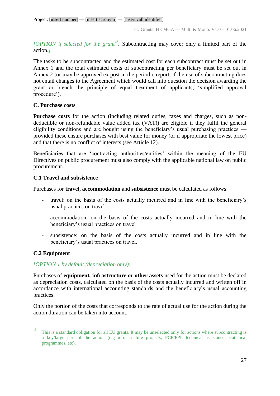*[OPTION if selected for the grant<sup>19</sup> :* Subcontracting may cover only a limited part of the action.*]*

The tasks to be subcontracted and the estimated cost for each subcontract must be set out in Annex 1 and the total estimated costs of subcontracting per beneficiary must be set out in Annex 2 (or may be approved ex post in the periodic report, if the use of subcontracting does not entail changes to the Agreement which would call into question the decision awarding the grant or breach the principle of equal treatment of applicants; 'simplified approval procedure').

## **C. Purchase costs**

**Purchase costs** for the action (including related duties, taxes and charges, such as nondeductible or non-refundable value added tax (VAT)) are eligible if they fulfil the general eligibility conditions and are bought using the beneficiary's usual purchasing practices provided these ensure purchases with best value for money (or if appropriate the lowest price) and that there is no conflict of interests (see Article 12).

Beneficiaries that are 'contracting authorities/entities' within the meaning of the EU Directives on public procurement must also comply with the applicable national law on public procurement.

# **C.1 Travel and subsistence**

Purchases for **travel, accommodation** and **subsistence** must be calculated as follows:

- travel: on the basis of the costs actually incurred and in line with the beneficiary's usual practices on travel
- accommodation: on the basis of the costs actually incurred and in line with the beneficiary's usual practices on travel
- subsistence: on the basis of the costs actually incurred and in line with the beneficiary's usual practices on travel.

# **C.2 Equipment**

 $\overline{a}$ 

# *[OPTION 1 by default (depreciation only):*

Purchases of **equipment, infrastructure or other assets** used for the action must be declared as depreciation costs, calculated on the basis of the costs actually incurred and written off in accordance with international accounting standards and the beneficiary's usual accounting practices.

Only the portion of the costs that corresponds to the rate of actual use for the action during the action duration can be taken into account.

<sup>&</sup>lt;sup>19</sup> This is a standard obligation for all EU grants. It may be unselected only for actions where subcontracting is a key/large part of the action (e.g infrastructure projects; PCP/PPI; technical assistance, statistical programmes, etc).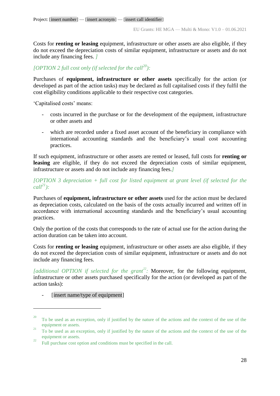Costs for **renting or leasing** equipment, infrastructure or other assets are also eligible, if they do not exceed the depreciation costs of similar equipment, infrastructure or assets and do not include any financing fees. *]*

# *[OPTION 2 full cost only (if selected for the call<sup>20</sup>):*

Purchases of **equipment, infrastructure or other assets** specifically for the action (or developed as part of the action tasks) may be declared as full capitalised costs if they fulfil the cost eligibility conditions applicable to their respective cost categories.

'Capitalised costs' means:

- costs incurred in the purchase or for the development of the equipment, infrastructure or other assets and
- which are recorded under a fixed asset account of the beneficiary in compliance with international accounting standards and the beneficiary's usual cost accounting practices.

If such equipment, infrastructure or other assets are rented or leased, full costs for **renting or leasing** are eligible, if they do not exceed the depreciation costs of similar equipment, infrastructure or assets and do not include any financing fees.*]*

*[OPTION 3 depreciation + full cost for listed equipment at grant level (if selected for the*   $\text{call}^{21}$ **)**:

Purchases of **equipment, infrastructure or other assets** used for the action must be declared as depreciation costs, calculated on the basis of the costs actually incurred and written off in accordance with international accounting standards and the beneficiary's usual accounting practices.

Only the portion of the costs that corresponds to the rate of actual use for the action during the action duration can be taken into account.

Costs for **renting or leasing** equipment, infrastructure or other assets are also eligible, if they do not exceed the depreciation costs of similar equipment, infrastructure or assets and do not include any financing fees.

[additional OPTION if selected for the grant<sup>22</sup>: Moreover, for the following equipment, infrastructure or other assets purchased specifically for the action (or developed as part of the action tasks):

[insert name/type of equipment]

<sup>&</sup>lt;sup>20</sup> To be used as an exception, only if justified by the nature of the actions and the context of the use of the equipment or assets.

<sup>&</sup>lt;sup>21</sup> To be used as an exception, only if justified by the nature of the actions and the context of the use of the equipment or assets.

<sup>&</sup>lt;sup>22</sup> Full purchase cost option and conditions must be specified in the call.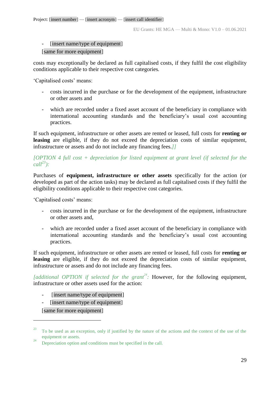# - [insert name/type of equipment]

## [same for more equipment]

costs may exceptionally be declared as full capitalised costs, if they fulfil the cost eligibility conditions applicable to their respective cost categories*.*

'Capitalised costs' means:

- costs incurred in the purchase or for the development of the equipment, infrastructure or other assets and
- which are recorded under a fixed asset account of the beneficiary in compliance with international accounting standards and the beneficiary's usual cost accounting practices.

If such equipment, infrastructure or other assets are rented or leased, full costs for **renting or leasing** are eligible, if they do not exceed the depreciation costs of similar equipment, infrastructure or assets and do not include any financing fees.*]]*

*[OPTION 4 full cost + depreciation for listed equipment at grant level (if selected for the call<sup>23</sup>):*

Purchases of **equipment, infrastructure or other assets** specifically for the action (or developed as part of the action tasks) may be declared as full capitalised costs if they fulfil the eligibility conditions applicable to their respective cost categories.

'Capitalised costs' means:

- costs incurred in the purchase or for the development of the equipment, infrastructure or other assets and,
- which are recorded under a fixed asset account of the beneficiary in compliance with international accounting standards and the beneficiary's usual cost accounting practices.

If such equipment, infrastructure or other assets are rented or leased, full costs for **renting or leasing** are eligible, if they do not exceed the depreciation costs of similar equipment, infrastructure or assets and do not include any financing fees.

[additional OPTION if selected for the grant<sup>24</sup>: **However, for the following equipment,** infrastructure or other assets used for the action:

- [insert name/type of equipment]
- [insert name/type of equipment]

[same for more equipment]

<sup>23</sup> To be used as an exception, only if justified by the nature of the actions and the context of the use of the equipment or assets.

 $\frac{24}{24}$  Depreciation option and conditions must be specified in the call.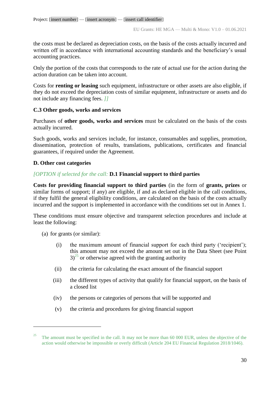the costs must be declared as depreciation costs, on the basis of the costs actually incurred and written off in accordance with international accounting standards and the beneficiary's usual accounting practices.

Only the portion of the costs that corresponds to the rate of actual use for the action during the action duration can be taken into account.

Costs for **renting or leasing** such equipment, infrastructure or other assets are also eligible, if they do not exceed the depreciation costs of similar equipment, infrastructure or assets and do not include any financing fees. *]]*

# **C.3 Other goods, works and services**

Purchases of **other goods, works and services** must be calculated on the basis of the costs actually incurred.

Such goods, works and services include, for instance, consumables and supplies, promotion, dissemination, protection of results, translations, publications, certificates and financial guarantees, if required under the Agreement.

## **D. Other cost categories**

# *[OPTION if selected for the call:* **D.1 Financial support to third parties**

**Costs for providing financial support to third parties** (in the form of **grants, prizes** or similar forms of support; if any) are eligible, if and as declared eligible in the call conditions, if they fulfil the general eligibility conditions, are calculated on the basis of the costs actually incurred and the support is implemented in accordance with the conditions set out in Annex 1.

These conditions must ensure objective and transparent selection procedures and include at least the following:

(a) for grants (or similar):

- (i) the maximum amount of financial support for each third party ('recipient'); this amount may not exceed the amount set out in the Data Sheet (see Point  $3^{25}$  or otherwise agreed with the granting authority
- (ii) the criteria for calculating the exact amount of the financial support
- (iii) the different types of activity that qualify for financial support, on the basis of a closed list
- (iv) the persons or categories of persons that will be supported and
- (v) the criteria and procedures for giving financial support

<sup>25</sup> The amount must be specified in the call. It may not be more than 60 000 EUR, unless the objective of the action would otherwise be impossible or overly difficult (Article 204 EU Financial Regulation 2018/1046).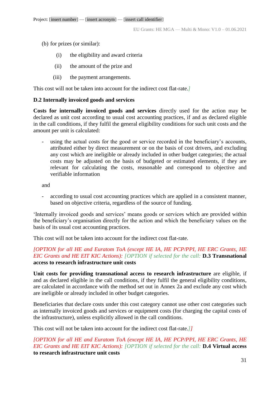- (b) for prizes (or similar):
	- (i) the eligibility and award criteria
	- (ii) the amount of the prize and
	- (iii) the payment arrangements.

This cost will not be taken into account for the indirect cost flat-rate.*]*

## **D.2 Internally invoiced goods and services**

**Costs for internally invoiced goods and services** directly used for the action may be declared as unit cost according to usual cost accounting practices, if and as declared eligible in the call conditions, if they fulfil the general eligibility conditions for such unit costs and the amount per unit is calculated:

using the actual costs for the good or service recorded in the beneficiary's accounts, attributed either by direct measurement or on the basis of cost drivers, and excluding any cost which are ineligible or already included in other budget categories; the actual costs may be adjusted on the basis of budgeted or estimated elements, if they are relevant for calculating the costs, reasonable and correspond to objective and verifiable information

and

- according to usual cost accounting practices which are applied in a consistent manner, based on objective criteria, regardless of the source of funding.

'Internally invoiced goods and services' means goods or services which are provided within the beneficiary's organisation directly for the action and which the beneficiary values on the basis of its usual cost accounting practices.

This cost will not be taken into account for the indirect cost flat-rate.

*[OPTION for all HE and Euratom ToA (except HE IA, HE PCP/PPI, HE ERC Grants, HE EIC Grants and HE EIT KIC Actions): [OPTION if selected for the call:* **D.3 Transnational access to research infrastructure unit costs**

**Unit costs for providing transnational access to research infrastructure** are eligible, if and as declared eligible in the call conditions, if they fulfil the general eligibility conditions, are calculated in accordance with the method set out in Annex 2a and exclude any cost which are ineligible or already included in other budget categories.

Beneficiaries that declare costs under this cost category cannot use other cost categories such as internally invoiced goods and services or equipment costs (for charging the capital costs of the infrastructure), unless explicitly allowed in the call conditions.

This cost will not be taken into account for the indirect cost flat-rate.*]]*

*[OPTION for all HE and Euratom ToA (except HE IA, HE PCP/PPI, HE ERC Grants, HE EIC Grants and HE EIT KIC Actions): [OPTION if selected for the call:* **D.4 Virtual access to research infrastructure unit costs**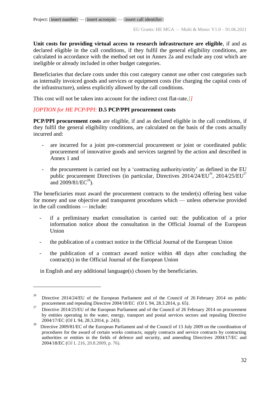**Unit costs for providing virtual access to research infrastructure are eligible**, if and as declared eligible in the call conditions, if they fulfil the general eligibility conditions, are calculated in accordance with the method set out in Annex 2a and exclude any cost which are ineligible or already included in other budget categories.

Beneficiaries that declare costs under this cost category cannot use other cost categories such as internally invoiced goods and services or equipment costs (for charging the capital costs of the infrastructure), unless explicitly allowed by the call conditions*.*

This cost will not be taken into account for the indirect cost flat-rate.*]]*

# *[OPTION for HE PCP/PPI:* **D.5 PCP/PPI procurement costs**

**PCP/PPI procurement costs** are eligible, if and as declared eligible in the call conditions, if they fulfil the general eligibility conditions, are calculated on the basis of the costs actually incurred and:

- are incurred for a joint pre-commercial procurement or joint or coordinated public procurement of innovative goods and services targeted by the action and described in Annex 1 and
- the procurement is carried out by a 'contracting authority/entity' as defined in the EU public procurement Directives (in particular, Directives  $2014/24/EU^{26}$ ,  $2014/25/EU^{27}$ and  $2009/81/EC^{28}$ ).

The beneficiaries must award the procurement contracts to the tender(s) offering best value for money and use objective and transparent procedures which — unless otherwise provided in the call conditions — include:

- if a preliminary market consultation is carried out: the publication of a prior information notice about the consultation in the Official Journal of the European **Union**
- the publication of a contract notice in the Official Journal of the European Union
- the publication of a contract award notice within 48 days after concluding the contract(s) in the Official Journal of the European Union

in English and any additional language(s) chosen by the beneficiaries.

<sup>&</sup>lt;sup>26</sup> Directive 2014/24/EU of the European Parliament and of the Council of 26 February 2014 on public procurement and repealing Directive 2004/18/EC (OJ L 94, 28.3.2014, p. 65).

<sup>&</sup>lt;sup>27</sup> Directive 2014/25/EU of the European Parliament and of the Council of 26 February 2014 on procurement by entities operating in the water, energy, transport and postal services sectors and repealing Directive 2004/17/EC (OJ L 94, 28.3.2014, p. 243).

<sup>28</sup> Directive 2009/81/EC of the European Parliament and of the Council of 13 July 2009 on the coordination of procedures for the award of certain works contracts, supply contracts and service contracts by contracting authorities or entities in the fields of defence and security, and amending Directives 2004/17/EC and 2004/18/EC (OJ L 216, 20.8.2009, p. 76).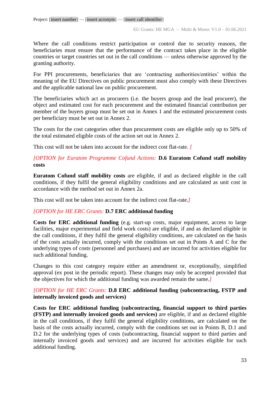Where the call conditions restrict participation or control due to security reasons, the beneficiaries must ensure that the performance of the contract takes place in the eligible countries or target countries set out in the call conditions — unless otherwise approved by the granting authority.

For PPI procurements, beneficiaries that are 'contracting authorities/entities' within the meaning of the EU Directives on public procurement must also comply with these Directives and the applicable national law on public procurement.

The beneficiaries which act as procurers (i.e. the buyers group and the lead procurer), the object and estimated cost for each procurement and the estimated financial contribution per member of the buyers group must be set out in Annex 1 and the estimated procurement costs per beneficiary must be set out in Annex 2.

The costs for the cost categories other than procurement costs are eligible only up to 50% of the total estimated eligible costs of the action set out in Annex 2.

This cost will not be taken into account for the indirect cost flat-rate. *]*

# *[OPTION for Euratom Programme Cofund Actions:* **D.6 Euratom Cofund staff mobility costs**

**Euratom Cofund staff mobility costs** are eligible, if and as declared eligible in the call conditions, if they fulfil the general eligibility conditions and are calculated as unit cost in accordance with the method set out in Annex 2a.

This cost will not be taken into account for the indirect cost flat-rate.*]*

# *[OPTION for HE ERC Grants:* **D.7 ERC additional funding**

**Costs for ERC additional funding** (e.g. start-up costs, major equipment, access to large facilities, major experimental and field work costs) are eligible, if and as declared eligible in the call conditions, if they fulfil the general eligibility conditions, are calculated on the basis of the costs actually incurred, comply with the conditions set out in Points A and C for the underlying types of costs (personnel and purchases) and are incurred for activities eligible for such additional funding.

Changes to this cost category require either an amendment or, exceptionally, simplified approval (ex post in the periodic report). These changes may only be accepted provided that the objectives for which the additional funding was awarded remain the same.*]*

# *[OPTION for HE ERC Grants:* **D.8 ERC additional funding (subcontracting, FSTP and internally invoiced goods and services)**

**Costs for ERC additional funding (subcontracting, financial support to third parties (FSTP) and internally invoiced goods and services)** are eligible, if and as declared eligible in the call conditions, if they fulfil the general eligibility conditions, are calculated on the basis of the costs actually incurred, comply with the conditions set out in Points B, D.1 and D.2 for the underlying types of costs (subcontracting, financial support to third parties and internally invoiced goods and services) and are incurred for activities eligible for such additional funding.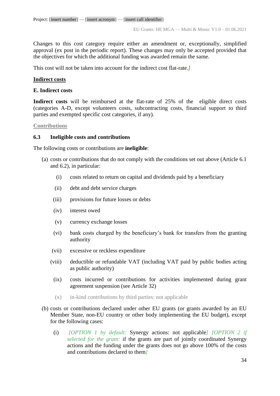Changes to this cost category require either an amendment or, exceptionally, simplified approval (ex post in the periodic report). These changes may only be accepted provided that the objectives for which the additional funding was awarded remain the same.

This cost will not be taken into account for the indirect cost flat-rate.*]*

## **Indirect costs**

## **E. Indirect costs**

**Indirect costs** will be reimbursed at the flat-rate of 25% of the eligible direct costs (categories A-D, except volunteers costs, subcontracting costs, financial support to third parties and exempted specific cost categories, if any)*.* 

## **Contributions**

## <span id="page-33-0"></span>**6.3 Ineligible costs and contributions**

The following costs or contributions are **ineligible**:

- (a) costs or contributions that do not comply with the conditions set out above (Article 6.1 and 6.2), in particular:
	- (i) costs related to return on capital and dividends paid by a beneficiary
	- (ii) debt and debt service charges
	- (iii) provisions for future losses or debts
	- (iv) interest owed
	- (v) currency exchange losses
	- (vi) bank costs charged by the beneficiary's bank for transfers from the granting authority
	- (vii) excessive or reckless expenditure
	- (viii) deductible or refundable VAT (including VAT paid by public bodies acting as public authority)
		- (ix) costs incurred or contributions for activities implemented during grant agreement suspension (see Article 32)
		- (x) in-kind contributions by third parties: not applicable
- (b) costs or contributions declared under other EU grants (or grants awarded by an EU Member State, non-EU country or other body implementing the EU budget), except for the following cases:
	- (i) *[OPTION 1 by default:* Synergy actions: not applicable*] [OPTION 2 if selected for the grant:* if the grants are part of jointly coordinated Synergy actions and the funding under the grants does not go above 100% of the costs and contributions declared to them*]*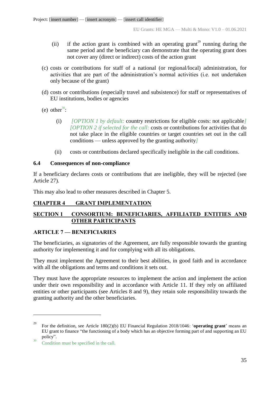- (ii) if the action grant is combined with an operating grant<sup>29</sup> running during the same period and the beneficiary can demonstrate that the operating grant does not cover any (direct or indirect) costs of the action grant
- (c) costs or contributions for staff of a national (or regional/local) administration, for activities that are part of the administration's normal activities (i.e. not undertaken only because of the grant)
- (d) costs or contributions (especially travel and subsistence) for staff or representatives of EU institutions, bodies or agencies
- (e) other<sup>30</sup>:
	- (i) *[OPTION 1 by default:* country restrictions for eligible costs: not applicable*] [OPTION 2 if selected for the call:* costs or contributions for activities that do not take place in the eligible countries or target countries set out in the call conditions — unless approved by the granting authority*]*
	- (ii) costs or contributions declared specifically ineligible in the call conditions.

# <span id="page-34-0"></span>**6.4 Consequences of non-compliance**

If a beneficiary declares costs or contributions that are ineligible, they will be rejected (see Article 27).

This may also lead to other measures described in Chapter 5.

# <span id="page-34-1"></span>**CHAPTER 4 GRANT IMPLEMENTATION**

# <span id="page-34-2"></span>**SECTION 1 CONSORTIUM: BENEFICIARIES, AFFILIATED ENTITIES AND OTHER PARTICIPANTS**

## <span id="page-34-3"></span>**ARTICLE 7 — BENEFICIARIES**

The beneficiaries, as signatories of the Agreement, are fully responsible towards the granting authority for implementing it and for complying with all its obligations.

They must implement the Agreement to their best abilities, in good faith and in accordance with all the obligations and terms and conditions it sets out.

They must have the appropriate resources to implement the action and implement the action under their own responsibility and in accordance with Article 11. If they rely on affiliated entities or other participants (see Articles 8 and 9), they retain sole responsibility towards the granting authority and the other beneficiaries.

<sup>29</sup> For the definition, see Article 180(2)(b) EU Financial Regulation 2018/1046: '**operating grant**' means an EU grant to finance "the functioning of a body which has an objective forming part of and supporting an EU policy".

 $30\degree$  Condition must be specified in the call.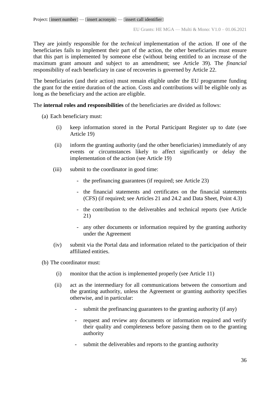They are jointly responsible for the *technical* implementation of the action. If one of the beneficiaries fails to implement their part of the action, the other beneficiaries must ensure that this part is implemented by someone else (without being entitled to an increase of the maximum grant amount and subject to an amendment; see Article 39). The *financial* responsibility of each beneficiary in case of recoveries is governed by Article 22.

The beneficiaries (and their action) must remain eligible under the EU programme funding the grant for the entire duration of the action. Costs and contributions will be eligible only as long as the beneficiary and the action are eligible.

The **internal roles and responsibilities** of the beneficiaries are divided as follows:

- (a) Each beneficiary must:
	- (i) keep information stored in the Portal Participant Register up to date (see Article 19)
	- (ii) inform the granting authority (and the other beneficiaries) immediately of any events or circumstances likely to affect significantly or delay the implementation of the action (see Article 19)
	- (iii) submit to the coordinator in good time:
		- the prefinancing guarantees (if required; see Article 23)
		- the financial statements and certificates on the financial statements (CFS) (if required; see Articles 21 and 24.2 and Data Sheet, Point 4.3)
		- the contribution to the deliverables and technical reports (see Article 21)
		- any other documents or information required by the granting authority under the Agreement
	- (iv) submit via the Portal data and information related to the participation of their affiliated entities.
- (b) The coordinator must:
	- (i) monitor that the action is implemented properly (see Article 11)
	- (ii) act as the intermediary for all communications between the consortium and the granting authority, unless the Agreement or granting authority specifies otherwise, and in particular:
		- submit the prefinancing guarantees to the granting authority (if any)
		- request and review any documents or information required and verify their quality and completeness before passing them on to the granting authority
		- submit the deliverables and reports to the granting authority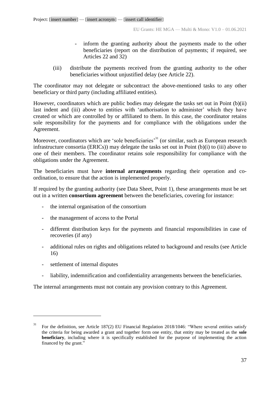- inform the granting authority about the payments made to the other beneficiaries (report on the distribution of payments; if required, see Articles 22 and 32)
- (iii) distribute the payments received from the granting authority to the other beneficiaries without unjustified delay (see Article 22).

The coordinator may not delegate or subcontract the above-mentioned tasks to any other beneficiary or third party (including affiliated entities).

However, coordinators which are public bodies may delegate the tasks set out in Point (b)(ii) last indent and (iii) above to entities with 'authorisation to administer' which they have created or which are controlled by or affiliated to them. In this case, the coordinator retains sole responsibility for the payments and for compliance with the obligations under the Agreement.

Moreover, coordinators which are 'sole beneficiaries'<sup>31</sup> (or similar, such as European research infrastructure consortia (ERICs)) may delegate the tasks set out in Point (b)(i) to (iii) above to one of their members. The coordinator retains sole responsibility for compliance with the obligations under the Agreement.

The beneficiaries must have **internal arrangements** regarding their operation and coordination, to ensure that the action is implemented properly.

If required by the granting authority (see Data Sheet, Point 1), these arrangements must be set out in a written **consortium agreement** between the beneficiaries, covering for instance:

- the internal organisation of the consortium
- the management of access to the Portal
- different distribution keys for the payments and financial responsibilities in case of recoveries (if any)
- additional rules on rights and obligations related to background and results (see Article 16)
- settlement of internal disputes

 $\overline{a}$ 

- liability, indemnification and confidentiality arrangements between the beneficiaries.

The internal arrangements must not contain any provision contrary to this Agreement.

<sup>31</sup> For the definition, see Article 187(2) EU Financial Regulation 2018/1046: "Where several entities satisfy the criteria for being awarded a grant and together form one entity, that entity may be treated as the **sole beneficiary**, including where it is specifically established for the purpose of implementing the action financed by the grant."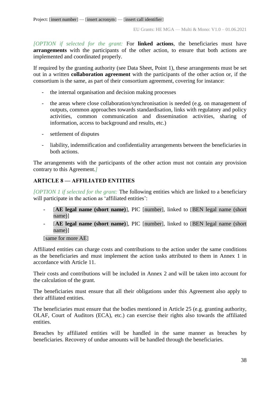*[OPTION if selected for the grant:* For **linked actions**, the beneficiaries must have **arrangements** with the participants of the other action, to ensure that both actions are implemented and coordinated properly.

If required by the granting authority (see Data Sheet, Point 1), these arrangements must be set out in a written **collaboration agreement** with the participants of the other action or, if the consortium is the same, as part of their consortium agreement, covering for instance:

- the internal organisation and decision making processes
- the areas where close collaboration/synchronisation is needed (e.g. on management of outputs, common approaches towards standardisation, links with regulatory and policy activities, common communication and dissemination activities, sharing of information, access to background and results, etc.)
- settlement of disputes
- liability, indemnification and confidentiality arrangements between the beneficiaries in both actions.

The arrangements with the participants of the other action must not contain any provision contrary to this Agreement.*]*

# **ARTICLE 8 — AFFILIATED ENTITIES**

*[OPTION 1 if selected for the grant:* The following entities which are linked to a beneficiary will participate in the action as 'affiliated entities':

- [AE legal name (short name)], PIC [number], linked to [BEN legal name (short name)]
- [**AE legal name (short name)**], PIC [number], linked to [BEN legal name (short name)]

[same for more AE]

Affiliated entities can charge costs and contributions to the action under the same conditions as the beneficiaries and must implement the action tasks attributed to them in Annex 1 in accordance with Article 11.

Their costs and contributions will be included in Annex 2 and will be taken into account for the calculation of the grant.

The beneficiaries must ensure that all their obligations under this Agreement also apply to their affiliated entities.

The beneficiaries must ensure that the bodies mentioned in Article 25 (e.g. granting authority, OLAF, Court of Auditors (ECA), etc.) can exercise their rights also towards the affiliated entities.

Breaches by affiliated entities will be handled in the same manner as breaches by beneficiaries. Recovery of undue amounts will be handled through the beneficiaries.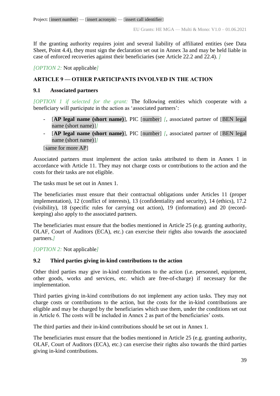If the granting authority requires joint and several liability of affiliated entities (see Data Sheet, Point 4.4), they must sign the declaration set out in Annex 3a and may be held liable in case of enforced recoveries against their beneficiaries (see Article 22.2 and 22.4). *]*

*[OPTION 2:* Not applicable*]*

## **ARTICLE 9 — OTHER PARTICIPANTS INVOLVED IN THE ACTION**

### **9.1 Associated partners**

*[OPTION 1 if selected for the grant:* The following entities which cooperate with a beneficiary will participate in the action as 'associated partners':

- [AP legal name (short name)], PIC [number] *[,* associated partner of [BEN legal] name (short name)]*]*
- [**AP legal name (short name)**], PIC [number] *[*, associated partner of [BEN legal name (short name)]*]*

[same for more AP]

Associated partners must implement the action tasks attributed to them in Annex 1 in accordance with Article 11. They may not charge costs or contributions to the action and the costs for their tasks are not eligible.

The tasks must be set out in Annex 1.

The beneficiaries must ensure that their contractual obligations under Articles 11 (proper implementation), 12 (conflict of interests), 13 (confidentiality and security), 14 (ethics), 17.2 (visibility), 18 (specific rules for carrying out action), 19 (information) and 20 (recordkeeping) also apply to the associated partners.

The beneficiaries must ensure that the bodies mentioned in Article 25 (e.g. granting authority, OLAF, Court of Auditors (ECA), etc.) can exercise their rights also towards the associated partners.*]*

*[OPTION 2:* Not applicable*]*

### **9.2 Third parties giving in-kind contributions to the action**

Other third parties may give in-kind contributions to the action (i.e. personnel, equipment, other goods, works and services, etc. which are free-of-charge) if necessary for the implementation.

Third parties giving in-kind contributions do not implement any action tasks. They may not charge costs or contributions to the action, but the costs for the in-kind contributions are eligible and may be charged by the beneficiaries which use them, under the conditions set out in Article 6. The costs will be included in Annex 2 as part of the beneficiaries' costs.

The third parties and their in-kind contributions should be set out in Annex 1.

The beneficiaries must ensure that the bodies mentioned in Article 25 (e.g. granting authority, OLAF, Court of Auditors (ECA), etc.) can exercise their rights also towards the third parties giving in-kind contributions.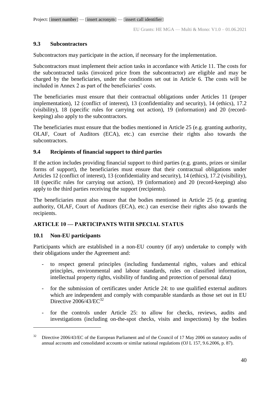### **9.3 Subcontractors**

Subcontractors may participate in the action, if necessary for the implementation.

Subcontractors must implement their action tasks in accordance with Article 11. The costs for the subcontracted tasks (invoiced price from the subcontractor) are eligible and may be charged by the beneficiaries, under the conditions set out in Article 6. The costs will be included in Annex 2 as part of the beneficiaries' costs.

The beneficiaries must ensure that their contractual obligations under Articles 11 (proper implementation), 12 (conflict of interest), 13 (confidentiality and security), 14 (ethics), 17.2 (visibility), 18 (specific rules for carrying out action), 19 (information) and 20 (recordkeeping) also apply to the subcontractors.

The beneficiaries must ensure that the bodies mentioned in Article 25 (e.g. granting authority, OLAF, Court of Auditors (ECA), etc.) can exercise their rights also towards the subcontractors.

### **9.4 Recipients of financial support to third parties**

If the action includes providing financial support to third parties (e.g. grants, prizes or similar forms of support), the beneficiaries must ensure that their contractual obligations under Articles 12 (conflict of interest), 13 (confidentiality and security), 14 (ethics), 17.2 (visibility), 18 (specific rules for carrying out action), 19 (information) and 20 (record-keeping) also apply to the third parties receiving the support (recipients).

The beneficiaries must also ensure that the bodies mentioned in Article 25 (e.g. granting authority, OLAF, Court of Auditors (ECA), etc.) can exercise their rights also towards the recipients.

# **ARTICLE 10 — PARTICIPANTS WITH SPECIAL STATUS**

### **10.1 Non-EU participants**

 $\overline{a}$ 

Participants which are established in a non-EU country (if any) undertake to comply with their obligations under the Agreement and:

- to respect general principles (including fundamental rights, values and ethical principles, environmental and labour standards, rules on classified information, intellectual property rights, visibility of funding and protection of personal data)
- for the submission of certificates under Article 24: to use qualified external auditors which are independent and comply with comparable standards as those set out in EU Directive  $2006/43/EC^{32}$
- for the controls under Article 25: to allow for checks, reviews, audits and investigations (including on-the-spot checks, visits and inspections) by the bodies

<sup>&</sup>lt;sup>32</sup> Directive 2006/43/EC of the European Parliament and of the Council of 17 May 2006 on statutory audits of annual accounts and consolidated accounts or similar national regulations (OJ L 157, 9.6.2006, p. 87).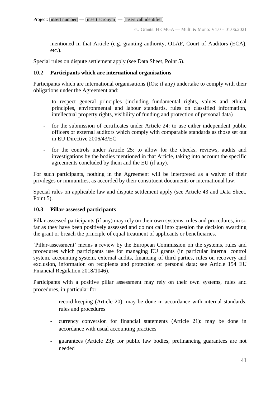mentioned in that Article (e.g. granting authority, OLAF, Court of Auditors (ECA), etc.).

Special rules on dispute settlement apply (see Data Sheet, Point 5).

### **10.2 Participants which are international organisations**

Participants which are international organisations (IOs; if any) undertake to comply with their obligations under the Agreement and:

- to respect general principles (including fundamental rights, values and ethical principles, environmental and labour standards, rules on classified information, intellectual property rights, visibility of funding and protection of personal data)
- for the submission of certificates under Article 24: to use either independent public officers or external auditors which comply with comparable standards as those set out in EU Directive 2006/43/EC
- for the controls under Article 25: to allow for the checks, reviews, audits and investigations by the bodies mentioned in that Article, taking into account the specific agreements concluded by them and the EU (if any).

For such participants, nothing in the Agreement will be interpreted as a waiver of their privileges or immunities, as accorded by their constituent documents or international law.

Special rules on applicable law and dispute settlement apply (see Article 43 and Data Sheet, Point 5).

### **10.3 Pillar-assessed participants**

Pillar-assessed participants (if any) may rely on their own systems, rules and procedures, in so far as they have been positively assessed and do not call into question the decision awarding the grant or breach the principle of equal treatment of applicants or beneficiaries.

'Pillar-assessment' means a review by the European Commission on the systems, rules and procedures which participants use for managing EU grants (in particular internal control system, accounting system, external audits, financing of third parties, rules on recovery and exclusion, information on recipients and protection of personal data; see Article 154 EU Financial Regulation 2018/1046).

Participants with a positive pillar assessment may rely on their own systems, rules and procedures, in particular for:

- record-keeping (Article 20): may be done in accordance with internal standards, rules and procedures
- currency conversion for financial statements (Article 21): may be done in accordance with usual accounting practices
- guarantees (Article 23): for public law bodies, prefinancing guarantees are not needed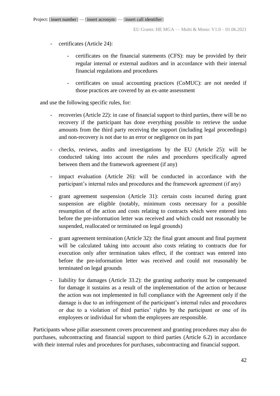- certificates (Article 24):
	- certificates on the financial statements (CFS): may be provided by their regular internal or external auditors and in accordance with their internal financial regulations and procedures
	- certificates on usual accounting practices (CoMUC): are not needed if those practices are covered by an ex-ante assessment

and use the following specific rules, for:

- recoveries (Article 22): in case of financial support to third parties, there will be no recovery if the participant has done everything possible to retrieve the undue amounts from the third party receiving the support (including legal proceedings) and non-recovery is not due to an error or negligence on its part
- checks, reviews, audits and investigations by the EU (Article 25): will be conducted taking into account the rules and procedures specifically agreed between them and the framework agreement (if any)
- impact evaluation (Article 26): will be conducted in accordance with the participant's internal rules and procedures and the framework agreement (if any)
- grant agreement suspension (Article 31): certain costs incurred during grant suspension are eligible (notably, minimum costs necessary for a possible resumption of the action and costs relating to contracts which were entered into before the pre-information letter was received and which could not reasonably be suspended, reallocated or terminated on legal grounds)
- grant agreement termination (Article 32): the final grant amount and final payment will be calculated taking into account also costs relating to contracts due for execution only after termination takes effect, if the contract was entered into before the pre-information letter was received and could not reasonably be terminated on legal grounds
- liability for damages (Article 33.2): the granting authority must be compensated for damage it sustains as a result of the implementation of the action or because the action was not implemented in full compliance with the Agreement only if the damage is due to an infringement of the participant's internal rules and procedures or due to a violation of third parties' rights by the participant or one of its employees or individual for whom the employees are responsible.

Participants whose pillar assessment covers procurement and granting procedures may also do purchases, subcontracting and financial support to third parties (Article 6.2) in accordance with their internal rules and procedures for purchases, subcontracting and financial support*.*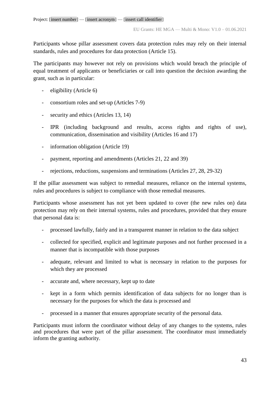Participants whose pillar assessment covers data protection rules may rely on their internal standards, rules and procedures for data protection (Article 15).

The participants may however not rely on provisions which would breach the principle of equal treatment of applicants or beneficiaries or call into question the decision awarding the grant, such as in particular:

- eligibility (Article 6)
- consortium roles and set-up (Articles 7-9)
- security and ethics (Articles 13, 14)
- IPR (including background and results, access rights and rights of use), communication, dissemination and visibility (Articles 16 and 17)
- information obligation (Article 19)
- payment, reporting and amendments (Articles 21, 22 and 39)
- rejections, reductions, suspensions and terminations (Articles 27, 28, 29-32)

If the pillar assessment was subject to remedial measures, reliance on the internal systems, rules and procedures is subject to compliance with those remedial measures.

Participants whose assessment has not yet been updated to cover (the new rules on) data protection may rely on their internal systems, rules and procedures, provided that they ensure that personal data is:

- processed lawfully, fairly and in a transparent manner in relation to the data subject
- collected for specified, explicit and legitimate purposes and not further processed in a manner that is incompatible with those purposes
- adequate, relevant and limited to what is necessary in relation to the purposes for which they are processed
- accurate and, where necessary, kept up to date
- kept in a form which permits identification of data subjects for no longer than is necessary for the purposes for which the data is processed and
- processed in a manner that ensures appropriate security of the personal data.

Participants must inform the coordinator without delay of any changes to the systems, rules and procedures that were part of the pillar assessment. The coordinator must immediately inform the granting authority.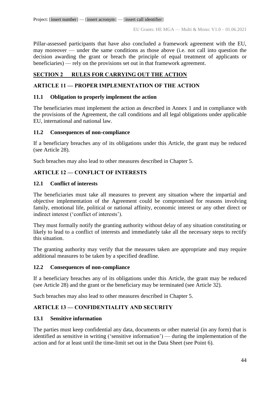Pillar-assessed participants that have also concluded a framework agreement with the EU, may moreover — under the same conditions as those above (i.e. not call into question the decision awarding the grant or breach the principle of equal treatment of applicants or beneficiaries) — rely on the provisions set out in that framework agreement.

# **SECTION 2 RULES FOR CARRYING OUT THE ACTION**

# **ARTICLE 11 — PROPER IMPLEMENTATION OF THE ACTION**

### **11.1 Obligation to properly implement the action**

The beneficiaries must implement the action as described in Annex 1 and in compliance with the provisions of the Agreement, the call conditions and all legal obligations under applicable EU, international and national law.

### **11.2 Consequences of non-compliance**

If a beneficiary breaches any of its obligations under this Article, the grant may be reduced (see Article 28).

Such breaches may also lead to other measures described in Chapter 5.

### **ARTICLE 12 — CONFLICT OF INTERESTS**

### **12.1 Conflict of interests**

The beneficiaries must take all measures to prevent any situation where the impartial and objective implementation of the Agreement could be compromised for reasons involving family, emotional life, political or national affinity, economic interest or any other direct or indirect interest ('conflict of interests').

They must formally notify the granting authority without delay of any situation constituting or likely to lead to a conflict of interests and immediately take all the necessary steps to rectify this situation.

The granting authority may verify that the measures taken are appropriate and may require additional measures to be taken by a specified deadline.

### **12.2 Consequences of non-compliance**

If a beneficiary breaches any of its obligations under this Article, the grant may be reduced (see Article 28) and the grant or the beneficiary may be terminated (see Article 32).

Such breaches may also lead to other measures described in Chapter 5.

### **ARTICLE 13 — CONFIDENTIALITY AND SECURITY**

### **13.1 Sensitive information**

The parties must keep confidential any data, documents or other material (in any form) that is identified as sensitive in writing ('sensitive information') — during the implementation of the action and for at least until the time-limit set out in the Data Sheet (see Point 6).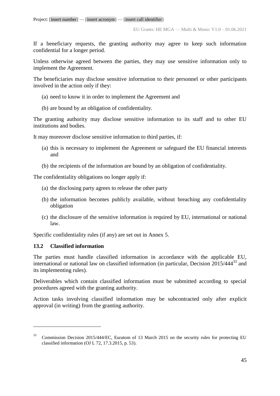If a beneficiary requests, the granting authority may agree to keep such information confidential for a longer period.

Unless otherwise agreed between the parties, they may use sensitive information only to implement the Agreement.

The beneficiaries may disclose sensitive information to their personnel or other participants involved in the action only if they:

- (a) need to know it in order to implement the Agreement and
- (b) are bound by an obligation of confidentiality.

The granting authority may disclose sensitive information to its staff and to other EU institutions and bodies.

It may moreover disclose sensitive information to third parties, if:

- (a) this is necessary to implement the Agreement or safeguard the EU financial interests and
- (b) the recipients of the information are bound by an obligation of confidentiality.

The confidentiality obligations no longer apply if:

- (a) the disclosing party agrees to release the other party
- (b) the information becomes publicly available, without breaching any confidentiality obligation
- (c) the disclosure of the sensitive information is required by EU, international or national law.

Specific confidentiality rules (if any) are set out in Annex 5.

# **13.2 Classified information**

 $\overline{a}$ 

The parties must handle classified information in accordance with the applicable EU, international or national law on classified information (in particular, Decision  $2015/444^{33}$  and its implementing rules).

Deliverables which contain classified information must be submitted according to special procedures agreed with the granting authority.

Action tasks involving classified information may be subcontracted only after explicit approval (in writing) from the granting authority.

<sup>33</sup> Commission Decision 2015/444/EC, Euratom of 13 March 2015 on the security rules for protecting EU classified information (OJ L 72, 17.3.2015, p. 53).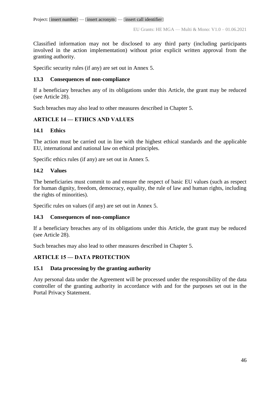Classified information may not be disclosed to any third party (including participants involved in the action implementation) without prior explicit written approval from the granting authority.

Specific security rules (if any) are set out in Annex 5.

## **13.3 Consequences of non-compliance**

If a beneficiary breaches any of its obligations under this Article, the grant may be reduced (see Article 28).

Such breaches may also lead to other measures described in Chapter 5.

# **ARTICLE 14 — ETHICS AND VALUES**

# **14.1 Ethics**

The action must be carried out in line with the highest ethical standards and the applicable EU, international and national law on ethical principles.

Specific ethics rules (if any) are set out in Annex 5.

# **14.2 Values**

The beneficiaries must commit to and ensure the respect of basic EU values (such as respect for human dignity, freedom, democracy, equality, the rule of law and human rights, including the rights of minorities).

Specific rules on values (if any) are set out in Annex 5.

# **14.3 Consequences of non-compliance**

If a beneficiary breaches any of its obligations under this Article, the grant may be reduced (see Article 28).

Such breaches may also lead to other measures described in Chapter 5.

# **ARTICLE 15 — DATA PROTECTION**

# **15.1 Data processing by the granting authority**

Any personal data under the Agreement will be processed under the responsibility of the data controller of the granting authority in accordance with and for the purposes set out in the Portal Privacy Statement.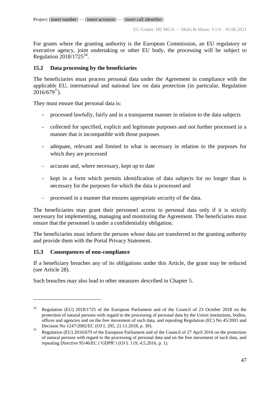For grants where the granting authority is the European Commission, an EU regulatory or executive agency, joint undertaking or other EU body, the processing will be subject to Regulation 2018/1725<sup>34</sup>.

### **15.2 Data processing by the beneficiaries**

The beneficiaries must process personal data under the Agreement in compliance with the applicable EU, international and national law on data protection (in particular, Regulation  $2016/679^{35}$ ).

They must ensure that personal data is:

- processed lawfully, fairly and in a transparent manner in relation to the data subjects
- collected for specified, explicit and legitimate purposes and not further processed in a manner that is incompatible with those purposes
- adequate, relevant and limited to what is necessary in relation to the purposes for which they are processed
- accurate and, where necessary, kept up to date
- kept in a form which permits identification of data subjects for no longer than is necessary for the purposes for which the data is processed and
- processed in a manner that ensures appropriate security of the data.

The beneficiaries may grant their personnel access to personal data only if it is strictly necessary for implementing, managing and monitoring the Agreement. The beneficiaries must ensure that the personnel is under a confidentiality obligation.

The beneficiaries must inform the persons whose data are transferred to the granting authority and provide them with the Portal Privacy Statement.

# **15.3 Consequences of non-compliance**

 $\overline{a}$ 

If a beneficiary breaches any of its obligations under this Article, the grant may be reduced (see Article 28).

Such breaches may also lead to other measures described in Chapter 5.

<sup>&</sup>lt;sup>34</sup> Regulation (EU) 2018/1725 of the European Parliament and of the Council of 23 October 2018 on the protection of natural persons with regard to the processing of personal data by the Union institutions, bodies, offices and agencies and on the free movement of such data, and repealing Regulation (EC) No 45/2001 and Decision No 1247/2002/EC (OJ L 295, 21.11.2018, p. 39).

<sup>&</sup>lt;sup>35</sup> Regulation (EU) 2016/679 of the European Parliament and of the Council of 27 April 2016 on the protection of natural persons with regard to the processing of personal data and on the free movement of such data, and repealing Directive 95/46/EC ('GDPR') (OJ L 119, 4.5.2016, p. 1).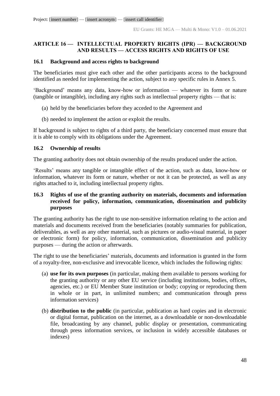### **ARTICLE 16 — INTELLECTUAL PROPERTY RIGHTS (IPR) — BACKGROUND AND RESULTS — ACCESS RIGHTS AND RIGHTS OF USE**

## **16.1 Background and access rights to background**

The beneficiaries must give each other and the other participants access to the background identified as needed for implementing the action, subject to any specific rules in Annex 5.

'Background' means any data, know-how or information — whatever its form or nature (tangible or intangible), including any rights such as intellectual property rights — that is:

- (a) held by the beneficiaries before they acceded to the Agreement and
- (b) needed to implement the action or exploit the results.

If background is subject to rights of a third party, the beneficiary concerned must ensure that it is able to comply with its obligations under the Agreement.

### **16.2 Ownership of results**

The granting authority does not obtain ownership of the results produced under the action.

'Results' means any tangible or intangible effect of the action, such as data, know-how or information, whatever its form or nature, whether or not it can be protected, as well as any rights attached to it, including intellectual property rights.

# **16.3 Rights of use of the granting authority on materials, documents and information received for policy, information, communication, dissemination and publicity purposes**

The granting authority has the right to use non-sensitive information relating to the action and materials and documents received from the beneficiaries (notably summaries for publication, deliverables, as well as any other material, such as pictures or audio-visual material, in paper or electronic form) for policy, information, communication, dissemination and publicity purposes — during the action or afterwards.

The right to use the beneficiaries' materials, documents and information is granted in the form of a royalty-free, non-exclusive and irrevocable licence, which includes the following rights:

- (a) **use for its own purposes** (in particular, making them available to persons working for the granting authority or any other EU service (including institutions, bodies, offices, agencies, etc.) or EU Member State institution or body; copying or reproducing them in whole or in part, in unlimited numbers; and communication through press information services)
- (b) **distribution to the public** (in particular, publication as hard copies and in electronic or digital format, publication on the internet, as a downloadable or non-downloadable file, broadcasting by any channel, public display or presentation, communicating through press information services, or inclusion in widely accessible databases or indexes)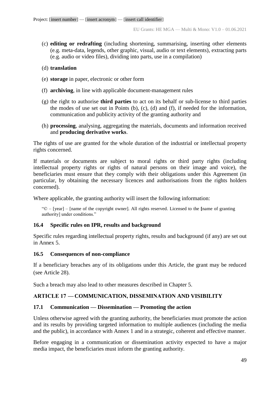(c) **editing or redrafting** (including shortening, summarising, inserting other elements (e.g. meta-data, legends, other graphic, visual, audio or text elements), extracting parts (e.g. audio or video files), dividing into parts, use in a compilation)

### (d) **translation**

- (e) **storage** in paper, electronic or other form
- (f) **archiving**, in line with applicable document-management rules
- (g) the right to authorise **third parties** to act on its behalf or sub-license to third parties the modes of use set out in Points (b), (c), (d) and (f), if needed for the information, communication and publicity activity of the granting authority and
- (h) **processing**, analysing, aggregating the materials, documents and information received and **producing derivative works**.

The rights of use are granted for the whole duration of the industrial or intellectual property rights concerned.

If materials or documents are subject to moral rights or third party rights (including intellectual property rights or rights of natural persons on their image and voice), the beneficiaries must ensure that they comply with their obligations under this Agreement (in particular, by obtaining the necessary licences and authorisations from the rights holders concerned).

Where applicable, the granting authority will insert the following information:

"© – [year] – [name of the copyright owner]. All rights reserved. Licensed to the **[**name of granting authority] under conditions."

# **16.4 Specific rules on IPR, results and background**

Specific rules regarding intellectual property rights, results and background (if any) are set out in Annex 5.

# **16.5 Consequences of non-compliance**

If a beneficiary breaches any of its obligations under this Article, the grant may be reduced (see Article 28).

Such a breach may also lead to other measures described in Chapter 5.

# **ARTICLE 17 — COMMUNICATION, DISSEMINATION AND VISIBILITY**

# **17.1 Communication — Dissemination — Promoting the action**

Unless otherwise agreed with the granting authority, the beneficiaries must promote the action and its results by providing targeted information to multiple audiences (including the media and the public), in accordance with Annex 1 and in a strategic, coherent and effective manner.

Before engaging in a communication or dissemination activity expected to have a major media impact, the beneficiaries must inform the granting authority.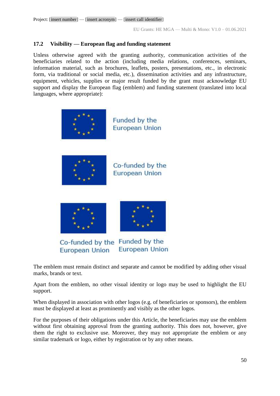### **17.2 Visibility — European flag and funding statement**

Unless otherwise agreed with the granting authority, communication activities of the beneficiaries related to the action (including media relations, conferences, seminars, information material, such as brochures, leaflets, posters, presentations, etc., in electronic form, via traditional or social media, etc.), dissemination activities and any infrastructure, equipment, vehicles, supplies or major result funded by the grant must acknowledge EU support and display the European flag (emblem) and funding statement (translated into local languages, where appropriate):



**European Union** 





Co-funded by the Funded by the **European Union European Union** 

The emblem must remain distinct and separate and cannot be modified by adding other visual marks, brands or text.

Apart from the emblem, no other visual identity or logo may be used to highlight the EU support.

When displayed in association with other logos (e.g. of beneficiaries or sponsors), the emblem must be displayed at least as prominently and visibly as the other logos.

For the purposes of their obligations under this Article, the beneficiaries may use the emblem without first obtaining approval from the granting authority. This does not, however, give them the right to exclusive use. Moreover, they may not appropriate the emblem or any similar trademark or logo, either by registration or by any other means.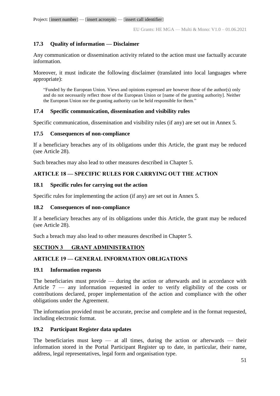# **17.3 Quality of information — Disclaimer**

Any communication or dissemination activity related to the action must use factually accurate information.

Moreover, it must indicate the following disclaimer (translated into local languages where appropriate):

"Funded by the European Union. Views and opinions expressed are however those of the author(s) only and do not necessarily reflect those of the European Union or [name of the granting authority]. Neither the European Union nor the granting authority can be held responsible for them."

### **17.4 Specific communication, dissemination and visibility rules**

Specific communication, dissemination and visibility rules (if any) are set out in Annex 5.

### **17.5 Consequences of non-compliance**

If a beneficiary breaches any of its obligations under this Article, the grant may be reduced (see Article 28).

Such breaches may also lead to other measures described in Chapter 5.

# **ARTICLE 18 — SPECIFIC RULES FOR CARRYING OUT THE ACTION**

### **18.1 Specific rules for carrying out the action**

Specific rules for implementing the action (if any) are set out in Annex 5.

### **18.2 Consequences of non-compliance**

If a beneficiary breaches any of its obligations under this Article, the grant may be reduced (see Article 28).

Such a breach may also lead to other measures described in Chapter 5.

# **SECTION 3 GRANT ADMINISTRATION**

# **ARTICLE 19 — GENERAL INFORMATION OBLIGATIONS**

### **19.1 Information requests**

The beneficiaries must provide — during the action or afterwards and in accordance with Article 7 — any information requested in order to verify eligibility of the costs or contributions declared, proper implementation of the action and compliance with the other obligations under the Agreement.

The information provided must be accurate, precise and complete and in the format requested, including electronic format.

# **19.2 Participant Register data updates**

The beneficiaries must keep  $-$  at all times, during the action or afterwards  $-$  their information stored in the Portal Participant Register up to date, in particular, their name, address, legal representatives, legal form and organisation type.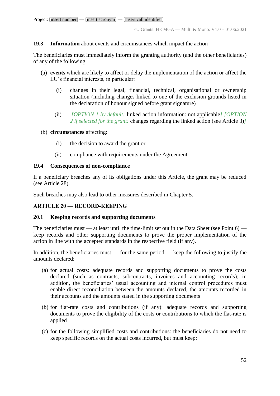### **19.3 Information** about events and circumstances which impact the action

The beneficiaries must immediately inform the granting authority (and the other beneficiaries) of any of the following:

- (a) **events** which are likely to affect or delay the implementation of the action or affect the EU's financial interests, in particular:
	- (i) changes in their legal, financial, technical, organisational or ownership situation (including changes linked to one of the exclusion grounds listed in the declaration of honour signed before grant signature)
	- (ii) *[OPTION 1 by default:* linked action information: not applicable*] [OPTION 2 if selected for the grant:* changes regarding the linked action (see Article 3)*]*
- (b) **circumstances** affecting:
	- (i) the decision to award the grant or
	- (ii) compliance with requirements under the Agreement.

#### **19.4 Consequences of non-compliance**

If a beneficiary breaches any of its obligations under this Article, the grant may be reduced (see Article 28).

Such breaches may also lead to other measures described in Chapter 5.

### **ARTICLE 20 — RECORD-KEEPING**

### **20.1 Keeping records and supporting documents**

The beneficiaries must — at least until the time-limit set out in the Data Sheet (see Point  $6$ ) keep records and other supporting documents to prove the proper implementation of the action in line with the accepted standards in the respective field (if any).

In addition, the beneficiaries must — for the same period — keep the following to justify the amounts declared:

- (a) for actual costs: adequate records and supporting documents to prove the costs declared (such as contracts, subcontracts, invoices and accounting records); in addition, the beneficiaries' usual accounting and internal control procedures must enable direct reconciliation between the amounts declared, the amounts recorded in their accounts and the amounts stated in the supporting documents
- (b) for flat-rate costs and contributions (if any): adequate records and supporting documents to prove the eligibility of the costs or contributions to which the flat-rate is applied
- (c) for the following simplified costs and contributions: the beneficiaries do not need to keep specific records on the actual costs incurred, but must keep: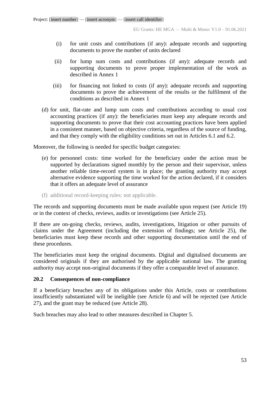- (i) for unit costs and contributions (if any): adequate records and supporting documents to prove the number of units declared
- (ii) for lump sum costs and contributions (if any): adequate records and supporting documents to prove proper implementation of the work as described in Annex 1
- (iii) for financing not linked to costs (if any): adequate records and supporting documents to prove the achievement of the results or the fulfilment of the conditions as described in Annex 1
- (d) for unit, flat-rate and lump sum costs and contributions according to usual cost accounting practices (if any): the beneficiaries must keep any adequate records and supporting documents to prove that their cost accounting practices have been applied in a consistent manner, based on objective criteria, regardless of the source of funding, and that they comply with the eligibility conditions set out in Articles 6.1 and 6.2.

Moreover, the following is needed for specific budget categories:

- (e) for personnel costs: time worked for the beneficiary under the action must be supported by declarations signed monthly by the person and their supervisor, unless another reliable time-record system is in place; the granting authority may accept alternative evidence supporting the time worked for the action declared, if it considers that it offers an adequate level of assurance
- (f) additional record-keeping rules: not applicable.

The records and supporting documents must be made available upon request (see Article 19) or in the context of checks, reviews, audits or investigations (see Article 25).

If there are on-going checks, reviews, audits, investigations, litigation or other pursuits of claims under the Agreement (including the extension of findings; see Article 25), the beneficiaries must keep these records and other supporting documentation until the end of these procedures.

The beneficiaries must keep the original documents. Digital and digitalised documents are considered originals if they are authorised by the applicable national law. The granting authority may accept non-original documents if they offer a comparable level of assurance.

#### **20.2 Consequences of non-compliance**

If a beneficiary breaches any of its obligations under this Article, costs or contributions insufficiently substantiated will be ineligible (see Article 6) and will be rejected (see Article 27), and the grant may be reduced (see Article 28).

Such breaches may also lead to other measures described in Chapter 5.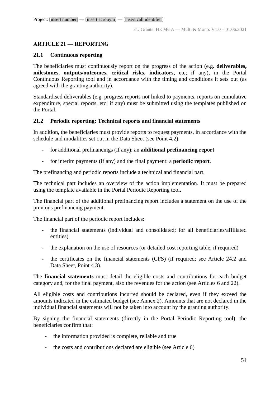# **ARTICLE 21 — REPORTING**

### **21.1 Continuous reporting**

The beneficiaries must continuously report on the progress of the action (e.g. **deliverables, milestones**, **outputs/outcomes, critical risks, indicators,** etc; if any), in the Portal Continuous Reporting tool and in accordance with the timing and conditions it sets out (as agreed with the granting authority).

Standardised deliverables (e.g. progress reports not linked to payments, reports on cumulative expenditure, special reports, etc; if any) must be submitted using the templates published on the Portal.

### **21.2 Periodic reporting: Technical reports and financial statements**

In addition, the beneficiaries must provide reports to request payments, in accordance with the schedule and modalities set out in the Data Sheet (see Point 4.2):

- for additional prefinancings (if any): an **additional prefinancing report**
- for interim payments (if any) and the final payment: a **periodic report**.

The prefinancing and periodic reports include a technical and financial part.

The technical part includes an overview of the action implementation. It must be prepared using the template available in the Portal Periodic Reporting tool.

The financial part of the additional prefinancing report includes a statement on the use of the previous prefinancing payment.

The financial part of the periodic report includes:

- the financial statements (individual and consolidated; for all beneficiaries/affiliated entities)
- the explanation on the use of resources (or detailed cost reporting table, if required)
- the certificates on the financial statements (CFS) (if required; see Article 24.2 and Data Sheet, Point 4.3).

The **financial statements** must detail the eligible costs and contributions for each budget category and, for the final payment, also the revenues for the action (see Articles 6 and 22).

All eligible costs and contributions incurred should be declared, even if they exceed the amounts indicated in the estimated budget (see Annex 2). Amounts that are not declared in the individual financial statements will not be taken into account by the granting authority.

By signing the financial statements (directly in the Portal Periodic Reporting tool), the beneficiaries confirm that:

- the information provided is complete, reliable and true
- the costs and contributions declared are eligible (see Article 6)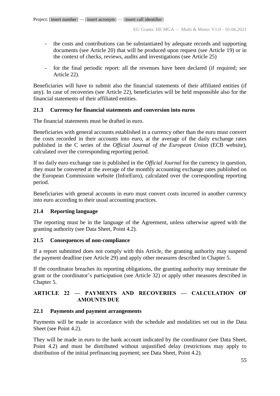- the costs and contributions can be substantiated by adequate records and supporting documents (see Article 20) that will be produced upon request (see Article 19) or in the context of checks, reviews, audits and investigations (see Article 25)
- for the final periodic report: all the revenues have been declared (if required; see Article 22).

Beneficiaries will have to submit also the financial statements of their affiliated entities (if any). In case of recoveries (see Article 22), beneficiaries will be held responsible also for the financial statements of their affiliated entities.

### **21.3 Currency for financial statements and conversion into euros**

The financial statements must be drafted in euro.

Beneficiaries with general accounts established in a currency other than the euro must convert the costs recorded in their accounts into euro, at the average of the daily exchange rates published in the C series of the *Official Journal of the European Union* (ECB website), calculated over the corresponding reporting period.

If no daily euro exchange rate is published in the *Official Journal* for the currency in question, they must be converted at the average of the monthly accounting exchange rates published on the European Commission website (InforEuro), calculated over the corresponding reporting period.

Beneficiaries with general accounts in euro must convert costs incurred in another currency into euro according to their usual accounting practices.

# **21.4 Reporting language**

The reporting must be in the language of the Agreement, unless otherwise agreed with the granting authority (see Data Sheet, Point 4.2).

### **21.5 Consequences of non-compliance**

If a report submitted does not comply with this Article, the granting authority may suspend the payment deadline (see Article 29) and apply other measures described in Chapter 5.

If the coordinator breaches its reporting obligations, the granting authority may terminate the grant or the coordinator's participation (see Article 32) or apply other measures described in Chapter 5.

### **ARTICLE 22 — PAYMENTS AND RECOVERIES — CALCULATION OF AMOUNTS DUE**

### **22.1 Payments and payment arrangements**

Payments will be made in accordance with the schedule and modalities set out in the Data Sheet (see Point 4.2).

They will be made in euro to the bank account indicated by the coordinator (see Data Sheet, Point 4.2) and must be distributed without unjustified delay (restrictions may apply to distribution of the initial prefinancing payment; see Data Sheet, Point 4.2).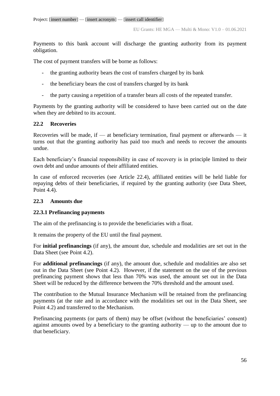Payments to this bank account will discharge the granting authority from its payment obligation.

The cost of payment transfers will be borne as follows:

- the granting authority bears the cost of transfers charged by its bank
- the beneficiary bears the cost of transfers charged by its bank
- the party causing a repetition of a transfer bears all costs of the repeated transfer.

Payments by the granting authority will be considered to have been carried out on the date when they are debited to its account.

### **22.2 Recoveries**

Recoveries will be made, if — at beneficiary termination, final payment or afterwards — it turns out that the granting authority has paid too much and needs to recover the amounts undue.

Each beneficiary's financial responsibility in case of recovery is in principle limited to their own debt and undue amounts of their affiliated entities.

In case of enforced recoveries (see Article 22.4), affiliated entities will be held liable for repaying debts of their beneficiaries, if required by the granting authority (see Data Sheet, Point 4.4).

### **22.3 Amounts due**

### **22.3.1 Prefinancing payments**

The aim of the prefinancing is to provide the beneficiaries with a float.

It remains the property of the EU until the final payment.

For **initial prefinancings** (if any), the amount due, schedule and modalities are set out in the Data Sheet (see Point 4.2).

For **additional prefinancings** (if any), the amount due, schedule and modalities are also set out in the Data Sheet (see Point 4.2). However, if the statement on the use of the previous prefinancing payment shows that less than 70% was used, the amount set out in the Data Sheet will be reduced by the difference between the 70% threshold and the amount used.

The contribution to the Mutual Insurance Mechanism will be retained from the prefinancing payments (at the rate and in accordance with the modalities set out in the Data Sheet, see Point 4.2) and transferred to the Mechanism.

Prefinancing payments (or parts of them) may be offset (without the beneficiaries' consent) against amounts owed by a beneficiary to the granting authority — up to the amount due to that beneficiary.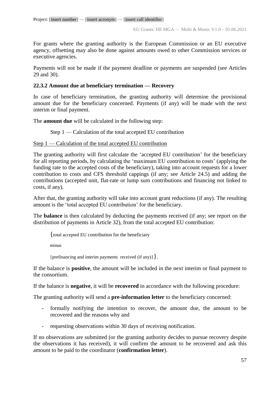For grants where the granting authority is the European Commission or an EU executive agency, offsetting may also be done against amounts owed to other Commission services or executive agencies.

Payments will not be made if the payment deadline or payments are suspended (see Articles 29 and 30).

### **22.3.2 Amount due at beneficiary termination — Recovery**

In case of beneficiary termination, the granting authority will determine the provisional amount due for the beneficiary concerned. Payments (if any) will be made with the next interim or final payment.

The **amount due** will be calculated in the following step:

Step 1 — Calculation of the total accepted EU contribution

### Step 1 — Calculation of the total accepted EU contribution

The granting authority will first calculate the 'accepted EU contribution' for the beneficiary for all reporting periods, by calculating the 'maximum EU contribution to costs' (applying the funding rate to the accepted costs of the beneficiary), taking into account requests for a lower contribution to costs and CFS threshold cappings (if any; see Article 24.5) and adding the contributions (accepted unit, flat-rate or lump sum contributions and financing not linked to costs, if any).

After that, the granting authority will take into account grant reductions (if any). The resulting amount is the 'total accepted EU contribution' for the beneficiary.

The **balance** is then calculated by deducting the payments received (if any; see report on the distribution of payments in Article 32), from the total accepted EU contribution:

{total accepted EU contribution for the beneficiary

minus

{prefinancing and interim payments received (if any)}}.

If the balance is **positive**, the amount will be included in the next interim or final payment to the consortium.

If the balance is **negative**, it will be **recovered** in accordance with the following procedure:

The granting authority will send a **pre-information letter** to the beneficiary concerned:

- formally notifying the intention to recover, the amount due, the amount to be recovered and the reasons why and
- requesting observations within 30 days of receiving notification.

If no observations are submitted (or the granting authority decides to pursue recovery despite the observations it has received), it will confirm the amount to be recovered and ask this amount to be paid to the coordinator (**confirmation letter**).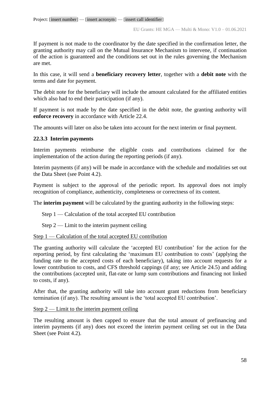EU Grants: HE MGA — Multi & Mono: V1.0 – 01.06.2021

If payment is not made to the coordinator by the date specified in the confirmation letter, the granting authority may call on the Mutual Insurance Mechanism to intervene, if continuation of the action is guaranteed and the conditions set out in the rules governing the Mechanism are met.

In this case, it will send a **beneficiary recovery letter**, together with a **debit note** with the terms and date for payment.

The debit note for the beneficiary will include the amount calculated for the affiliated entities which also had to end their participation (if any).

If payment is not made by the date specified in the debit note, the granting authority will **enforce recovery** in accordance with Article 22.4.

The amounts will later on also be taken into account for the next interim or final payment.

### **22.3.3 Interim payments**

Interim payments reimburse the eligible costs and contributions claimed for the implementation of the action during the reporting periods (if any).

Interim payments (if any) will be made in accordance with the schedule and modalities set out the Data Sheet (see Point 4.2).

Payment is subject to the approval of the periodic report. Its approval does not imply recognition of compliance, authenticity, completeness or correctness of its content.

The **interim payment** will be calculated by the granting authority in the following steps:

Step 1 — Calculation of the total accepted EU contribution

Step  $2$  — Limit to the interim payment ceiling

### Step 1 — Calculation of the total accepted EU contribution

The granting authority will calculate the 'accepted EU contribution' for the action for the reporting period, by first calculating the 'maximum EU contribution to costs' (applying the funding rate to the accepted costs of each beneficiary), taking into account requests for a lower contribution to costs, and CFS threshold cappings (if any; see Article 24.5) and adding the contributions (accepted unit, flat-rate or lump sum contributions and financing not linked to costs, if any).

After that, the granting authority will take into account grant reductions from beneficiary termination (if any). The resulting amount is the 'total accepted EU contribution'.

### $Step 2$  — Limit to the interim payment ceiling

The resulting amount is then capped to ensure that the total amount of prefinancing and interim payments (if any) does not exceed the interim payment ceiling set out in the Data Sheet (see Point 4.2).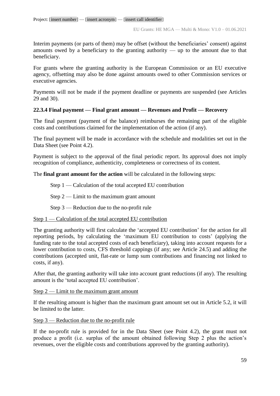Interim payments (or parts of them) may be offset (without the beneficiaries' consent) against amounts owed by a beneficiary to the granting authority — up to the amount due to that beneficiary.

For grants where the granting authority is the European Commission or an EU executive agency, offsetting may also be done against amounts owed to other Commission services or executive agencies.

Payments will not be made if the payment deadline or payments are suspended (see Articles 29 and 30).

### **22.3.4 Final payment — Final grant amount — Revenues and Profit — Recovery**

The final payment (payment of the balance) reimburses the remaining part of the eligible costs and contributions claimed for the implementation of the action (if any).

The final payment will be made in accordance with the schedule and modalities set out in the Data Sheet (see Point 4.2).

Payment is subject to the approval of the final periodic report. Its approval does not imply recognition of compliance, authenticity, completeness or correctness of its content.

The **final grant amount for the action** will be calculated in the following steps:

Step 1 — Calculation of the total accepted EU contribution

Step  $2$  — Limit to the maximum grant amount

Step 3 — Reduction due to the no-profit rule

### Step 1 — Calculation of the total accepted EU contribution

The granting authority will first calculate the 'accepted EU contribution' for the action for all reporting periods, by calculating the 'maximum EU contribution to costs' (applying the funding rate to the total accepted costs of each beneficiary), taking into account requests for a lower contribution to costs, CFS threshold cappings (if any; see Article 24.5) and adding the contributions (accepted unit, flat-rate or lump sum contributions and financing not linked to costs, if any).

After that, the granting authority will take into account grant reductions (if any). The resulting amount is the 'total accepted EU contribution'.

Step  $2$  — Limit to the maximum grant amount

If the resulting amount is higher than the maximum grant amount set out in Article 5.2, it will be limited to the latter.

Step 3 — Reduction due to the no-profit rule

If the no-profit rule is provided for in the Data Sheet (see Point 4.2), the grant must not produce a profit (i.e. surplus of the amount obtained following Step 2 plus the action's revenues, over the eligible costs and contributions approved by the granting authority).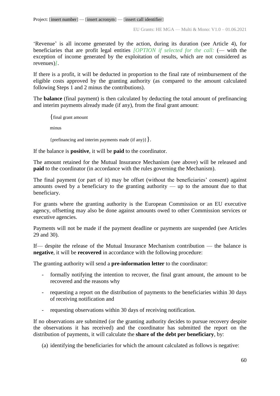'Revenue' is all income generated by the action, during its duration (see Article 4), for beneficiaries that are profit legal entities *[OPTION if selected for the call:* (— with the exception of income generated by the exploitation of results, which are not considered as revenues)*]*.

If there is a profit, it will be deducted in proportion to the final rate of reimbursement of the eligible costs approved by the granting authority (as compared to the amount calculated following Steps 1 and 2 minus the contributions).

The **balance** (final payment) is then calculated by deducting the total amount of prefinancing and interim payments already made (if any), from the final grant amount:

{final grant amount minus {prefinancing and interim payments made (if any)  $\}$ .

If the balance is **positive**, it will be **paid** to the coordinator.

The amount retained for the Mutual Insurance Mechanism (see above) will be released and **paid** to the coordinator (in accordance with the rules governing the Mechanism).

The final payment (or part of it) may be offset (without the beneficiaries' consent) against amounts owed by a beneficiary to the granting authority — up to the amount due to that beneficiary.

For grants where the granting authority is the European Commission or an EU executive agency, offsetting may also be done against amounts owed to other Commission services or executive agencies.

Payments will not be made if the payment deadline or payments are suspended (see Articles 29 and 30).

If— despite the release of the Mutual Insurance Mechanism contribution — the balance is **negative**, it will be **recovered** in accordance with the following procedure:

The granting authority will send a **pre-information letter** to the coordinator:

- formally notifying the intention to recover, the final grant amount, the amount to be recovered and the reasons why
- requesting a report on the distribution of payments to the beneficiaries within 30 days of receiving notification and
- requesting observations within 30 days of receiving notification.

If no observations are submitted (or the granting authority decides to pursue recovery despite the observations it has received) and the coordinator has submitted the report on the distribution of payments, it will calculate the **share of the debt per beneficiary**, by:

(a) identifying the beneficiaries for which the amount calculated as follows is negative: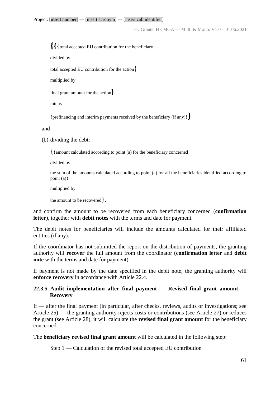EU Grants: HE MGA — Multi & Mono: V1.0 – 01.06.2021

**{{**{total accepted EU contribution for the beneficiary

divided by

total accepted EU contribution for the action}

multiplied by

final grant amount for the action**}**,

minus

{prefinancing and interim payments received by the beneficiary (if any)}**}**

and

(b) dividing the debt:

{{amount calculated according to point (a) for the beneficiary concerned

divided by

the sum of the amounts calculated according to point (a) for all the beneficiaries identified according to point (a)}

multiplied by

the amount to be recovered}.

and confirm the amount to be recovered from each beneficiary concerned (**confirmation letter**), together with **debit notes** with the terms and date for payment.

The debit notes for beneficiaries will include the amounts calculated for their affiliated entities (if any).

If the coordinator has not submitted the report on the distribution of payments, the granting authority will **recover** the full amount from the coordinator (**confirmation letter** and **debit note** with the terms and date for payment).

If payment is not made by the date specified in the debit note, the granting authority will **enforce recovery** in accordance with Article 22.4.

### **22.3.5 Audit implementation after final payment — Revised final grant amount — Recovery**

If — after the final payment (in particular, after checks, reviews, audits or investigations; see Article 25) — the granting authority rejects costs or contributions (see Article 27) or reduces the grant (see Article 28), it will calculate the **revised final grant amount** for the beneficiary concerned.

The **beneficiary revised final grant amount** will be calculated in the following step:

Step 1 — Calculation of the revised total accepted EU contribution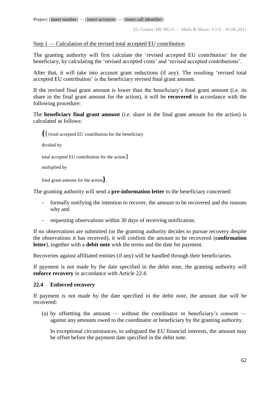Step 1 — Calculation of the revised total accepted EU contribution

The granting authority will first calculate the 'revised accepted EU contribution' for the beneficiary, by calculating the 'revised accepted costs' and 'revised accepted contributions'.

After that, it will take into account grant reductions (if any). The resulting 'revised total accepted EU contribution' is the beneficiary revised final grant amount.

If the revised final grant amount is lower than the beneficiary's final grant amount (i.e. its share in the final grant amount for the action), it will be **recovered** in accordance with the following procedure:

The **beneficiary final grant amount** (i.e. share in the final grant amount for the action) is calculated as follows:

**{**{{total accepted EU contribution for the beneficiary

divided by

total accepted EU contribution for the action}

multiplied by

final grant amount for the action**}**.

The granting authority will send a **pre-information letter** to the beneficiary concerned:

- formally notifying the intention to recover, the amount to be recovered and the reasons why and
- requesting observations within 30 days of receiving notification.

If no observations are submitted (or the granting authority decides to pursue recovery despite the observations it has received), it will confirm the amount to be recovered (**confirmation letter**), together with a **debit note** with the terms and the date for payment.

Recoveries against affiliated entities (if any) will be handled through their beneficiaries.

If payment is not made by the date specified in the debit note, the granting authority will **enforce recovery** in accordance with Article 22.4.

### **22.4 Enforced recovery**

If payment is not made by the date specified in the debit note, the amount due will be recovered:

(a) by offsetting the amount — without the coordinator or beneficiary's consent against any amounts owed to the coordinator or beneficiary by the granting authority.

In exceptional circumstances, to safeguard the EU financial interests, the amount may be offset before the payment date specified in the debit note.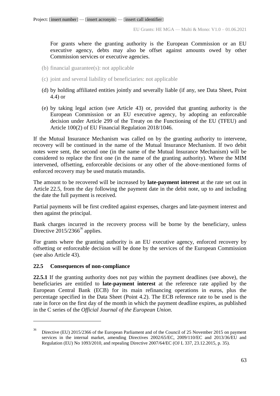For grants where the granting authority is the European Commission or an EU executive agency, debts may also be offset against amounts owed by other Commission services or executive agencies.

- (b) financial guarantee(s): not applicable
- (c) joint and several liability of beneficiaries: not applicable
- (d) by holding affiliated entities jointly and severally liable (if any, see Data Sheet, Point 4.4) or
- (e) by taking legal action (see Article 43) or, provided that granting authority is the European Commission or an EU executive agency, by adopting an enforceable decision under Article 299 of the Treaty on the Functioning of the EU (TFEU) and Article 100(2) of EU Financial Regulation 2018/1046.

If the Mutual Insurance Mechanism was called on by the granting authority to intervene, recovery will be continued in the name of the Mutual Insurance Mechanism. If two debit notes were sent, the second one (in the name of the Mutual Insurance Mechanism) will be considered to replace the first one (in the name of the granting authority). Where the MIM intervened, offsetting, enforceable decisions or any other of the above-mentioned forms of enforced recovery may be used mutatis mutandis.

The amount to be recovered will be increased by **late-payment interest** at the rate set out in Article 22.5, from the day following the payment date in the debit note, up to and including the date the full payment is received.

Partial payments will be first credited against expenses, charges and late-payment interest and then against the principal.

Bank charges incurred in the recovery process will be borne by the beneficiary, unless Directive  $2015/2366^{36}$  applies.

For grants where the granting authority is an EU executive agency, enforced recovery by offsetting or enforceable decision will be done by the services of the European Commission (see also Article 43).

### **22.5 Consequences of non-compliance**

 $\overline{a}$ 

**22.5.1** If the granting authority does not pay within the payment deadlines (see above), the beneficiaries are entitled to **late-payment interest** at the reference rate applied by the European Central Bank (ECB) for its main refinancing operations in euros, plus the percentage specified in the Data Sheet (Point 4.2). The ECB reference rate to be used is the rate in force on the first day of the month in which the payment deadline expires, as published in the C series of the *Official Journal of the European Union*.

<sup>36</sup> Directive (EU) 2015/2366 of the European Parliament and of the Council of 25 November 2015 on payment services in the internal market, amending Directives 2002/65/EC, 2009/110/EC and 2013/36/EU and Regulation (EU) No 1093/2010, and repealing Directive 2007/64/EC (OJ L 337, 23.12.2015, p. 35).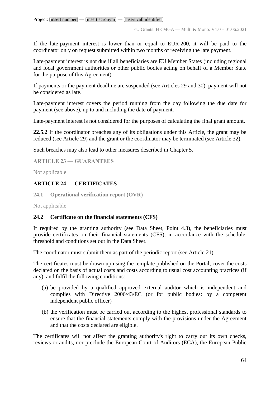If the late-payment interest is lower than or equal to EUR 200, it will be paid to the coordinator only on request submitted within two months of receiving the late payment.

Late-payment interest is not due if all beneficiaries are EU Member States (including regional and local government authorities or other public bodies acting on behalf of a Member State for the purpose of this Agreement).

If payments or the payment deadline are suspended (see Articles 29 and 30), payment will not be considered as late.

Late-payment interest covers the period running from the day following the due date for payment (see above), up to and including the date of payment.

Late-payment interest is not considered for the purposes of calculating the final grant amount.

**22.5.2** If the coordinator breaches any of its obligations under this Article, the grant may be reduced (see Article 29) and the grant or the coordinator may be terminated (see Article 32).

Such breaches may also lead to other measures described in Chapter 5.

**ARTICLE 23 — GUARANTEES**

Not applicable

### **ARTICLE 24 — CERTIFICATES**

**24.1 Operational verification report (OVR)**

Not applicable

### **24.2 Certificate on the financial statements (CFS)**

If required by the granting authority (see Data Sheet, Point 4.3), the beneficiaries must provide certificates on their financial statements (CFS), in accordance with the schedule, threshold and conditions set out in the Data Sheet.

The coordinator must submit them as part of the periodic report (see Article 21).

The certificates must be drawn up using the template published on the Portal, cover the costs declared on the basis of actual costs and costs according to usual cost accounting practices (if any), and fulfil the following conditions:

- (a) be provided by a qualified approved external auditor which is independent and complies with Directive 2006/43/EC (or for public bodies: by a competent independent public officer)
- (b) the verification must be carried out according to the highest professional standards to ensure that the financial statements comply with the provisions under the Agreement and that the costs declared are eligible.

The certificates will not affect the granting authority's right to carry out its own checks, reviews or audits, nor preclude the European Court of Auditors (ECA), the European Public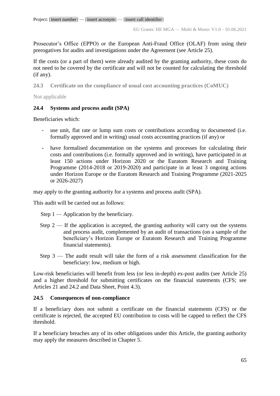Prosecutor's Office (EPPO) or the European Anti-Fraud Office (OLAF) from using their prerogatives for audits and investigations under the Agreement (see Article 25).

If the costs (or a part of them) were already audited by the granting authority, these costs do not need to be covered by the certificate and will not be counted for calculating the threshold (if any).

**24.3 Certificate on the compliance of usual cost accounting practices (CoMUC)**

Not applicable

# **24.4 Systems and process audit (SPA)**

Beneficiaries which:

- use unit, flat rate or lump sum costs or contributions according to documented (i.e. formally approved and in writing) usual costs accounting practices (if any) or
- have formalised documentation on the systems and processes for calculating their costs and contributions (i.e. formally approved and in writing), have participated in at least 150 actions under Horizon 2020 or the Euratom Research and Training Programme (2014-2018 or 2019-2020) and participate in at least 3 ongoing actions under Horizon Europe or the Euratom Research and Training Programme (2021-2025 or 2026-2027)

may apply to the granting authority for a systems and process audit (SPA).

This audit will be carried out as follows:

Step 1 — Application by the beneficiary.

- Step  $2$  If the application is accepted, the granting authority will carry out the systems and process audit, complemented by an audit of transactions (on a sample of the beneficiary's Horizon Europe or Euratom Research and Training Programme financial statements).
- Step  $3$  The audit result will take the form of a risk assessment classification for the beneficiary: low, medium or high.

Low-risk beneficiaries will benefit from less (or less in-depth) ex-post audits (see Article 25) and a higher threshold for submitting certificates on the financial statements (CFS; see Articles 21 and 24.2 and Data Sheet, Point 4.3).

### **24.5 Consequences of non-compliance**

If a beneficiary does not submit a certificate on the financial statements (CFS) or the certificate is rejected, the accepted EU contribution to costs will be capped to reflect the CFS threshold.

If a beneficiary breaches any of its other obligations under this Article, the granting authority may apply the measures described in Chapter 5.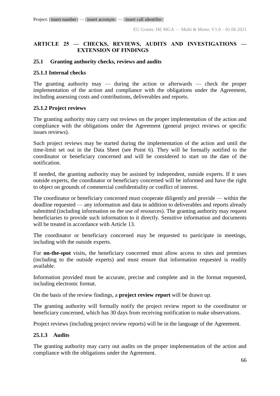### **ARTICLE 25 — CHECKS, REVIEWS, AUDITS AND INVESTIGATIONS — EXTENSION OF FINDINGS**

### **25.1 Granting authority checks, reviews and audits**

#### **25.1.1 Internal checks**

The granting authority may — during the action or afterwards — check the proper implementation of the action and compliance with the obligations under the Agreement, including assessing costs and contributions, deliverables and reports.

### **25.1.2 Project reviews**

The granting authority may carry out reviews on the proper implementation of the action and compliance with the obligations under the Agreement (general project reviews or specific issues reviews).

Such project reviews may be started during the implementation of the action and until the time-limit set out in the Data Sheet (see Point 6). They will be formally notified to the coordinator or beneficiary concerned and will be considered to start on the date of the notification.

If needed, the granting authority may be assisted by independent, outside experts. If it uses outside experts, the coordinator or beneficiary concerned will be informed and have the right to object on grounds of commercial confidentiality or conflict of interest.

The coordinator or beneficiary concerned must cooperate diligently and provide — within the deadline requested — any information and data in addition to deliverables and reports already submitted (including information on the use of resources). The granting authority may request beneficiaries to provide such information to it directly. Sensitive information and documents will be treated in accordance with Article 13.

The coordinator or beneficiary concerned may be requested to participate in meetings, including with the outside experts.

For **on-the-spot** visits, the beneficiary concerned must allow access to sites and premises (including to the outside experts) and must ensure that information requested is readily available.

Information provided must be accurate, precise and complete and in the format requested, including electronic format.

On the basis of the review findings, a **project review report** will be drawn up.

The granting authority will formally notify the project review report to the coordinator or beneficiary concerned, which has 30 days from receiving notification to make observations.

Project reviews (including project review reports) will be in the language of the Agreement.

### **25.1.3 Audits**

The granting authority may carry out audits on the proper implementation of the action and compliance with the obligations under the Agreement.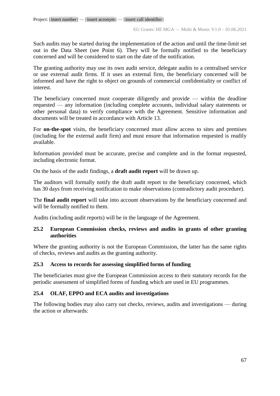Such audits may be started during the implementation of the action and until the time-limit set out in the Data Sheet (see Point 6). They will be formally notified to the beneficiary concerned and will be considered to start on the date of the notification.

The granting authority may use its own audit service, delegate audits to a centralised service or use external audit firms. If it uses an external firm, the beneficiary concerned will be informed and have the right to object on grounds of commercial confidentiality or conflict of interest.

The beneficiary concerned must cooperate diligently and provide — within the deadline requested — any information (including complete accounts, individual salary statements or other personal data) to verify compliance with the Agreement. Sensitive information and documents will be treated in accordance with Article 13.

For **on-the-spot** visits, the beneficiary concerned must allow access to sites and premises (including for the external audit firm) and must ensure that information requested is readily available.

Information provided must be accurate, precise and complete and in the format requested, including electronic format.

On the basis of the audit findings, a **draft audit report** will be drawn up.

The auditors will formally notify the draft audit report to the beneficiary concerned, which has 30 days from receiving notification to make observations (contradictory audit procedure).

The **final audit report** will take into account observations by the beneficiary concerned and will be formally notified to them.

Audits (including audit reports) will be in the language of the Agreement.

### **25.2 European Commission checks, reviews and audits in grants of other granting authorities**

Where the granting authority is not the European Commission, the latter has the same rights of checks, reviews and audits as the granting authority.

# **25.3 Access to records for assessing simplified forms of funding**

The beneficiaries must give the European Commission access to their statutory records for the periodic assessment of simplified forms of funding which are used in EU programmes*.*

# **25.4 OLAF, EPPO and ECA audits and investigations**

The following bodies may also carry out checks, reviews, audits and investigations — during the action or afterwards: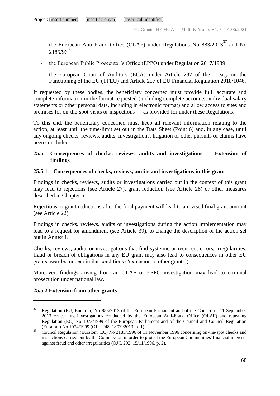- the European Anti-Fraud Office (OLAF) under Regulations No  $883/2013^{37}$  and No  $2185/96^{38}$
- the European Public Prosecutor's Office (EPPO) under Regulation 2017/1939
- the European Court of Auditors (ECA) under Article 287 of the Treaty on the Functioning of the EU (TFEU) and Article 257 of EU Financial Regulation 2018/1046.

If requested by these bodies, the beneficiary concerned must provide full, accurate and complete information in the format requested (including complete accounts, individual salary statements or other personal data, including in electronic format) and allow access to sites and premises for on-the-spot visits or inspections — as provided for under these Regulations.

To this end, the beneficiary concerned must keep all relevant information relating to the action, at least until the time-limit set out in the Data Sheet (Point 6) and, in any case, until any ongoing checks, reviews, audits, investigations, litigation or other pursuits of claims have been concluded.

### **25.5 Consequences of checks, reviews, audits and investigations — Extension of findings**

### **25.5.1 Consequences of checks, reviews, audits and investigations in this grant**

Findings in checks, reviews, audits or investigations carried out in the context of this grant may lead to rejections (see Article 27), grant reduction (see Article 28) or other measures described in Chapter 5.

Rejections or grant reductions after the final payment will lead to a revised final grant amount (see Article 22).

Findings in checks, reviews, audits or investigations during the action implementation may lead to a request for amendment (see Article 39), to change the description of the action set out in Annex 1.

Checks, reviews, audits or investigations that find systemic or recurrent errors, irregularities, fraud or breach of obligations in any EU grant may also lead to consequences in other EU grants awarded under similar conditions ('extension to other grants').

Moreover, findings arising from an OLAF or EPPO investigation may lead to criminal prosecution under national law.

# **25.5.2 Extension from other grants**

 $\overline{a}$ 

 $37$  Regulation (EU, Euratom) No 883/2013 of the European Parliament and of the Council of 11 September 2013 concerning investigations conducted by the European Anti-Fraud Office (OLAF) and repealing Regulation (EC) No 1073/1999 of the European Parliament and of the Council and Council Regulation (Euratom) No 1074/1999 (OJ L 248, 18/09/2013, p. 1).

<sup>&</sup>lt;sup>38</sup> Council Regulation (Euratom, EC) No 2185/1996 of 11 November 1996 concerning on-the-spot checks and inspections carried out by the Commission in order to protect the European Communities' financial interests against fraud and other irregularities (OJ L 292, 15/11/1996, p. 2).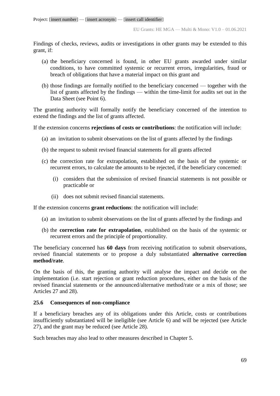Findings of checks, reviews, audits or investigations in other grants may be extended to this grant, if:

- (a) the beneficiary concerned is found, in other EU grants awarded under similar conditions, to have committed systemic or recurrent errors, irregularities, fraud or breach of obligations that have a material impact on this grant and
- (b) those findings are formally notified to the beneficiary concerned together with the list of grants affected by the findings — within the time-limit for audits set out in the Data Sheet (see Point 6).

The granting authority will formally notify the beneficiary concerned of the intention to extend the findings and the list of grants affected.

If the extension concerns **rejections of costs or contributions**: the notification will include:

- (a) an invitation to submit observations on the list of grants affected by the findings
- (b) the request to submit revised financial statements for all grants affected
- (c) the correction rate for extrapolation, established on the basis of the systemic or recurrent errors, to calculate the amounts to be rejected, if the beneficiary concerned:
	- (i) considers that the submission of revised financial statements is not possible or practicable or
	- (ii) does not submit revised financial statements.

If the extension concerns **grant reductions**: the notification will include:

- (a) an invitation to submit observations on the list of grants affected by the findings and
- (b) the **correction rate for extrapolation**, established on the basis of the systemic or recurrent errors and the principle of proportionality.

The beneficiary concerned has **60 days** from receiving notification to submit observations, revised financial statements or to propose a duly substantiated **alternative correction method/rate**.

On the basis of this, the granting authority will analyse the impact and decide on the implementation (i.e. start rejection or grant reduction procedures, either on the basis of the revised financial statements or the announced/alternative method/rate or a mix of those; see Articles 27 and 28).

### **25.6 Consequences of non-compliance**

If a beneficiary breaches any of its obligations under this Article, costs or contributions insufficiently substantiated will be ineligible (see Article 6) and will be rejected (see Article 27), and the grant may be reduced (see Article 28).

Such breaches may also lead to other measures described in Chapter 5.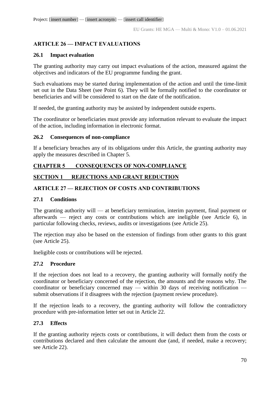# **ARTICLE 26 — IMPACT EVALUATIONS**

### **26.1 Impact evaluation**

The granting authority may carry out impact evaluations of the action, measured against the objectives and indicators of the EU programme funding the grant.

Such evaluations may be started during implementation of the action and until the time-limit set out in the Data Sheet (see Point 6). They will be formally notified to the coordinator or beneficiaries and will be considered to start on the date of the notification.

If needed, the granting authority may be assisted by independent outside experts.

The coordinator or beneficiaries must provide any information relevant to evaluate the impact of the action, including information in electronic format.

### **26.2 Consequences of non-compliance**

If a beneficiary breaches any of its obligations under this Article, the granting authority may apply the measures described in Chapter 5.

# **CHAPTER 5 CONSEQUENCES OF NON-COMPLIANCE**

# **SECTION 1 REJECTIONS AND GRANT REDUCTION**

# **ARTICLE 27 — REJECTION OF COSTS AND CONTRIBUTIONS**

### **27.1 Conditions**

The granting authority will — at beneficiary termination, interim payment, final payment or afterwards — reject any costs or contributions which are ineligible (see Article 6), in particular following checks, reviews, audits or investigations (see Article 25).

The rejection may also be based on the extension of findings from other grants to this grant (see Article 25).

Ineligible costs or contributions will be rejected.

# **27.2 Procedure**

If the rejection does not lead to a recovery, the granting authority will formally notify the coordinator or beneficiary concerned of the rejection, the amounts and the reasons why. The coordinator or beneficiary concerned may — within 30 days of receiving notification submit observations if it disagrees with the rejection (payment review procedure).

If the rejection leads to a recovery, the granting authority will follow the contradictory procedure with pre-information letter set out in Article 22.

# **27.3 Effects**

If the granting authority rejects costs or contributions, it will deduct them from the costs or contributions declared and then calculate the amount due (and, if needed, make a recovery; see Article 22).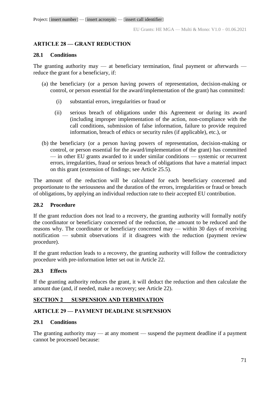# **ARTICLE 28 — GRANT REDUCTION**

#### **28.1 Conditions**

The granting authority may  $-$  at beneficiary termination, final payment or afterwards  $$ reduce the grant for a beneficiary, if:

- (a) the beneficiary (or a person having powers of representation, decision-making or control, or person essential for the award/implementation of the grant) has committed:
	- (i) substantial errors, irregularities or fraud or
	- (ii) serious breach of obligations under this Agreement or during its award (including improper implementation of the action, non-compliance with the call conditions, submission of false information, failure to provide required information, breach of ethics or security rules (if applicable), etc.), or
- (b) the beneficiary (or a person having powers of representation, decision-making or control, or person essential for the award/implementation of the grant) has committed — in other EU grants awarded to it under similar conditions — systemic or recurrent errors, irregularities, fraud or serious breach of obligations that have a material impact on this grant (extension of findings; see Article 25.5).

The amount of the reduction will be calculated for each beneficiary concerned and proportionate to the seriousness and the duration of the errors, irregularities or fraud or breach of obligations, by applying an individual reduction rate to their accepted EU contribution.

### **28.2 Procedure**

If the grant reduction does not lead to a recovery, the granting authority will formally notify the coordinator or beneficiary concerned of the reduction, the amount to be reduced and the reasons why. The coordinator or beneficiary concerned may — within 30 days of receiving notification — submit observations if it disagrees with the reduction (payment review procedure).

If the grant reduction leads to a recovery, the granting authority will follow the contradictory procedure with pre-information letter set out in Article 22.

### **28.3 Effects**

If the granting authority reduces the grant, it will deduct the reduction and then calculate the amount due (and, if needed, make a recovery; see Article 22).

# **SECTION 2 SUSPENSION AND TERMINATION**

### **ARTICLE 29 — PAYMENT DEADLINE SUSPENSION**

### **29.1 Conditions**

The granting authority may — at any moment — suspend the payment deadline if a payment cannot be processed because: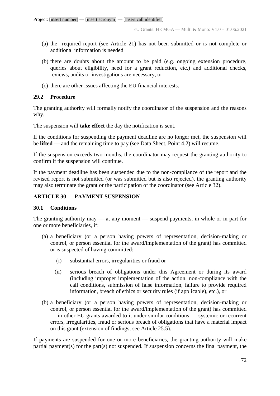- (a) the required report (see Article 21) has not been submitted or is not complete or additional information is needed
- (b) there are doubts about the amount to be paid (e.g. ongoing extension procedure, queries about eligibility, need for a grant reduction, etc.) and additional checks, reviews, audits or investigations are necessary, or
- (c) there are other issues affecting the EU financial interests.

### **29.2 Procedure**

The granting authority will formally notify the coordinator of the suspension and the reasons why.

The suspension will **take effect** the day the notification is sent.

If the conditions for suspending the payment deadline are no longer met, the suspension will be **lifted** — and the remaining time to pay (see Data Sheet, Point 4.2) will resume.

If the suspension exceeds two months, the coordinator may request the granting authority to confirm if the suspension will continue.

If the payment deadline has been suspended due to the non-compliance of the report and the revised report is not submitted (or was submitted but is also rejected), the granting authority may also terminate the grant or the participation of the coordinator (see Article 32).

### **ARTICLE 30 — PAYMENT SUSPENSION**

### **30.1 Conditions**

The granting authority may — at any moment — suspend payments, in whole or in part for one or more beneficiaries, if:

- (a) a beneficiary (or a person having powers of representation, decision-making or control, or person essential for the award/implementation of the grant) has committed or is suspected of having committed:
	- (i) substantial errors, irregularities or fraud or
	- (ii) serious breach of obligations under this Agreement or during its award (including improper implementation of the action, non-compliance with the call conditions, submission of false information, failure to provide required information, breach of ethics or security rules (if applicable), etc.), or
- (b) a beneficiary (or a person having powers of representation, decision-making or control, or person essential for the award/implementation of the grant) has committed — in other EU grants awarded to it under similar conditions — systemic or recurrent errors, irregularities, fraud or serious breach of obligations that have a material impact on this grant (extension of findings; see Article 25.5).

If payments are suspended for one or more beneficiaries, the granting authority will make partial payment(s) for the part(s) not suspended. If suspension concerns the final payment, the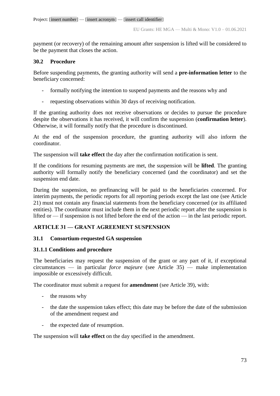payment (or recovery) of the remaining amount after suspension is lifted will be considered to be the payment that closes the action.

## **30.2 Procedure**

Before suspending payments, the granting authority will send a **pre-information letter** to the beneficiary concerned:

- formally notifying the intention to suspend payments and the reasons why and
- requesting observations within 30 days of receiving notification.

If the granting authority does not receive observations or decides to pursue the procedure despite the observations it has received, it will confirm the suspension (**confirmation letter**). Otherwise, it will formally notify that the procedure is discontinued.

At the end of the suspension procedure, the granting authority will also inform the coordinator.

The suspension will **take effect** the day after the confirmation notification is sent.

If the conditions for resuming payments are met, the suspension will be **lifted**. The granting authority will formally notify the beneficiary concerned (and the coordinator) and set the suspension end date.

During the suspension, no prefinancing will be paid to the beneficiaries concerned. For interim payments, the periodic reports for all reporting periods except the last one (see Article 21) must not contain any financial statements from the beneficiary concerned (or its affiliated entities). The coordinator must include them in the next periodic report after the suspension is lifted or — if suspension is not lifted before the end of the action — in the last periodic report.

## **ARTICLE 31 — GRANT AGREEMENT SUSPENSION**

## **31.1 Consortium-requested GA suspension**

## **31.1.1 Conditions and procedure**

The beneficiaries may request the suspension of the grant or any part of it, if exceptional circumstances — in particular *force majeure* (see Article 35) — make implementation impossible or excessively difficult.

The coordinator must submit a request for **amendment** (see Article 39), with:

- the reasons why
- the date the suspension takes effect; this date may be before the date of the submission of the amendment request and
- the expected date of resumption.

The suspension will **take effect** on the day specified in the amendment.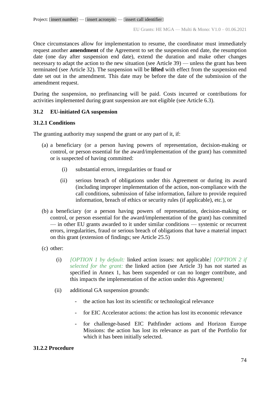Once circumstances allow for implementation to resume, the coordinator must immediately request another **amendment** of the Agreement to set the suspension end date, the resumption date (one day after suspension end date), extend the duration and make other changes necessary to adapt the action to the new situation (see Article 39) — unless the grant has been terminated (see Article 32). The suspension will be **lifted** with effect from the suspension end date set out in the amendment. This date may be before the date of the submission of the amendment request.

During the suspension, no prefinancing will be paid. Costs incurred or contributions for activities implemented during grant suspension are not eligible (see Article 6.3).

### **31.2 EU-initiated GA suspension**

### **31.2.1 Conditions**

The granting authority may suspend the grant or any part of it, if:

- (a) a beneficiary (or a person having powers of representation, decision-making or control, or person essential for the award/implementation of the grant) has committed or is suspected of having committed:
	- (i) substantial errors, irregularities or fraud or
	- (ii) serious breach of obligations under this Agreement or during its award (including improper implementation of the action, non-compliance with the call conditions, submission of false information, failure to provide required information, breach of ethics or security rules (if applicable), etc.), or
- (b) a beneficiary (or a person having powers of representation, decision-making or control, or person essential for the award/implementation of the grant) has committed — in other EU grants awarded to it under similar conditions — systemic or recurrent errors, irregularities, fraud or serious breach of obligations that have a material impact on this grant (extension of findings; see Article 25.5)
- (c) other:
	- (i) *[OPTION 1 by default:* linked action issues: not applicable*] [OPTION 2 if selected for the grant:* the linked action (see Article 3) has not started as specified in Annex 1, has been suspended or can no longer contribute, and this impacts the implementation of the action under this Agreement*]*
	- (ii) additional GA suspension grounds:
		- the action has lost its scientific or technological relevance
		- for EIC Accelerator actions: the action has lost its economic relevance
		- for challenge-based EIC Pathfinder actions and Horizon Europe Missions: the action has lost its relevance as part of the Portfolio for which it has been initially selected.

### **31.2.2 Procedure**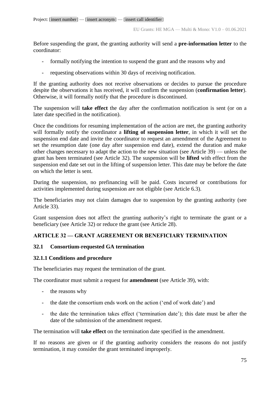Before suspending the grant, the granting authority will send a **pre-information letter** to the coordinator:

- formally notifying the intention to suspend the grant and the reasons why and
- requesting observations within 30 days of receiving notification.

If the granting authority does not receive observations or decides to pursue the procedure despite the observations it has received, it will confirm the suspension (**confirmation letter**). Otherwise, it will formally notify that the procedure is discontinued.

The suspension will **take effect** the day after the confirmation notification is sent (or on a later date specified in the notification).

Once the conditions for resuming implementation of the action are met, the granting authority will formally notify the coordinator a **lifting of suspension letter**, in which it will set the suspension end date and invite the coordinator to request an amendment of the Agreement to set the resumption date (one day after suspension end date), extend the duration and make other changes necessary to adapt the action to the new situation (see Article 39) — unless the grant has been terminated (see Article 32). The suspension will be **lifted** with effect from the suspension end date set out in the lifting of suspension letter. This date may be before the date on which the letter is sent.

During the suspension, no prefinancing will be paid. Costs incurred or contributions for activities implemented during suspension are not eligible (see Article 6.3).

The beneficiaries may not claim damages due to suspension by the granting authority (see Article 33).

Grant suspension does not affect the granting authority's right to terminate the grant or a beneficiary (see Article 32) or reduce the grant (see Article 28).

## **ARTICLE 32 — GRANT AGREEMENT OR BENEFICIARY TERMINATION**

## **32.1 Consortium-requested GA termination**

## **32.1.1 Conditions and procedure**

The beneficiaries may request the termination of the grant.

The coordinator must submit a request for **amendment** (see Article 39), with:

- the reasons why
- the date the consortium ends work on the action ('end of work date') and
- the date the termination takes effect ('termination date'); this date must be after the date of the submission of the amendment request.

The termination will **take effect** on the termination date specified in the amendment.

If no reasons are given or if the granting authority considers the reasons do not justify termination, it may consider the grant terminated improperly.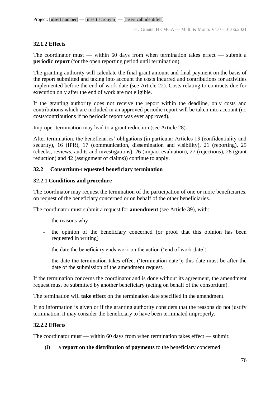## **32.1.2 Effects**

The coordinator must — within 60 days from when termination takes effect — submit a **periodic report** (for the open reporting period until termination).

The granting authority will calculate the final grant amount and final payment on the basis of the report submitted and taking into account the costs incurred and contributions for activities implemented before the end of work date (see Article 22). Costs relating to contracts due for execution only after the end of work are not eligible.

If the granting authority does not receive the report within the deadline, only costs and contributions which are included in an approved periodic report will be taken into account (no costs/contributions if no periodic report was ever approved)*.*

Improper termination may lead to a grant reduction (see Article 28).

After termination, the beneficiaries' obligations (in particular Articles 13 (confidentiality and security), 16 (IPR), 17 (communication, dissemination and visibility), 21 (reporting), 25 (checks, reviews, audits and investigations), 26 (impact evaluation), 27 (rejections), 28 (grant reduction) and 42 (assignment of claims)) continue to apply.

## **32.2 Consortium-requested beneficiary termination**

## **32.2.1 Conditions and procedure**

The coordinator may request the termination of the participation of one or more beneficiaries, on request of the beneficiary concerned or on behalf of the other beneficiaries.

The coordinator must submit a request for **amendment** (see Article 39), with:

- the reasons why
- the opinion of the beneficiary concerned (or proof that this opinion has been requested in writing)
- the date the beneficiary ends work on the action ('end of work date')
- the date the termination takes effect ('termination date'); this date must be after the date of the submission of the amendment request.

If the termination concerns the coordinator and is done without its agreement, the amendment request must be submitted by another beneficiary (acting on behalf of the consortium).

The termination will **take effect** on the termination date specified in the amendment.

If no information is given or if the granting authority considers that the reasons do not justify termination, it may consider the beneficiary to have been terminated improperly.

## **32.2.2 Effects**

The coordinator must — within 60 days from when termination takes effect — submit:

(i) a **report on the distribution of payments** to the beneficiary concerned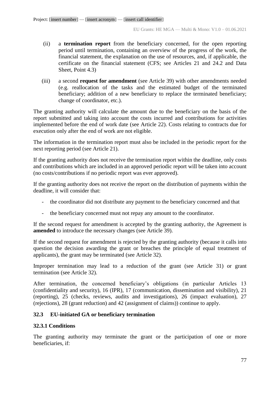- (ii) a **termination report** from the beneficiary concerned, for the open reporting period until termination, containing an overview of the progress of the work, the financial statement, the explanation on the use of resources, and, if applicable, the certificate on the financial statement (CFS; see Articles 21 and 24.2 and Data Sheet, Point 4.3)
- (iii) a second **request for amendment** (see Article 39) with other amendments needed (e.g. reallocation of the tasks and the estimated budget of the terminated beneficiary; addition of a new beneficiary to replace the terminated beneficiary; change of coordinator, etc.).

The granting authority will calculate the amount due to the beneficiary on the basis of the report submitted and taking into account the costs incurred and contributions for activities implemented before the end of work date (see Article 22). Costs relating to contracts due for execution only after the end of work are not eligible.

The information in the termination report must also be included in the periodic report for the next reporting period (see Article 21).

If the granting authority does not receive the termination report within the deadline, only costs and contributions which are included in an approved periodic report will be taken into account (no costs/contributions if no periodic report was ever approved).

If the granting authority does not receive the report on the distribution of payments within the deadline, it will consider that:

- the coordinator did not distribute any payment to the beneficiary concerned and that
- the beneficiary concerned must not repay any amount to the coordinator.

If the second request for amendment is accepted by the granting authority, the Agreement is **amended** to introduce the necessary changes (see Article 39).

If the second request for amendment is rejected by the granting authority (because it calls into question the decision awarding the grant or breaches the principle of equal treatment of applicants), the grant may be terminated (see Article 32).

Improper termination may lead to a reduction of the grant (see Article 31) or grant termination (see Article 32).

After termination, the concerned beneficiary's obligations (in particular Articles 13 (confidentiality and security), 16 (IPR), 17 (communication, dissemination and visibility), 21 (reporting), 25 (checks, reviews, audits and investigations), 26 (impact evaluation), 27 (rejections), 28 (grant reduction) and 42 (assignment of claims)) continue to apply.

### **32.3 EU-initiated GA or beneficiary termination**

### **32.3.1 Conditions**

The granting authority may terminate the grant or the participation of one or more beneficiaries, if: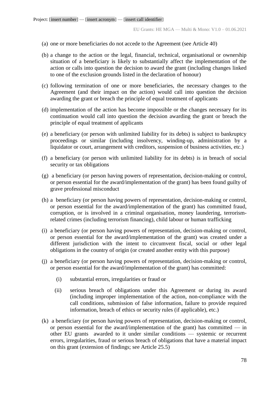- (a) one or more beneficiaries do not accede to the Agreement (see Article 40)
- (b) a change to the action or the legal, financial, technical, organisational or ownership situation of a beneficiary is likely to substantially affect the implementation of the action or calls into question the decision to award the grant (including changes linked to one of the exclusion grounds listed in the declaration of honour)
- (c) following termination of one or more beneficiaries, the necessary changes to the Agreement (and their impact on the action) would call into question the decision awarding the grant or breach the principle of equal treatment of applicants
- (d) implementation of the action has become impossible or the changes necessary for its continuation would call into question the decision awarding the grant or breach the principle of equal treatment of applicants
- (e) a beneficiary (or person with unlimited liability for its debts) is subject to bankruptcy proceedings or similar (including insolvency, winding-up, administration by a liquidator or court, arrangement with creditors, suspension of business activities, etc.)
- (f) a beneficiary (or person with unlimited liability for its debts) is in breach of social security or tax obligations
- (g) a beneficiary (or person having powers of representation, decision-making or control, or person essential for the award/implementation of the grant) has been found guilty of grave professional misconduct
- (h) a beneficiary (or person having powers of representation, decision-making or control, or person essential for the award/implementation of the grant) has committed fraud, corruption, or is involved in a criminal organisation, money laundering, terrorismrelated crimes (including terrorism financing), child labour or human trafficking
- (i) a beneficiary (or person having powers of representation, decision-making or control, or person essential for the award/implementation of the grant) was created under a different jurisdiction with the intent to circumvent fiscal, social or other legal obligations in the country of origin (or created another entity with this purpose)
- (j) a beneficiary (or person having powers of representation, decision-making or control, or person essential for the award/implementation of the grant) has committed:
	- (i) substantial errors, irregularities or fraud or
	- (ii) serious breach of obligations under this Agreement or during its award (including improper implementation of the action, non-compliance with the call conditions, submission of false information, failure to provide required information, breach of ethics or security rules (if applicable), etc.)
- (k) a beneficiary (or person having powers of representation, decision-making or control, or person essential for the award/implementation of the grant) has committed  $-$  in other EU grants awarded to it under similar conditions — systemic or recurrent errors, irregularities, fraud or serious breach of obligations that have a material impact on this grant (extension of findings; see Article 25.5)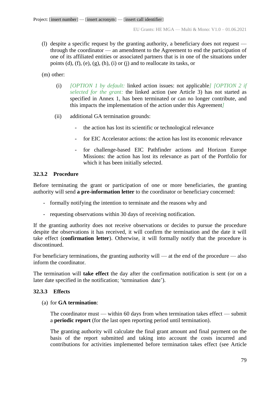(l) despite a specific request by the granting authority, a beneficiary does not request through the coordinator — an amendment to the Agreement to end the participation of one of its affiliated entities or associated partners that is in one of the situations under points (d),  $(f)$ ,  $(e)$ ,  $(g)$ ,  $(h)$ ,  $(i)$  or  $(i)$  and to reallocate its tasks, or

(m) other:

- (i) *[OPTION 1 by default:* linked action issues: not applicable*] [OPTION 2 if selected for the grant:* the linked action (see Article 3) has not started as specified in Annex 1, has been terminated or can no longer contribute, and this impacts the implementation of the action under this Agreement*]*
- (ii) additional GA termination grounds:
	- the action has lost its scientific or technological relevance
	- for EIC Accelerator actions: the action has lost its economic relevance
	- for challenge-based EIC Pathfinder actions and Horizon Europe Missions: the action has lost its relevance as part of the Portfolio for which it has been initially selected.

### **32.3.2 Procedure**

Before terminating the grant or participation of one or more beneficiaries, the granting authority will send **a pre-information letter** to the coordinator or beneficiary concerned:

- formally notifying the intention to terminate and the reasons why and
- requesting observations within 30 days of receiving notification.

If the granting authority does not receive observations or decides to pursue the procedure despite the observations it has received, it will confirm the termination and the date it will take effect (**confirmation letter**). Otherwise, it will formally notify that the procedure is discontinued.

For beneficiary terminations, the granting authority will — at the end of the procedure — also inform the coordinator.

The termination will **take effect** the day after the confirmation notification is sent (or on a later date specified in the notification; 'termination date').

## **32.3.3 Effects**

### (a) for **GA termination**:

The coordinator must — within 60 days from when termination takes effect — submit a **periodic report** (for the last open reporting period until termination).

The granting authority will calculate the final grant amount and final payment on the basis of the report submitted and taking into account the costs incurred and contributions for activities implemented before termination takes effect (see Article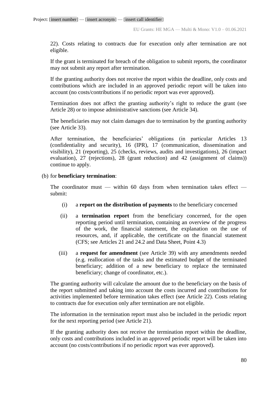22). Costs relating to contracts due for execution only after termination are not eligible.

If the grant is terminated for breach of the obligation to submit reports, the coordinator may not submit any report after termination.

If the granting authority does not receive the report within the deadline, only costs and contributions which are included in an approved periodic report will be taken into account (no costs/contributions if no periodic report was ever approved).

Termination does not affect the granting authority's right to reduce the grant (see Article 28) or to impose administrative sanctions (see Article 34).

The beneficiaries may not claim damages due to termination by the granting authority (see Article 33).

After termination, the beneficiaries' obligations (in particular Articles 13 (confidentiality and security), 16 (IPR), 17 (communication, dissemination and visibility), 21 (reporting), 25 (checks, reviews, audits and investigations), 26 (impact evaluation), 27 (rejections), 28 (grant reduction) and 42 (assignment of claims)) continue to apply.

### (b) for **beneficiary termination**:

The coordinator must — within 60 days from when termination takes effect submit:

- (i) a **report on the distribution of payments** to the beneficiary concerned
- (ii) a **termination report** from the beneficiary concerned, for the open reporting period until termination, containing an overview of the progress of the work, the financial statement, the explanation on the use of resources, and, if applicable, the certificate on the financial statement (CFS; see Articles 21 and 24.2 and Data Sheet, Point 4.3)
- (iii) a **request for amendment** (see Article 39) with any amendments needed (e.g. reallocation of the tasks and the estimated budget of the terminated beneficiary; addition of a new beneficiary to replace the terminated beneficiary; change of coordinator, etc.).

The granting authority will calculate the amount due to the beneficiary on the basis of the report submitted and taking into account the costs incurred and contributions for activities implemented before termination takes effect (see Article 22). Costs relating to contracts due for execution only after termination are not eligible.

The information in the termination report must also be included in the periodic report for the next reporting period (see Article 21).

If the granting authority does not receive the termination report within the deadline, only costs and contributions included in an approved periodic report will be taken into account (no costs/contributions if no periodic report was ever approved).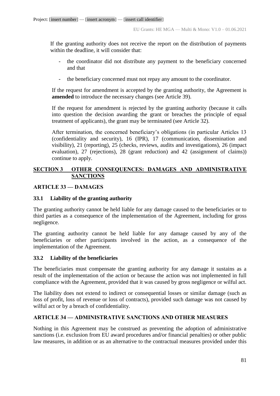If the granting authority does not receive the report on the distribution of payments within the deadline, it will consider that:

- the coordinator did not distribute any payment to the beneficiary concerned and that
- the beneficiary concerned must not repay any amount to the coordinator.

If the request for amendment is accepted by the granting authority, the Agreement is **amended** to introduce the necessary changes (see Article 39).

If the request for amendment is rejected by the granting authority (because it calls into question the decision awarding the grant or breaches the principle of equal treatment of applicants), the grant may be terminated (see Article 32).

After termination, the concerned beneficiary's obligations (in particular Articles 13 (confidentiality and security), 16 (IPR), 17 (communication, dissemination and visibility), 21 (reporting), 25 (checks, reviews, audits and investigations), 26 (impact evaluation), 27 (rejections), 28 (grant reduction) and 42 (assignment of claims)) continue to apply.

## **SECTION 3 OTHER CONSEQUENCES: DAMAGES AND ADMINISTRATIVE SANCTIONS**

## **ARTICLE 33 — DAMAGES**

## **33.1 Liability of the granting authority**

The granting authority cannot be held liable for any damage caused to the beneficiaries or to third parties as a consequence of the implementation of the Agreement, including for gross negligence.

The granting authority cannot be held liable for any damage caused by any of the beneficiaries or other participants involved in the action, as a consequence of the implementation of the Agreement.

## **33.2 Liability of the beneficiaries**

The beneficiaries must compensate the granting authority for any damage it sustains as a result of the implementation of the action or because the action was not implemented in full compliance with the Agreement, provided that it was caused by gross negligence or wilful act.

The liability does not extend to indirect or consequential losses or similar damage (such as loss of profit, loss of revenue or loss of contracts), provided such damage was not caused by wilful act or by a breach of confidentiality.

## **ARTICLE 34 — ADMINISTRATIVE SANCTIONS AND OTHER MEASURES**

Nothing in this Agreement may be construed as preventing the adoption of administrative sanctions (i.e. exclusion from EU award procedures and/or financial penalties) or other public law measures, in addition or as an alternative to the contractual measures provided under this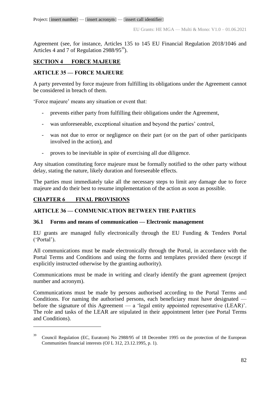Agreement (see, for instance, Articles 135 to 145 EU Financial Regulation 2018/1046 and Articles 4 and 7 of Regulation  $2988/95^{39}$ ).

## **SECTION 4 FORCE MAJEURE**

## **ARTICLE 35 — FORCE MAJEURE**

A party prevented by force majeure from fulfilling its obligations under the Agreement cannot be considered in breach of them.

'Force majeure' means any situation or event that:

- prevents either party from fulfilling their obligations under the Agreement,
- was unforeseeable, exceptional situation and beyond the parties' control,
- was not due to error or negligence on their part (or on the part of other participants involved in the action), and
- proves to be inevitable in spite of exercising all due diligence.

Any situation constituting force majeure must be formally notified to the other party without delay, stating the nature, likely duration and foreseeable effects.

The parties must immediately take all the necessary steps to limit any damage due to force majeure and do their best to resume implementation of the action as soon as possible.

# **CHAPTER 6 FINAL PROVISIONS**

 $\overline{a}$ 

## **ARTICLE 36 — COMMUNICATION BETWEEN THE PARTIES**

## **36.1 Forms and means of communication — Electronic management**

EU grants are managed fully electronically through the EU Funding & Tenders Portal ('Portal').

All communications must be made electronically through the Portal, in accordance with the Portal Terms and Conditions and using the forms and templates provided there (except if explicitly instructed otherwise by the granting authority).

Communications must be made in writing and clearly identify the grant agreement (project number and acronym).

Communications must be made by persons authorised according to the Portal Terms and Conditions. For naming the authorised persons, each beneficiary must have designated before the signature of this Agreement — a 'legal entity appointed representative (LEAR)'. The role and tasks of the LEAR are stipulated in their appointment letter (see Portal Terms and Conditions).

<sup>39</sup> Council Regulation (EC, Euratom) No 2988/95 of 18 December 1995 on the protection of the European Communities financial interests (OJ L 312, 23.12.1995, p. 1).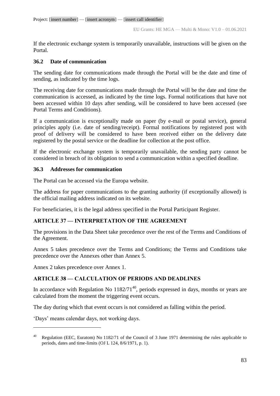EU Grants: HE MGA — Multi & Mono: V1.0 – 01.06.2021

If the electronic exchange system is temporarily unavailable, instructions will be given on the Portal.

## **36.2 Date of communication**

The sending date for communications made through the Portal will be the date and time of sending, as indicated by the time logs.

The receiving date for communications made through the Portal will be the date and time the communication is accessed, as indicated by the time logs. Formal notifications that have not been accessed within 10 days after sending, will be considered to have been accessed (see Portal Terms and Conditions).

If a communication is exceptionally made on paper (by e-mail or postal service), general principles apply (i.e. date of sending/receipt). Formal notifications by registered post with proof of delivery will be considered to have been received either on the delivery date registered by the postal service or the deadline for collection at the post office.

If the electronic exchange system is temporarily unavailable, the sending party cannot be considered in breach of its obligation to send a communication within a specified deadline.

## **36.3 Addresses for communication**

The Portal can be accessed via the Europa website.

The address for paper communications to the granting authority (if exceptionally allowed) is the official mailing address indicated on its website.

For beneficiaries, it is the legal address specified in the Portal Participant Register.

## **ARTICLE 37 — INTERPRETATION OF THE AGREEMENT**

The provisions in the Data Sheet take precedence over the rest of the Terms and Conditions of the Agreement.

Annex 5 takes precedence over the Terms and Conditions; the Terms and Conditions take precedence over the Annexes other than Annex 5.

Annex 2 takes precedence over Annex 1.

## **ARTICLE 38 — CALCULATION OF PERIODS AND DEADLINES**

In accordance with Regulation No  $1182/71^{40}$ , periods expressed in days, months or years are calculated from the moment the triggering event occurs.

The day during which that event occurs is not considered as falling within the period.

'Days' means calendar days, not working days.

 $\overline{a}$ 

<sup>&</sup>lt;sup>40</sup> Regulation (EEC, Euratom) No 1182/71 of the Council of 3 June 1971 determining the rules applicable to periods, dates and time-limits (OJ L 124, 8/6/1971, p. 1).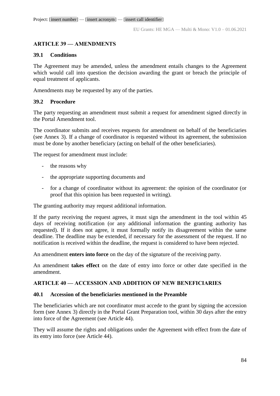## **ARTICLE 39 — AMENDMENTS**

### **39.1 Conditions**

The Agreement may be amended, unless the amendment entails changes to the Agreement which would call into question the decision awarding the grant or breach the principle of equal treatment of applicants.

Amendments may be requested by any of the parties.

## **39.2 Procedure**

The party requesting an amendment must submit a request for amendment signed directly in the Portal Amendment tool.

The coordinator submits and receives requests for amendment on behalf of the beneficiaries (see Annex 3). If a change of coordinator is requested without its agreement, the submission must be done by another beneficiary (acting on behalf of the other beneficiaries).

The request for amendment must include:

- the reasons why
- the appropriate supporting documents and
- for a change of coordinator without its agreement: the opinion of the coordinator (or proof that this opinion has been requested in writing).

The granting authority may request additional information.

If the party receiving the request agrees, it must sign the amendment in the tool within 45 days of receiving notification (or any additional information the granting authority has requested). If it does not agree, it must formally notify its disagreement within the same deadline. The deadline may be extended, if necessary for the assessment of the request. If no notification is received within the deadline, the request is considered to have been rejected.

An amendment **enters into force** on the day of the signature of the receiving party.

An amendment **takes effect** on the date of entry into force or other date specified in the amendment.

## **ARTICLE 40 — ACCESSION AND ADDITION OF NEW BENEFICIARIES**

### **40.1 Accession of the beneficiaries mentioned in the Preamble**

The beneficiaries which are not coordinator must accede to the grant by signing the accession form (see Annex 3) directly in the Portal Grant Preparation tool, within 30 days after the entry into force of the Agreement (see Article 44).

They will assume the rights and obligations under the Agreement with effect from the date of its entry into force (see Article 44).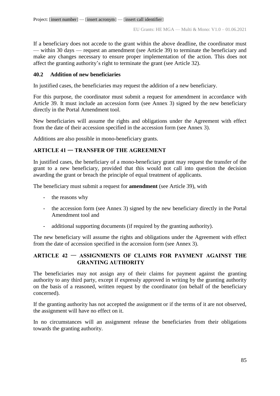If a beneficiary does not accede to the grant within the above deadline, the coordinator must — within 30 days — request an amendment (see Article 39) to terminate the beneficiary and make any changes necessary to ensure proper implementation of the action. This does not affect the granting authority's right to terminate the grant (see Article 32).

## **40.2 Addition of new beneficiaries**

In justified cases, the beneficiaries may request the addition of a new beneficiary.

For this purpose, the coordinator must submit a request for amendment in accordance with Article 39. It must include an accession form (see Annex 3) signed by the new beneficiary directly in the Portal Amendment tool.

New beneficiaries will assume the rights and obligations under the Agreement with effect from the date of their accession specified in the accession form (see Annex 3).

Additions are also possible in mono-beneficiary grants.

## **ARTICLE 41** — **TRANSFER OF THE AGREEMENT**

In justified cases, the beneficiary of a mono-beneficiary grant may request the transfer of the grant to a new beneficiary, provided that this would not call into question the decision awarding the grant or breach the principle of equal treatment of applicants.

The beneficiary must submit a request for **amendment** (see Article 39), with

- the reasons why
- the accession form (see Annex 3) signed by the new beneficiary directly in the Portal Amendment tool and
- additional supporting documents (if required by the granting authority).

The new beneficiary will assume the rights and obligations under the Agreement with effect from the date of accession specified in the accession form (see Annex 3).

## **ARTICLE 42** — **ASSIGNMENTS OF CLAIMS FOR PAYMENT AGAINST THE GRANTING AUTHORITY**

The beneficiaries may not assign any of their claims for payment against the granting authority to any third party, except if expressly approved in writing by the granting authority on the basis of a reasoned, written request by the coordinator (on behalf of the beneficiary concerned).

If the granting authority has not accepted the assignment or if the terms of it are not observed, the assignment will have no effect on it.

In no circumstances will an assignment release the beneficiaries from their obligations towards the granting authority.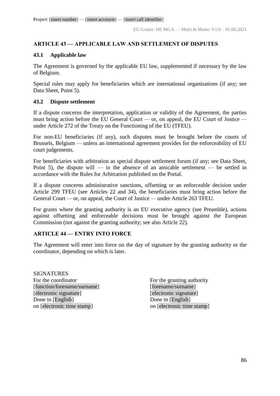## **ARTICLE 43 — APPLICABLE LAW AND SETTLEMENT OF DISPUTES**

## **43.1 Applicable law**

The Agreement is governed by the applicable EU law, supplemented if necessary by the law of Belgium.

Special rules may apply for beneficiaries which are international organisations (if any; see Data Sheet, Point 5).

## **43.2 Dispute settlement**

If a dispute concerns the interpretation, application or validity of the Agreement, the parties must bring action before the EU General Court *—* or, on appeal, the EU Court of Justice  under Article 272 of the Treaty on the Functioning of the EU (TFEU).

For non-EU beneficiaries (if any), such disputes must be brought before the courts of Brussels, Belgium *—* unless an international agreement provides for the enforceability of EU court judgements.

For beneficiaries with arbitration as special dispute settlement forum (if any; see Data Sheet, Point 5), the dispute will — in the absence of an amicable settlement — be settled in accordance with the Rules for Arbitration published on the Portal.

If a dispute concerns administrative sanctions, offsetting or an enforceable decision under Article 299 TFEU (see Articles 22 and 34), the beneficiaries must bring action before the General Court *—* or, on appeal, the Court of Justice *—* under Article 263 TFEU.

For grants where the granting authority is an EU executive agency (see Preamble), actions against offsetting and enforceable decisions must be brought against the European Commission (not against the granting authority; see also Article 22).

## **ARTICLE 44 — ENTRY INTO FORCE**

The Agreement will enter into force on the day of signature by the granting authority or the coordinator, depending on which is later.

**SIGNATURES** For the coordinator For the granting authority [function/forename/surname] [forename/surname] [electronic signature] [electronic signature] Done in [English] Done in [English] on [electronic time stamp] on [electronic time stamp]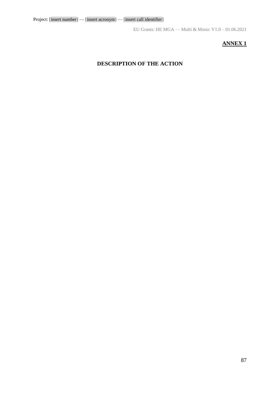## **ANNEX 1**

## **DESCRIPTION OF THE ACTION**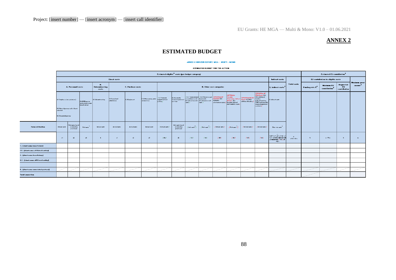## **ANNEX 2**

## **ESTIMATED BUDGET**

#### ANNEX 2 HORIZON EUROPE MGA - MULTI + MONO

#### **ESTIMATED BUDGET FOR THE ACTION**

|                                     | Estimated eligible <sup>1</sup> costs (per budget category)                                           |                                               |            |                               |              |              |                                                       |                          |                                               |                    |                                       |                                                |                                                 |                                                       |                                                                                                           | <b>Estimated EU contribution<sup>2</sup></b>                                               |                                                                                                       |                                               |                                                                                                                                                           |                   |                |  |  |  |  |
|-------------------------------------|-------------------------------------------------------------------------------------------------------|-----------------------------------------------|------------|-------------------------------|--------------|--------------|-------------------------------------------------------|--------------------------|-----------------------------------------------|--------------------|---------------------------------------|------------------------------------------------|-------------------------------------------------|-------------------------------------------------------|-----------------------------------------------------------------------------------------------------------|--------------------------------------------------------------------------------------------|-------------------------------------------------------------------------------------------------------|-----------------------------------------------|-----------------------------------------------------------------------------------------------------------------------------------------------------------|-------------------|----------------|--|--|--|--|
|                                     | Indirect costs<br><b>Direct costs</b>                                                                 |                                               |            |                               |              |              |                                                       |                          |                                               |                    |                                       |                                                |                                                 | <b>EU</b> contribution to eligible costs              |                                                                                                           |                                                                                            |                                                                                                       |                                               |                                                                                                                                                           |                   |                |  |  |  |  |
|                                     | A. Personnel costs                                                                                    |                                               |            | В.<br>Subcontracting<br>costs |              |              | <b>C. Purchase costs</b>                              |                          |                                               |                    | D. Other cost categories              |                                                |                                                 | E. Indirect costs <sup>'</sup>                        | <b>Total costs</b>                                                                                        | Funding rate 2                                                                             | <b>Mazinum EU</b><br>contribution                                                                     | Requested<br>EU.<br>contribution              | <b>Mazinum</b> grant<br>anount <sup>5</sup>                                                                                                               |                   |                |  |  |  |  |
|                                     | A.1 Employeer (or equivalent)<br>A.2 Natural persons under direct<br>contract<br>A.3 Seconded persons |                                               |            |                               |              |              | A.4 SME aunotz<br>and natural person<br>beneficiarier | <b>B. Subcantracting</b> | C.1Traveland<br>zubzirtonco                   | C.2 Equipment      | 0.3 Other goods, works<br>endzorvicoz | /D.1Financial<br>ruppart to third<br>partier 7 | D.2 Internally<br>invaiced gandrand<br>rervicer | accorr taroroarch<br>infrastructure unit<br>$curve$ ) | / D.3 Transnational / D.4 Virtual accoss / COP7/COY/or HE<br>tarerearch<br>infractructure unit<br>carte / | <b>POPAPALO 5</b><br>PCP/PPI<br>pracurement cartr / Eurotam Cafund                         | <b>CFTION</b><br>Eurotam<br>Fragramme Cafund Grents: D.TERC<br>Actions: D.6<br>staff mability casts ] | <b>[OFTION for HEIT</b><br>additional funding | [OFTION for HE<br><b>ERC Greats: D.S.</b><br>ERC additional<br>funding<br>(rubcantracting,<br><b>FSTP</b> and internall:<br>invalced gasdrand<br>curve(1) | E. Indirect cartr |                |  |  |  |  |
| <b>Forms of funding</b>             | Actual carty                                                                                          | Unit cartr (urual<br>accounting<br>practicer) | Unit carty | Actual cartz                  | Actual carty | Actual carty | Actual carty                                          | (Actual carte)           | Unit carte (urual<br>accounting<br>practicer) | $[$ Unit cartz $]$ | $/$ Unit carts <sup>7</sup>           | [ netual cart ]                                | [Unit carte <sup>7</sup> ]                      | $ $ Actual care $ $                                   | [ netual cart ]                                                                                           | Flattrate carty                                                                            |                                                                                                       |                                               |                                                                                                                                                           |                   |                |  |  |  |  |
|                                     | $-41$                                                                                                 | q <sup>2</sup>                                | $43 -$     | $\overline{b}$                | $-41$        | $<2$         | $-63$                                                 | 741a7                    | d <sub>2</sub>                                | 7437               | 7447                                  | 7457                                           | 7467                                            | 1472                                                  | 7487                                                                                                      | $\bullet$ -<br>0,25" (a1+ a2+ a3 A++ c1<br>+42+43+44+42+42+44<br>$1 - 47 - 47 + 17$<br>49) | $F -$<br>$a + b + c + d + c$                                                                          | <b>U</b>                                      | $-4 - F^*UZ$                                                                                                                                              | $\mathbf{h}$      | $\mathbf{m}_1$ |  |  |  |  |
| - [zhurt name beneficiary]          |                                                                                                       |                                               |            |                               |              |              |                                                       |                          |                                               |                    |                                       |                                                |                                                 |                                                       |                                                                                                           |                                                                                            |                                                                                                       |                                               |                                                                                                                                                           |                   |                |  |  |  |  |
| .1 – [rhurt name affiliated entity] |                                                                                                       |                                               |            |                               |              |              |                                                       |                          |                                               |                    |                                       |                                                |                                                 |                                                       |                                                                                                           |                                                                                            |                                                                                                       |                                               |                                                                                                                                                           |                   |                |  |  |  |  |
| - [zhurt name beneficiary]          |                                                                                                       |                                               |            |                               |              |              |                                                       |                          |                                               |                    |                                       |                                                |                                                 |                                                       |                                                                                                           |                                                                                            |                                                                                                       |                                               |                                                                                                                                                           |                   |                |  |  |  |  |
| .1 – [rhurt name affiliated entity] |                                                                                                       |                                               |            |                               |              |              |                                                       |                          |                                               |                    |                                       |                                                |                                                 |                                                       |                                                                                                           |                                                                                            |                                                                                                       |                                               |                                                                                                                                                           |                   |                |  |  |  |  |
|                                     |                                                                                                       |                                               |            |                               |              |              |                                                       |                          |                                               |                    |                                       |                                                |                                                 |                                                       |                                                                                                           |                                                                                            |                                                                                                       |                                               |                                                                                                                                                           |                   |                |  |  |  |  |
| - [rhurt name arruciated partner]   |                                                                                                       |                                               |            |                               |              |              |                                                       |                          |                                               |                    |                                       |                                                |                                                 |                                                       |                                                                                                           |                                                                                            |                                                                                                       |                                               |                                                                                                                                                           |                   |                |  |  |  |  |
| atel concertion                     |                                                                                                       |                                               |            |                               |              |              |                                                       |                          |                                               |                    |                                       |                                                |                                                 |                                                       |                                                                                                           |                                                                                            |                                                                                                       |                                               |                                                                                                                                                           |                   |                |  |  |  |  |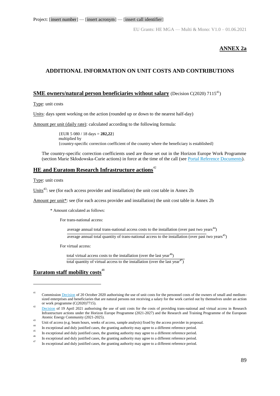EU Grants: HE MGA — Multi & Mono: V1.0 – 01.06.2021

### **ANNEX 2a**

## **ADDITIONAL INFORMATION ON UNIT COSTS AND CONTRIBUTIONS**

### **SME owners/natural person beneficiaries without salary** (Decision C(2020) 7115<sup>41</sup>)

Type: unit costs

Units: days spent working on the action (rounded up or down to the nearest half-day)

Amount per unit (daily rate): calculated according to the following formula:

{EUR 5 080 / 18 days = **282,22**} multiplied by {country-specific correction coefficient of the country where the beneficiary is established}

The country-specific correction coefficients used are those set out in the Horizon Europe Work Programme (section Marie Skłodowska-Curie actions) in force at the time of the call (see [Portal Reference Documents\)](https://ec.europa.eu/info/funding-tenders/opportunities/portal/screen/how-to-participate/reference-documents;programCode=HORIZON).

## **HE and Euratom Research Infrastructure actions**<sup>42</sup>

Type: unit costs

<u>.</u>

Units<sup>43</sup>: see (for each access provider and installation) the unit cost table in Annex 2b

Amount per unit\*: see (for each access provider and installation) the unit cost table in Annex 2b

\* Amount calculated as follows:

For trans-national access:

average annual total trans-national access costs to the installation (over past two years<sup>44</sup>)

 $\frac{1}{2}$  average annual total quantity of trans-national access to the installation (over past two years<sup>45</sup>)

For virtual access:

total virtual access costs to the installation (over the last year<sup>46</sup>) total quantity of virtual access to the installation (over the last year<sup>47</sup>)

### **Euratom staff mobility costs**<sup>48</sup>

<sup>41</sup> Commissio[n Decision](https://ec.europa.eu/info/funding-tenders/opportunities/docs/2021-2027/common/guidance/unit-cost-decision-sme-owners-natural-persons_en.pdf) of 20 October 2020 authorising the use of unit costs for the personnel costs of the owners of small and mediumsized enterprises and beneficiaries that are natural persons not receiving a salary for the work carried out by themselves under an action or work programme (C(2020)7715). 42

[Decision](https://ec.europa.eu/info/funding-tenders/opportunities/docs/2021-2027/common/guidance/unit-cost-decision-research-infrastructures_horizon-euratom_en.pdf) of 19 April 2021 authorising the use of unit costs for the costs of providing trans-national and virtual access in Research Infrastructure actions under the Horizon Europe Programme (2021-2027) and the Research and Training Programme of the European Atomic Energy Community (2021-2025).  $43$ 

Unit of access (e.g. beam hours, weeks of access, sample analysis) fixed by the access provider in proposal. 44

In exceptional and duly justified cases, the granting authority may agree to a different reference period. 45

In exceptional and duly justified cases, the granting authority may agree to a different reference period. 46

In exceptional and duly justified cases, the granting authority may agree to a different reference period. 47

In exceptional and duly justified cases, the granting authority may agree to a different reference period.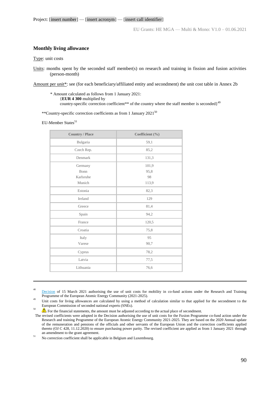### **Monthly living allowance**

Type: unit costs

Amount per unit\*: see (for each beneficiary/affiliated entity and secondment) the unit cost table in Annex 2b

\* Amount calculated as follows from 1 January 2021: {**EUR 4 300** multiplied by country-specific correction coefficient\*\* of the country where the staff member is seconded $1^{49}$ 

\*\*Country-specific correction coefficients as from 1 January 2021<sup>50</sup>

EU-Member States<sup>51</sup>

| <b>Country / Place</b> | Coefficient (%) |
|------------------------|-----------------|
| Bulgaria               | 59,1            |
| Czech Rep.             | 85,2            |
| Denmark                | 131,3           |
| Germany                | 101,9           |
| Bonn                   | 95,8            |
| Karlsruhe              | 98              |
| Munich                 | 113,9           |
| Estonia                | 82,3            |
| Ireland                | 129             |
| Greece                 | 81,4            |
| Spain                  | 94,2            |
| France                 | 120,5           |
| Croatia                | 75,8            |
| Italy                  | 95              |
| Varese                 | 90,7            |
| Cyprus                 | 78,2            |
| Latvia                 | 77,5            |
| Lithuania              | 76,6            |

1 48

[Decision](https://ec.europa.eu/info/funding-tenders/opportunities/docs/2021-2027/euratom/guidance/unit-cost-decision-staff-mobility_euratom_en.pdf) of 15 March 2021 authorising the use of unit costs for mobility in co-fund actions under the Research and Training Programme of the European Atomic Energy Community (2021-2025). 49

 Unit costs for living allowances are calculated by using a method of calculation similar to that applied for the secondment to the European Commission of seconded national experts (SNEs). 50

For the financial statements, the amount must be adjusted according to the actual place of secondment.

No correction coefficient shall be applicable in Belgium and Luxembourg.

Units: months spent by the seconded staff member(s) on research and training in fission and fusion activities (person-month)

The revised coefficients were adopted in the Decision authorising the use of unit costs for the Fusion Programme co-fund action under the Research and training Programme of the European Atomic Energy Community 2021-2025. They are based on the 2020 Annual update of the remuneration and pensions of the officials and other servants of the European Union and the correction coefficients applied thereto (OJ C 428, 11.12.2020) to ensure purchasing power parity. The revised coefficient are applied as from 1 January 2021 through an amendment to the grant agreement. 51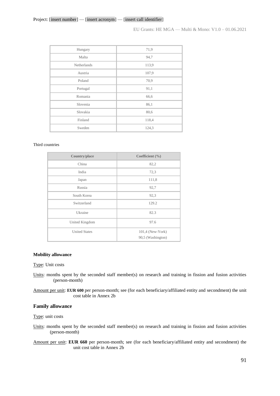### Project: [insert number] — [insert acronym] — [insert call identifier]

EU Grants: HE MGA — Multi & Mono: V1.0 – 01.06.2021

| Hungary     | 71,9  |
|-------------|-------|
| Malta       | 94,7  |
| Netherlands | 113,9 |
| Austria     | 107,9 |
| Poland      | 70,9  |
| Portugal    | 91,1  |
| Romania     | 66,6  |
| Slovenia    | 86,1  |
| Slovakia    | 80,6  |
| Finland     | 118,4 |
| Sweden      | 124,3 |

#### Third countries

| Country/place        | Coefficient $(\% )$                     |
|----------------------|-----------------------------------------|
| China                | 82,2                                    |
| India                | 72,3                                    |
| Japan                | 111,8                                   |
| Russia               | 92,7                                    |
| South Korea          | 92,3                                    |
| Switzerland          | 129.2                                   |
| Ukraine              | 82.3                                    |
| United Kingdom       | 97.6                                    |
| <b>United States</b> | $101.4$ (New-York)<br>90,5 (Washington) |

#### **Mobility allowance**

Type: Unit costs

Units: months spent by the seconded staff member(s) on research and training in fission and fusion activities (person-month)

Amount per unit: **EUR 600** per person-month; see (for each beneficiary/affiliated entity and secondment) the unit cost table in Annex 2b

### **Family allowance**

Type: unit costs

Units: months spent by the seconded staff member(s) on research and training in fission and fusion activities (person-month)

Amount per unit: **EUR 660** per person-month; see (for each beneficiary/affiliated entity and secondment) the unit cost table in Annex 2b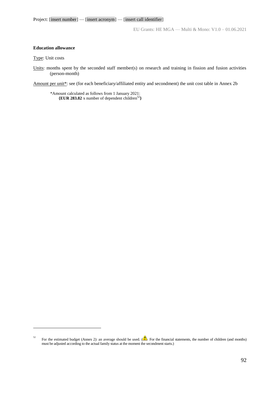EU Grants: HE MGA — Multi & Mono: V1.0 – 01.06.2021

### **Education allowance**

Type: Unit costs

1

Units: months spent by the seconded staff member(s) on research and training in fission and fusion activities (person-month)

Amount per unit\*: see (for each beneficiary/affiliated entity and secondment) the unit cost table in Annex 2b

\*Amount calculated as follows from 1 January 2021: **{EUR 283.82** x number of dependent children<sup>52</sup>**}**

<sup>52</sup> For the estimated budget (Annex 2): an average should be used. ( $\blacksquare$ ) For the financial statements, the number of children (and months) must be adjusted according to the actual family status at the moment the secondment starts.)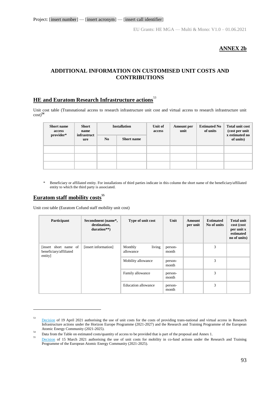## **ANNEX 2b**

## **ADDITIONAL INFORMATION ON CUSTOMISED UNIT COSTS AND CONTRIBUTIONS**

### **HE and Euratom Research Infrastructure actions**<sup>53</sup>

Unit cost table (Transnational access to research infrastructure unit cost and virtual access to research infrastructure unit cost)**<sup>54</sup>**

| <b>Short name</b><br>access | <b>Short</b><br>name<br>infrastruct |                | <b>Installation</b> | Unit of<br>access | Amount per<br>unit | <b>Estimated No</b><br>of units | Total unit cost<br>$\left(\text{cost per unit}\right)$<br>x estimated no |  |  |
|-----------------------------|-------------------------------------|----------------|---------------------|-------------------|--------------------|---------------------------------|--------------------------------------------------------------------------|--|--|
| provider*                   | ure                                 | N <sub>0</sub> | <b>Short name</b>   |                   |                    |                                 | of units)                                                                |  |  |
|                             |                                     |                |                     |                   |                    |                                 |                                                                          |  |  |
|                             |                                     |                |                     |                   |                    |                                 |                                                                          |  |  |
|                             |                                     |                |                     |                   |                    |                                 |                                                                          |  |  |

\* Beneficiary or affiliated entity. For installations of third parties indicate in this column the short name of the beneficiary/affiliated entity to which the third party is associated.

### **Euratom staff mobility costs<sup>55</sup>**

<u>.</u>

Unit cost table (Euratom Cofund staff mobility unit cost)

| Participant                                                | Secondment (name*,<br>destination,<br>duration**) | Type of unit cost              | Unit             | Amount<br>per unit | <b>Estimated</b><br>No of units | <b>Total unit</b><br>cost (cost<br>per unit x<br>estimated<br>no of units) |
|------------------------------------------------------------|---------------------------------------------------|--------------------------------|------------------|--------------------|---------------------------------|----------------------------------------------------------------------------|
| [insert short name of<br>beneficiary/affiliated<br>entity] | [insert information]                              | living<br>Monthly<br>allowance | person-<br>month |                    | 3                               |                                                                            |
|                                                            |                                                   | Mobility allowance             | person-<br>month |                    | 3                               |                                                                            |
|                                                            |                                                   | Family allowance               | person-<br>month |                    | 3                               |                                                                            |
|                                                            |                                                   | <b>Education allowance</b>     | person-<br>month |                    | 3                               |                                                                            |

<sup>53</sup> [Decision](https://ec.europa.eu/info/funding-tenders/opportunities/docs/2021-2027/common/guidance/unit-cost-decision-research-infrastructures_horizon-euratom_en.pdf) of 19 April 2021 authorising the use of unit costs for the costs of providing trans-national and virtual access in Research Infrastructure actions under the Horizon Europe Programme (2021-2027) and the Research and Training Programme of the European Atomic Energy Community (2021-2025). 54

Data from the Table on estimated costs/quantity of access to be provided that is part of the proposal and Annex 1. 55

[Decision](https://ec.europa.eu/info/funding-tenders/opportunities/docs/2021-2027/euratom/guidance/unit-cost-decision-staff-mobility_euratom_en.pdf) of 15 March 2021 authorising the use of unit costs for mobility in co-fund actions under the Research and Training Programme of the European Atomic Energy Community (2021-2025).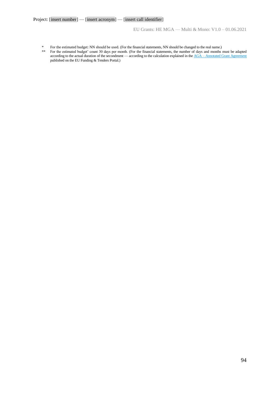EU Grants: HE MGA — Multi & Mono: V1.0 – 01.06.2021

- \* For the estimated budget: NN should be used. (For the financial statements, NN should be changed to the real name.)<br>\*\* For the estimated budget' count 30 days per month. (For the financial statements, the number of days
- \*\* For the estimated budget' count 30 days per month. (For the financial statements, the number of days and months must be adapted according to the actual duration of the secondment — according to the calculation explained in the AGA – [Annotated Grant Agreement](https://ec.europa.eu/info/funding-tenders/opportunities/docs/2021-2027/common/guidance/aga_en.pdf) published on the EU Funding & Tenders Portal.)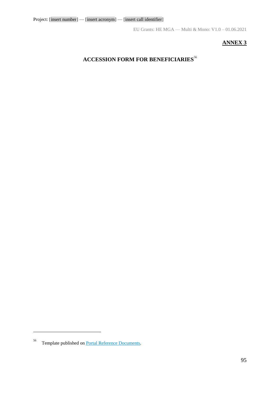## **ANNEX 3**

# **ACCESSION FORM FOR BENEFICIARIES**<sup>56</sup>

<u>.</u>

<sup>56</sup> Template published on [Portal Reference Documents.](https://ec.europa.eu/info/funding-tenders/opportunities/portal/screen/how-to-participate/reference-documents)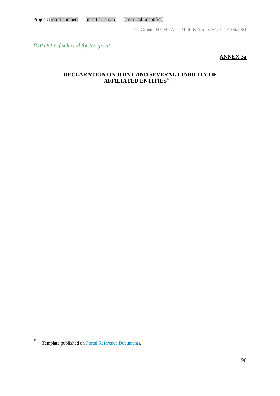*[OPTION if selected for the grant:*

## **ANNEX 3a**

## **DECLARATION ON JOINT AND SEVERAL LIABILITY OF AFFILIATED ENTITIES**<sup>57</sup> *]*

 $\overline{a}$ 

<sup>57</sup> Template published on [Portal Reference Documents.](https://ec.europa.eu/info/funding-tenders/opportunities/portal/screen/how-to-participate/reference-documents)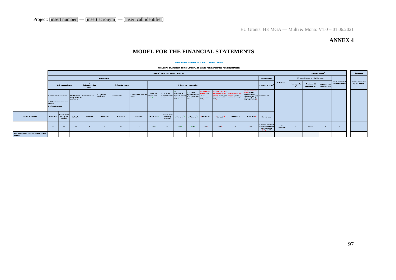## **ANNEX 4**

# **MODEL FOR THE FINANCIAL STATEMENTS**

#### ANNEX 4 HORIZON EUROPE MGA - MULTI - MONO

FINANCIAL STATEMENT FOR [PARTICIPANT NAME] FOR REPORTING PERIOD [NUMBER]

|                                                     | Eligible" carte (per budget category)    |                                          |                                     |                                                                    |                             |               |                                               |                                                      |                                              |                                                                                                                                                                           |                                           |                                                                                |                                                                                                                                                      |                                    | EU castributins <sup>2</sup>                                                                                                                              |                                                                                                                |             |              | <b>Revenuer</b>                                          |              |                   |                                            |
|-----------------------------------------------------|------------------------------------------|------------------------------------------|-------------------------------------|--------------------------------------------------------------------|-----------------------------|---------------|-----------------------------------------------|------------------------------------------------------|----------------------------------------------|---------------------------------------------------------------------------------------------------------------------------------------------------------------------------|-------------------------------------------|--------------------------------------------------------------------------------|------------------------------------------------------------------------------------------------------------------------------------------------------|------------------------------------|-----------------------------------------------------------------------------------------------------------------------------------------------------------|----------------------------------------------------------------------------------------------------------------|-------------|--------------|----------------------------------------------------------|--------------|-------------------|--------------------------------------------|
|                                                     | Direct carte<br><b>Indicate carte</b>    |                                          |                                     |                                                                    |                             |               |                                               |                                                      |                                              |                                                                                                                                                                           |                                           |                                                                                |                                                                                                                                                      | EU contribution to a ligible carte |                                                                                                                                                           |                                                                                                                |             |              |                                                          |              |                   |                                            |
|                                                     | A. Petronial carte                       |                                          |                                     |                                                                    |                             |               | Subcentracting<br>carte                       | C. Perchara carts                                    |                                              |                                                                                                                                                                           | <b>D. Other cart categories</b>           |                                                                                |                                                                                                                                                      |                                    |                                                                                                                                                           | E. Indiract curty <sup>"</sup>                                                                                 | Tatal carty | Funding rate | Maximum EU   Requested EU Contribution<br>contribution." | contribution | Taxabian part and | <b>Insurary processed</b><br>by the action |
|                                                     | <b>Lantract</b><br>A.3 Svesnded jear and | A.2Natural popmany under direct          | and natural person<br>here finitely | A.1Employeer (a) equivalent)   A.4 SME authors   B. Subcantracting | C.1Traveland<br>rubristance | O.) Easipment | D.J Other goods, upsile and<br><b>Jonicas</b> | [DelFinancial]<br><b>Lupperttettird</b><br>partier.) | D. Harassally                                | 7D3<br>Trasecutional<br>invalued (android accounts non-architectural district design)<br>  services<br>  services   services   services   services   services  <br>carte? | /D.4 Fireuil<br>accustoratearch<br>lses : | <b>TOPTIONING RE</b><br><b>PORMES LLC</b><br>'Instrume<br>procurament<br>curv2 | <b>SCHONING Excelsion</b><br>President Coloral LOFTING METRO<br>Acclear D.Corsten, Davis 1,7Eh0<br>CatusdrtsFfmability additional funding/<br>caste? |                                    | <b>COPTION FOR HEATIC</b><br>Graver, D.FERC<br>aldtimilluidha<br>Crui centractine, FSTP E. Indirect care<br>ardintentally invalued<br>quadrandzervices) / |                                                                                                                |             |              |                                                          |              |                   |                                            |
| Forms of Funding                                    | Actualcure                               | Unit care (weal<br>counting<br>practiced | Unit carty"                         | <b>Retual carty</b>                                                | Actualcarts                 | Actualcartz   | <b>Robust carty</b>                           | [Actial carts]                                       | Unit cars (used<br>accounting<br>prooficiar) | /Usiteart                                                                                                                                                                 | /United of                                | I fictual anti-f                                                               | / Unit carter 7                                                                                                                                      | glasted cars gl                    | [ Robert care ]                                                                                                                                           | Flattrate carty                                                                                                |             |              |                                                          |              |                   |                                            |
|                                                     | $-4$                                     |                                          | $\sqrt{2}$                          |                                                                    | $-1$                        | -42.1         | $-2$                                          | $2 - 2$                                              | -42.                                         | $7 - 7$                                                                                                                                                                   | 2.442                                     | 141                                                                            | $\mathcal{L}$                                                                                                                                        | 2472                               | 7392                                                                                                                                                      | $\Delta$<br>0.25° G1+ 22+ 22 A&+<br>والمتواصبة المتوارد ويردان<br>الإنجابية والمداير وبالمست<br>$1 - 1 - 49$ ) | athronded.  | - 77         | $\eta \sim 0.30$ M                                       |              | $\mathbf{r}$      |                                            |
| XI – [ekart sams kassficiarsfaffiliated]<br>astity] |                                          |                                          |                                     |                                                                    |                             |               |                                               |                                                      |                                              |                                                                                                                                                                           |                                           |                                                                                |                                                                                                                                                      |                                    |                                                                                                                                                           |                                                                                                                |             |              |                                                          |              |                   |                                            |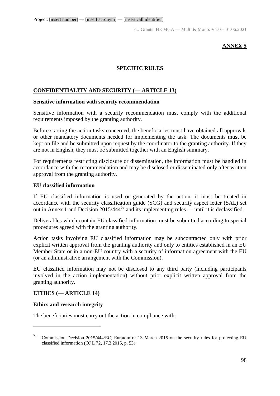EU Grants: HE MGA — Multi & Mono: V1.0 – 01.06.2021

## **ANNEX 5**

## **SPECIFIC RULES**

## **CONFIDENTIALITY AND SECURITY (**— **ARTICLE 13)**

## **Sensitive information with security recommendation**

Sensitive information with a security recommendation must comply with the additional requirements imposed by the granting authority.

Before starting the action tasks concerned, the beneficiaries must have obtained all approvals or other mandatory documents needed for implementing the task. The documents must be kept on file and be submitted upon request by the coordinator to the granting authority. If they are not in English, they must be submitted together with an English summary.

For requirements restricting disclosure or dissemination, the information must be handled in accordance with the recommendation and may be disclosed or disseminated only after written approval from the granting authority.

### **EU classified information**

If EU classified information is used or generated by the action, it must be treated in accordance with the security classification guide (SCG) and security aspect letter (SAL) set out in Annex 1 and Decision 2015/444<sup>58</sup> and its implementing rules — until it is declassified.

Deliverables which contain EU classified information must be submitted according to special procedures agreed with the granting authority.

Action tasks involving EU classified information may be subcontracted only with prior explicit written approval from the granting authority and only to entities established in an EU Member State or in a non-EU country with a security of information agreement with the EU (or an administrative arrangement with the Commission).

EU classified information may not be disclosed to any third party (including participants involved in the action implementation) without prior explicit written approval from the granting authority.

## **ETHICS (**— **ARTICLE 14)**

## **Ethics and research integrity**

1

The beneficiaries must carry out the action in compliance with:

<sup>58</sup> Commission Decision 2015/444/EC, Euratom of 13 March 2015 on the security rules for protecting EU classified information (OJ L 72, 17.3.2015, p. 53).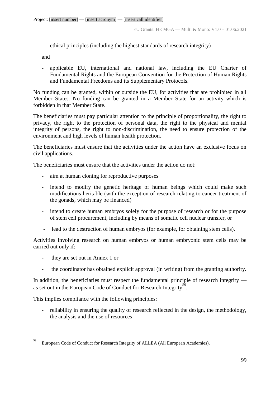- ethical principles (including the highest standards of research integrity)

and

- applicable EU, international and national law, including the EU Charter of Fundamental Rights and the European Convention for the Protection of Human Rights and Fundamental Freedoms and its Supplementary Protocols.

No funding can be granted, within or outside the EU, for activities that are prohibited in all Member States. No funding can be granted in a Member State for an activity which is forbidden in that Member State.

The beneficiaries must pay particular attention to the principle of proportionality, the right to privacy, the right to the protection of personal data, the right to the physical and mental integrity of persons, the right to non-discrimination, the need to ensure protection of the environment and high levels of human health protection.

The beneficiaries must ensure that the activities under the action have an exclusive focus on civil applications.

The beneficiaries must ensure that the activities under the action do not:

- aim at human cloning for reproductive purposes
- intend to modify the genetic heritage of human beings which could make such modifications heritable (with the exception of research relating to cancer treatment of the gonads, which may be financed)
- intend to create human embryos solely for the purpose of research or for the purpose of stem cell procurement, including by means of somatic cell nuclear transfer, or
- lead to the destruction of human embryos (for example, for obtaining stem cells).

Activities involving research on human embryos or human embryonic stem cells may be carried out only if:

- they are set out in Annex 1 or

<u>.</u>

- the coordinator has obtained explicit approval (in writing) from the granting authority.

In addition, the beneficiaries must respect the fundamental principle of research integrity as set out in the European Code of Conduct for Research Integrity<sup>59</sup>.

This implies compliance with the following principles:

- reliability in ensuring the quality of research reflected in the design, the methodology, the analysis and the use of resources

<sup>59</sup> European Code of Conduct for Research Integrity of ALLEA (All European Academies).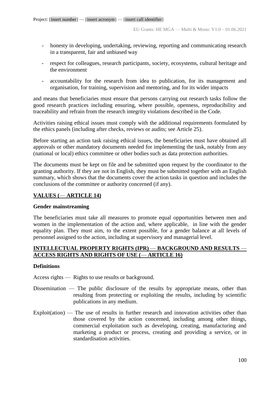- honesty in developing, undertaking, reviewing, reporting and communicating research in a transparent, fair and unbiased way
- respect for colleagues, research participants, society, ecosystems, cultural heritage and the environment
- accountability for the research from idea to publication, for its management and organisation, for training, supervision and mentoring, and for its wider impacts

and means that beneficiaries must ensure that persons carrying out research tasks follow the good research practices including ensuring, where possible, openness, reproducibility and traceability and refrain from the research integrity violations described in the Code.

Activities raising ethical issues must comply with the additional requirements formulated by the ethics panels (including after checks, reviews or audits; see Article 25).

Before starting an action task raising ethical issues, the beneficiaries must have obtained all approvals or other mandatory documents needed for implementing the task, notably from any (national or local) ethics committee or other bodies such as data protection authorities.

The documents must be kept on file and be submitted upon request by the coordinator to the granting authority. If they are not in English, they must be submitted together with an English summary, which shows that the documents cover the action tasks in question and includes the conclusions of the committee or authority concerned (if any).

## **VALUES (**— **ARTICLE 14)**

## **Gender mainstreaming**

The beneficiaries must take all measures to promote equal opportunities between men and women in the implementation of the action and, where applicable, in line with the gender equality plan. They must aim, to the extent possible, for a gender balance at all levels of personnel assigned to the action, including at supervisory and managerial level.

## **INTELLECTUAL PROPERTY RIGHTS (IPR)** — **BACKGROUND AND RESULTS** — **ACCESS RIGHTS AND RIGHTS OF USE (**— **ARTICLE 16)**

## **Definitions**

Access rights — Rights to use results or background.

- Dissemination The public disclosure of the results by appropriate means, other than resulting from protecting or exploiting the results, including by scientific publications in any medium.
- Exploit(ation) The use of results in further research and innovation activities other than those covered by the action concerned, including among other things, commercial exploitation such as developing, creating, manufacturing and marketing a product or process, creating and providing a service, or in standardisation activities.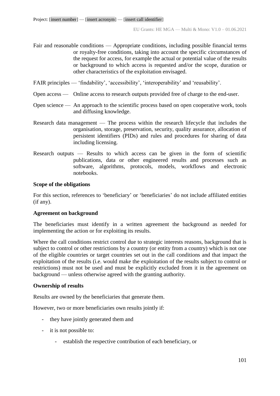- Fair and reasonable conditions Appropriate conditions, including possible financial terms or royalty-free conditions, taking into account the specific circumstances of the request for access, for example the actual or potential value of the results or background to which access is requested and/or the scope, duration or other characteristics of the exploitation envisaged.
- FAIR principles 'findability', 'accessibility', 'interoperability' and 'reusability'.
- Open access Online access to research outputs provided free of charge to the end-user.
- Open science An approach to the scientific process based on open cooperative work, tools and diffusing knowledge.
- Research data management The process within the research lifecycle that includes the organisation, storage, preservation, security, quality assurance, allocation of persistent identifiers (PIDs) and rules and procedures for sharing of data including licensing.
- Research outputs Results to which access can be given in the form of scientific publications, data or other engineered results and processes such as software, algorithms, protocols, models, workflows and electronic notebooks.

### **Scope of the obligations**

For this section, references to 'beneficiary' or 'beneficiaries' do not include affiliated entities (if any).

## **Agreement on background**

The beneficiaries must identify in a written agreement the background as needed for implementing the action or for exploiting its results.

Where the call conditions restrict control due to strategic interests reasons, background that is subject to control or other restrictions by a country (or entity from a country) which is not one of the eligible countries or target countries set out in the call conditions and that impact the exploitation of the results (i.e. would make the exploitation of the results subject to control or restrictions) must not be used and must be explicitly excluded from it in the agreement on background — unless otherwise agreed with the granting authority.

## **Ownership of results**

Results are owned by the beneficiaries that generate them.

However, two or more beneficiaries own results jointly if:

- they have jointly generated them and
- it is not possible to:
	- establish the respective contribution of each beneficiary, or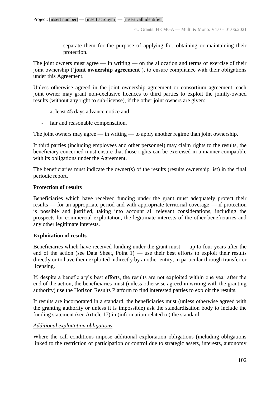- separate them for the purpose of applying for, obtaining or maintaining their protection.

The joint owners must agree — in writing — on the allocation and terms of exercise of their joint ownership ('**joint ownership agreement**'), to ensure compliance with their obligations under this Agreement.

Unless otherwise agreed in the joint ownership agreement or consortium agreement, each joint owner may grant non-exclusive licences to third parties to exploit the jointly-owned results (without any right to sub-license), if the other joint owners are given:

- at least 45 days advance notice and
- fair and reasonable compensation.

The joint owners may agree — in writing — to apply another regime than joint ownership.

If third parties (including employees and other personnel) may claim rights to the results, the beneficiary concerned must ensure that those rights can be exercised in a manner compatible with its obligations under the Agreement.

The beneficiaries must indicate the owner(s) of the results (results ownership list) in the final periodic report.

## **Protection of results**

Beneficiaries which have received funding under the grant must adequately protect their results — for an appropriate period and with appropriate territorial coverage — if protection is possible and justified, taking into account all relevant considerations, including the prospects for commercial exploitation, the legitimate interests of the other beneficiaries and any other legitimate interests.

## **Exploitation of results**

Beneficiaries which have received funding under the grant must — up to four years after the end of the action (see Data Sheet, Point  $1$ ) — use their best efforts to exploit their results directly or to have them exploited indirectly by another entity, in particular through transfer or licensing.

If, despite a beneficiary's best efforts, the results are not exploited within one year after the end of the action, the beneficiaries must (unless otherwise agreed in writing with the granting authority) use the Horizon Results Platform to find interested parties to exploit the results.

If results are incorporated in a standard, the beneficiaries must (unless otherwise agreed with the granting authority or unless it is impossible) ask the standardisation body to include the funding statement (see Article 17) in (information related to) the standard.

## *Additional exploitation obligations*

Where the call conditions impose additional exploitation obligations (including obligations linked to the restriction of participation or control due to strategic assets, interests, autonomy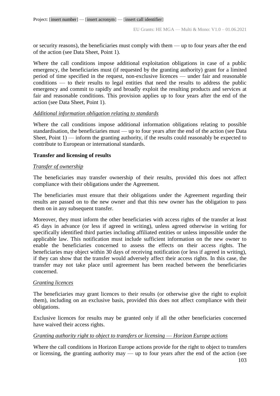or security reasons), the beneficiaries must comply with them — up to four years after the end of the action (see Data Sheet, Point 1).

Where the call conditions impose additional exploitation obligations in case of a public emergency, the beneficiaries must (if requested by the granting authority) grant for a limited period of time specified in the request, non-exclusive licences — under fair and reasonable conditions — to their results to legal entities that need the results to address the public emergency and commit to rapidly and broadly exploit the resulting products and services at fair and reasonable conditions. This provision applies up to four years after the end of the action (see Data Sheet, Point 1).

## *Additional information obligation relating to standards*

Where the call conditions impose additional information obligations relating to possible standardisation, the beneficiaries must — up to four years after the end of the action (see Data Sheet, Point  $1$ ) — inform the granting authority, if the results could reasonably be expected to contribute to European or international standards.

## **Transfer and licensing of results**

## *Transfer of ownership*

The beneficiaries may transfer ownership of their results, provided this does not affect compliance with their obligations under the Agreement.

The beneficiaries must ensure that their obligations under the Agreement regarding their results are passed on to the new owner and that this new owner has the obligation to pass them on in any subsequent transfer.

Moreover, they must inform the other beneficiaries with access rights of the transfer at least 45 days in advance (or less if agreed in writing), unless agreed otherwise in writing for specifically identified third parties including affiliated entities or unless impossible under the applicable law. This notification must include sufficient information on the new owner to enable the beneficiaries concerned to assess the effects on their access rights. The beneficiaries may object within 30 days of receiving notification (or less if agreed in writing), if they can show that the transfer would adversely affect their access rights. In this case, the transfer may not take place until agreement has been reached between the beneficiaries concerned.

## *Granting licences*

The beneficiaries may grant licences to their results (or otherwise give the right to exploit them), including on an exclusive basis, provided this does not affect compliance with their obligations.

Exclusive licences for results may be granted only if all the other beneficiaries concerned have waived their access rights.

## *Granting authority right to object to transfers or licensing* — *Horizon Europe actions*

Where the call conditions in Horizon Europe actions provide for the right to object to transfers or licensing, the granting authority may  $\overline{\phantom{a}}$  up to four years after the end of the action (see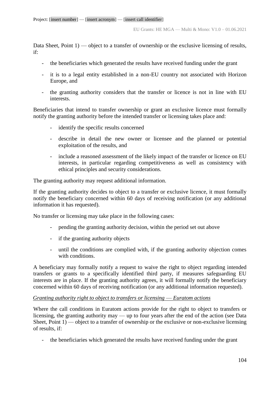Data Sheet, Point 1) — object to a transfer of ownership or the exclusive licensing of results, if:

- the beneficiaries which generated the results have received funding under the grant
- it is to a legal entity established in a non-EU country not associated with Horizon Europe, and
- the granting authority considers that the transfer or licence is not in line with EU interests.

Beneficiaries that intend to transfer ownership or grant an exclusive licence must formally notify the granting authority before the intended transfer or licensing takes place and:

- identify the specific results concerned
- describe in detail the new owner or licensee and the planned or potential exploitation of the results, and
- include a reasoned assessment of the likely impact of the transfer or licence on EU interests, in particular regarding competitiveness as well as consistency with ethical principles and security considerations.

The granting authority may request additional information.

If the granting authority decides to object to a transfer or exclusive licence, it must formally notify the beneficiary concerned within 60 days of receiving notification (or any additional information it has requested).

No transfer or licensing may take place in the following cases:

- pending the granting authority decision, within the period set out above
- if the granting authority objects
- until the conditions are complied with, if the granting authority objection comes with conditions.

A beneficiary may formally notify a request to waive the right to object regarding intended transfers or grants to a specifically identified third party, if measures safeguarding EU interests are in place. If the granting authority agrees, it will formally notify the beneficiary concerned within 60 days of receiving notification (or any additional information requested).

### *Granting authority right to object to transfers or licensing — Euratom actions*

Where the call conditions in Euratom actions provide for the right to object to transfers or licensing, the granting authority may — up to four years after the end of the action (see Data Sheet, Point  $1$ ) — object to a transfer of ownership or the exclusive or non-exclusive licensing of results, if:

- the beneficiaries which generated the results have received funding under the grant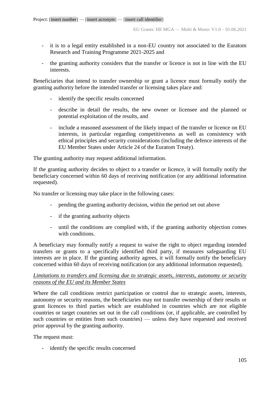- it is to a legal entity established in a non-EU country not associated to the Euratom Research and Training Programme 2021-2025 and
- the granting authority considers that the transfer or licence is not in line with the EU interests.

Beneficiaries that intend to transfer ownership or grant a licence must formally notify the granting authority before the intended transfer or licensing takes place and:

- identify the specific results concerned
- describe in detail the results, the new owner or licensee and the planned or potential exploitation of the results, and
- include a reasoned assessment of the likely impact of the transfer or licence on EU interests, in particular regarding competitiveness as well as consistency with ethical principles and security considerations (including the defence interests of the EU Member States under Article 24 of the Euratom Treaty).

The granting authority may request additional information.

If the granting authority decides to object to a transfer or licence, it will formally notify the beneficiary concerned within 60 days of receiving notification (or any additional information requested).

No transfer or licensing may take place in the following cases:

- pending the granting authority decision, within the period set out above
- if the granting authority objects
- until the conditions are complied with, if the granting authority objection comes with conditions.

A beneficiary may formally notify a request to waive the right to object regarding intended transfers or grants to a specifically identified third party, if measures safeguarding EU interests are in place. If the granting authority agrees, it will formally notify the beneficiary concerned within 60 days of receiving notification (or any additional information requested).

## *Limitations to transfers and licensing due to strategic assets, interests, autonomy or security reasons of the EU and its Member States*

Where the call conditions restrict participation or control due to strategic assets, interests, autonomy or security reasons, the beneficiaries may not transfer ownership of their results or grant licences to third parties which are established in countries which are not eligible countries or target countries set out in the call conditions (or, if applicable, are controlled by such countries or entities from such countries) — unless they have requested and received prior approval by the granting authority.

The request must:

- identify the specific results concerned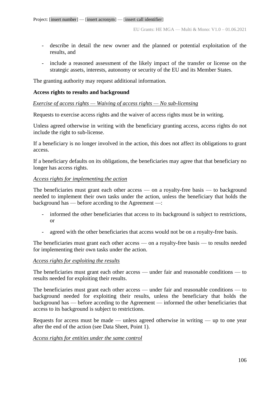- describe in detail the new owner and the planned or potential exploitation of the results, and
- include a reasoned assessment of the likely impact of the transfer or license on the strategic assets, interests, autonomy or security of the EU and its Member States.

The granting authority may request additional information.

### **Access rights to results and background**

### *Exercise of access rights — Waiving of access rights — No sub-licensing*

Requests to exercise access rights and the waiver of access rights must be in writing.

Unless agreed otherwise in writing with the beneficiary granting access, access rights do not include the right to sub-license.

If a beneficiary is no longer involved in the action, this does not affect its obligations to grant access.

If a beneficiary defaults on its obligations, the beneficiaries may agree that that beneficiary no longer has access rights.

### *Access rights for implementing the action*

The beneficiaries must grant each other access — on a royalty-free basis — to background needed to implement their own tasks under the action, unless the beneficiary that holds the background has — before acceding to the Agreement —:

- informed the other beneficiaries that access to its background is subject to restrictions, or
- agreed with the other beneficiaries that access would not be on a royalty-free basis.

The beneficiaries must grant each other access — on a royalty-free basis — to results needed for implementing their own tasks under the action.

### *Access rights for exploiting the results*

The beneficiaries must grant each other access — under fair and reasonable conditions — to results needed for exploiting their results.

The beneficiaries must grant each other access — under fair and reasonable conditions — to background needed for exploiting their results, unless the beneficiary that holds the background has — before acceding to the Agreement — informed the other beneficiaries that access to its background is subject to restrictions.

Requests for access must be made — unless agreed otherwise in writing — up to one year after the end of the action (see Data Sheet, Point 1).

### *Access rights for entities under the same control*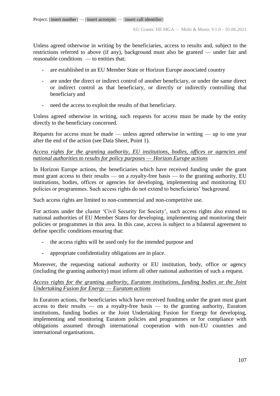Unless agreed otherwise in writing by the beneficiaries, access to results and, subject to the restrictions referred to above (if any), background must also be granted — under fair and reasonable conditions — to entities that:

- are established in an EU Member State or Horizon Europe associated country
- are under the direct or indirect control of another beneficiary, or under the same direct or indirect control as that beneficiary, or directly or indirectly controlling that beneficiary and
- need the access to exploit the results of that beneficiary.

Unless agreed otherwise in writing, such requests for access must be made by the entity directly to the beneficiary concerned.

Requests for access must be made — unless agreed otherwise in writing — up to one year after the end of the action (see Data Sheet, Point 1).

## *Access rights for the granting authority, EU institutions, bodies, offices or agencies and national authorities to results for policy purposes* — *Horizon Europe actions*

In Horizon Europe actions, the beneficiaries which have received funding under the grant must grant access to their results — on a royalty-free basis — to the granting authority, EU institutions, bodies, offices or agencies for developing, implementing and monitoring EU policies or programmes. Such access rights do not extend to beneficiaries' background.

Such access rights are limited to non-commercial and non-competitive use.

For actions under the cluster 'Civil Security for Society', such access rights also extend to national authorities of EU Member States for developing, implementing and monitoring their policies or programmes in this area. In this case, access is subject to a bilateral agreement to define specific conditions ensuring that:

- **-** the access rights will be used only for the intended purpose and
- **-** appropriate confidentiality obligations are in place.

Moreover, the requesting national authority or EU institution, body, office or agency (including the granting authority) must inform all other national authorities of such a request.

## *Access rights for the granting authority, Euratom institutions, funding bodies or the Joint Undertaking Fusion for Energy* — *Euratom actions*

In Euratom actions, the beneficiaries which have received funding under the grant must grant access to their results — on a royalty-free basis — to the granting authority, Euratom institutions, funding bodies or the Joint Undertaking Fusion for Energy for developing, implementing and monitoring Euratom policies and programmes or for compliance with obligations assumed through international cooperation with non-EU countries and international organisations.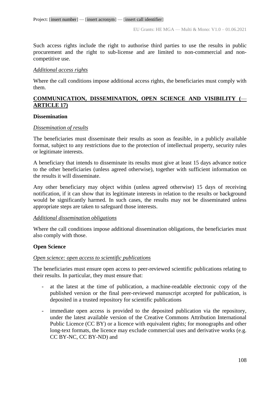Such access rights include the right to authorise third parties to use the results in public procurement and the right to sub-license and are limited to non-commercial and noncompetitive use.

## *Additional access rights*

Where the call conditions impose additional access rights, the beneficiaries must comply with them.

## **COMMUNICATION, DISSEMINATION, OPEN SCIENCE AND VISIBILITY (**— **ARTICLE 17)**

## **Dissemination**

## *Dissemination of results*

The beneficiaries must disseminate their results as soon as feasible, in a publicly available format, subject to any restrictions due to the protection of intellectual property, security rules or legitimate interests.

A beneficiary that intends to disseminate its results must give at least 15 days advance notice to the other beneficiaries (unless agreed otherwise), together with sufficient information on the results it will disseminate.

Any other beneficiary may object within (unless agreed otherwise) 15 days of receiving notification, if it can show that its legitimate interests in relation to the results or background would be significantly harmed. In such cases, the results may not be disseminated unless appropriate steps are taken to safeguard those interests.

## *Additional dissemination obligations*

Where the call conditions impose additional dissemination obligations, the beneficiaries must also comply with those.

## **Open Science**

## *Open science: open access to scientific publications*

The beneficiaries must ensure open access to peer-reviewed scientific publications relating to their results. In particular, they must ensure that:

- at the latest at the time of publication, a machine-readable electronic copy of the published version or the final peer-reviewed manuscript accepted for publication, is deposited in a trusted repository for scientific publications
- immediate open access is provided to the deposited publication via the repository, under the latest available version of the Creative Commons Attribution International Public Licence (CC BY) or a licence with equivalent rights; for monographs and other long-text formats, the licence may exclude commercial uses and derivative works (e.g. CC BY-NC, CC BY-ND) and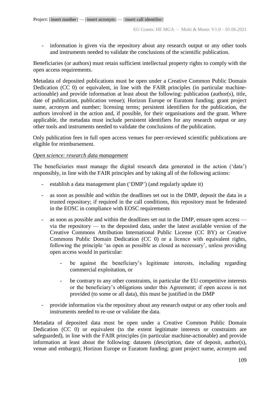- information is given via the repository about any research output or any other tools and instruments needed to validate the conclusions of the scientific publication.

Beneficiaries (or authors) must retain sufficient intellectual property rights to comply with the open access requirements.

Metadata of deposited publications must be open under a Creative Common Public Domain Dedication (CC 0) or equivalent, in line with the FAIR principles (in particular machineactionable) and provide information at least about the following: publication (author(s), title, date of publication, publication venue); Horizon Europe or Euratom funding; grant project name, acronym and number; licensing terms; persistent identifiers for the publication, the authors involved in the action and, if possible, for their organisations and the grant. Where applicable, the metadata must include persistent identifiers for any research output or any other tools and instruments needed to validate the conclusions of the publication.

Only publication fees in full open access venues for peer-reviewed scientific publications are eligible for reimbursement.

## *Open science: research data management*

The beneficiaries must manage the digital research data generated in the action ('data') responsibly, in line with the FAIR principles and by taking all of the following actions:

- establish a data management plan ('DMP') (and regularly update it)
- as soon as possible and within the deadlines set out in the DMP, deposit the data in a trusted repository; if required in the call conditions, this repository must be federated in the EOSC in compliance with EOSC requirements
- as soon as possible and within the deadlines set out in the DMP, ensure open access via the repository — to the deposited data, under the latest available version of the Creative Commons Attribution International Public License (CC BY) or Creative Commons Public Domain Dedication (CC 0) or a licence with equivalent rights, following the principle 'as open as possible as closed as necessary', unless providing open access would in particular:
	- be against the beneficiary's legitimate interests, including regarding commercial exploitation, or
	- be contrary to any other constraints, in particular the EU competitive interests or the beneficiary's obligations under this Agreement; if open access is not provided (to some or all data), this must be justified in the DMP
- provide information via the repository about any research output or any other tools and instruments needed to re-use or validate the data.

Metadata of deposited data must be open under a Creative Common Public Domain Dedication (CC 0) or equivalent (to the extent legitimate interests or constraints are safeguarded), in line with the FAIR principles (in particular machine-actionable) and provide information at least about the following: datasets (description, date of deposit, author(s), venue and embargo); Horizon Europe or Euratom funding; grant project name, acronym and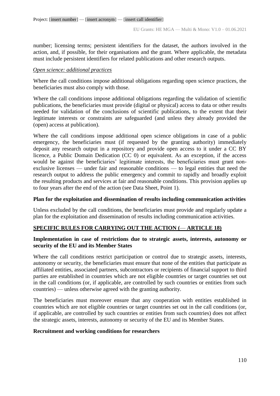number; licensing terms; persistent identifiers for the dataset, the authors involved in the action, and, if possible, for their organisations and the grant. Where applicable, the metadata must include persistent identifiers for related publications and other research outputs.

#### *Open science: additional practices*

Where the call conditions impose additional obligations regarding open science practices, the beneficiaries must also comply with those.

Where the call conditions impose additional obligations regarding the validation of scientific publications, the beneficiaries must provide (digital or physical) access to data or other results needed for validation of the conclusions of scientific publications, to the extent that their legitimate interests or constraints are safeguarded (and unless they already provided the (open) access at publication).

Where the call conditions impose additional open science obligations in case of a public emergency, the beneficiaries must (if requested by the granting authority) immediately deposit any research output in a repository and provide open access to it under a CC BY licence, a Public Domain Dedication (CC 0) or equivalent. As an exception, if the access would be against the beneficiaries' legitimate interests, the beneficiaries must grant nonexclusive licenses — under fair and reasonable conditions — to legal entities that need the research output to address the public emergency and commit to rapidly and broadly exploit the resulting products and services at fair and reasonable conditions. This provision applies up to four years after the end of the action (see Data Sheet, Point 1).

### **Plan for the exploitation and dissemination of results including communication activities**

Unless excluded by the call conditions, the beneficiaries must provide and regularly update a plan for the exploitation and dissemination of results including communication activities.

### **SPECIFIC RULES FOR CARRYING OUT THE ACTION (**— **ARTICLE 18)**

### **Implementation in case of restrictions due to strategic assets, interests, autonomy or security of the EU and its Member States**

Where the call conditions restrict participation or control due to strategic assets, interests, autonomy or security, the beneficiaries must ensure that none of the entities that participate as affiliated entities, associated partners, subcontractors or recipients of financial support to third parties are established in countries which are not eligible countries or target countries set out in the call conditions (or, if applicable, are controlled by such countries or entities from such countries) — unless otherwise agreed with the granting authority.

The beneficiaries must moreover ensure that any cooperation with entities established in countries which are not eligible countries or target countries set out in the call conditions (or, if applicable, are controlled by such countries or entities from such countries) does not affect the strategic assets, interests, autonomy or security of the EU and its Member States.

#### **Recruitment and working conditions for researchers**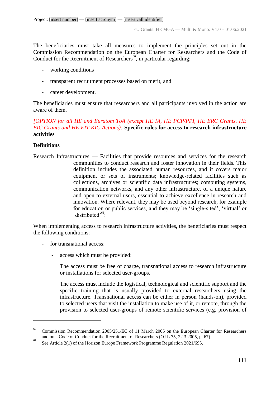The beneficiaries must take all measures to implement the principles set out in the Commission Recommendation on the European Charter for Researchers and the Code of Conduct for the Recruitment of Researchers<sup>60</sup>, in particular regarding:

- working conditions
- transparent recruitment processes based on merit, and
- career development.

The beneficiaries must ensure that researchers and all participants involved in the action are aware of them.

## *[OPTION for all HE and Euratom ToA (except HE IA, HE PCP/PPI, HE ERC Grants, HE EIC Grants and HE EIT KIC Actions):* **Specific rules for access to research infrastructure activities**

## **Definitions**

1

Research Infrastructures — Facilities that provide resources and services for the research communities to conduct research and foster innovation in their fields. This definition includes the associated human resources, and it covers major equipment or sets of instruments; knowledge-related facilities such as collections, archives or scientific data infrastructures; computing systems, communication networks, and any other infrastructure, of a unique nature and open to external users, essential to achieve excellence in research and innovation. Where relevant, they may be used beyond research, for example for education or public services, and they may be 'single-sited', 'virtual' or 'distributed'<sup>61</sup>:

When implementing access to research infrastructure activities, the beneficiaries must respect the following conditions:

- for transnational access:
	- access which must be provided:

The access must be free of charge, transnational access to research infrastructure or installations for selected user-groups.

The access must include the logistical, technological and scientific support and the specific training that is usually provided to external researchers using the infrastructure. Transnational access can be either in person (hands-on), provided to selected users that visit the installation to make use of it, or remote, through the provision to selected user-groups of remote scientific services (e.g. provision of

Commission Recommendation 2005/251/EC of 11 March 2005 on the European Charter for Researchers and on a Code of Conduct for the Recruitment of Researchers (OJ L 75, 22.3.2005, p. 67).

<sup>&</sup>lt;sup>61</sup> See Article 2(1) of the Horizon Europe Framework Programme Regulation 2021/695.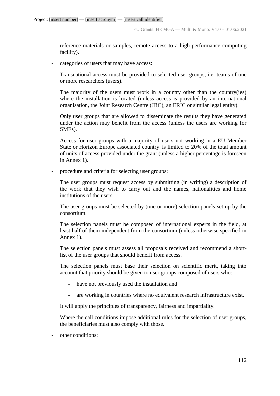reference materials or samples, remote access to a high-performance computing facility).

categories of users that may have access:

Transnational access must be provided to selected user-groups, i.e. teams of one or more researchers (users).

The majority of the users must work in a country other than the country(ies) where the installation is located (unless access is provided by an international organisation, the Joint Research Centre (JRC), an ERIC or similar legal entity).

Only user groups that are allowed to disseminate the results they have generated under the action may benefit from the access (unless the users are working for SMEs).

Access for user groups with a majority of users not working in a EU Member State or Horizon Europe associated country is limited to 20% of the total amount of units of access provided under the grant (unless a higher percentage is foreseen in Annex 1).

procedure and criteria for selecting user groups:

The user groups must request access by submitting (in writing) a description of the work that they wish to carry out and the names, nationalities and home institutions of the users.

The user groups must be selected by (one or more) selection panels set up by the consortium.

The selection panels must be composed of international experts in the field, at least half of them independent from the consortium (unless otherwise specified in Annex 1).

The selection panels must assess all proposals received and recommend a shortlist of the user groups that should benefit from access.

The selection panels must base their selection on scientific merit, taking into account that priority should be given to user groups composed of users who:

- have not previously used the installation and
- are working in countries where no equivalent research infrastructure exist.

It will apply the principles of transparency, fairness and impartiality.

Where the call conditions impose additional rules for the selection of user groups, the beneficiaries must also comply with those.

other conditions: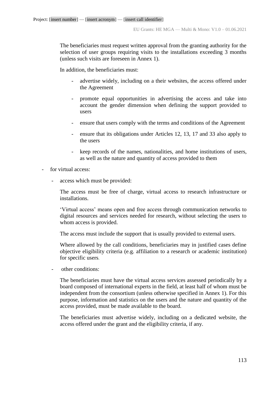The beneficiaries must request written approval from the granting authority for the selection of user groups requiring visits to the installations exceeding 3 months (unless such visits are foreseen in Annex 1).

In addition, the beneficiaries must:

- advertise widely, including on a their websites, the access offered under the Agreement
- promote equal opportunities in advertising the access and take into account the gender dimension when defining the support provided to users
- ensure that users comply with the terms and conditions of the Agreement
- ensure that its obligations under Articles 12, 13, 17 and 33 also apply to the users
- keep records of the names, nationalities, and home institutions of users, as well as the nature and quantity of access provided to them
- for virtual access:
	- access which must be provided:

The access must be free of charge, virtual access to research infrastructure or installations.

'Virtual access' means open and free access through communication networks to digital resources and services needed for research, without selecting the users to whom access is provided.

The access must include the support that is usually provided to external users.

Where allowed by the call conditions, beneficiaries may in justified cases define objective eligibility criteria (e.g. affiliation to a research or academic institution) for specific users*.* 

- other conditions:

The beneficiaries must have the virtual access services assessed periodically by a board composed of international experts in the field, at least half of whom must be independent from the consortium (unless otherwise specified in Annex 1). For this purpose, information and statistics on the users and the nature and quantity of the access provided, must be made available to the board.

The beneficiaries must advertise widely, including on a dedicated website, the access offered under the grant and the eligibility criteria, if any.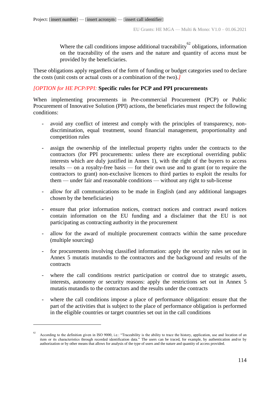Where the call conditions impose additional traceability<sup>62</sup> obligations, information on the traceability of the users and the nature and quantity of access must be provided by the beneficiaries.

These obligations apply regardless of the form of funding or budget categories used to declare the costs (unit costs or actual costs or a combination of the two).*]*

### *[OPTION for HE PCP/PPI:* **Specific rules for PCP and PPI procurements**

When implementing procurements in Pre-commercial Procurement (PCP) or Public Procurement of Innovative Solution (PPI) actions, the beneficiaries must respect the following conditions:

- avoid any conflict of interest and comply with the principles of transparency, nondiscrimination, equal treatment, sound financial management, proportionality and competition rules
- assign the ownership of the intellectual property rights under the contracts to the contractors (for PPI procurements: unless there are exceptional overriding public interests which are duly justified in Annex 1), with the right of the buyers to access results *—* on a royalty-free basis *—* for their own use and to grant (or to require the contractors to grant) non-exclusive licences to third parties to exploit the results for them — under fair and reasonable conditions — without any right to sub-license
- allow for all communications to be made in English (and any additional languages chosen by the beneficiaries)
- ensure that prior information notices, contract notices and contract award notices contain information on the EU funding and a disclaimer that the EU is not participating as contracting authority in the procurement
- allow for the award of multiple procurement contracts within the same procedure (multiple sourcing)
- for procurements involving classified information: apply the security rules set out in Annex 5 mutatis mutandis to the contractors and the background and results of the contracts
- where the call conditions restrict participation or control due to strategic assets, interests, autonomy or security reasons: apply the restrictions set out in Annex 5 mutatis mutandis to the contractors and the results under the contracts
- where the call conditions impose a place of performance obligation: ensure that the part of the activities that is subject to the place of performance obligation is performed in the eligible countries or target countries set out in the call conditions

1

<sup>62</sup> According to the definition given in ISO 9000, i.e.: "Traceability is the ability to trace the history, application, use and location of an item or its characteristics through recorded identification data." The users can be traced, for example, by authentication and/or by authorization or by other means that allows for analysis of the type of users and the nature and quantity of access provided.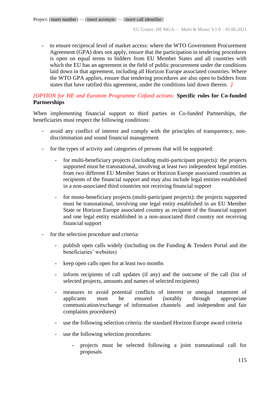- to ensure reciprocal level of market access: where the WTO Government Procurement Agreement (GPA) does not apply, ensure that the participation in tendering procedures is open on equal terms to bidders from EU Member States and all countries with which the EU has an agreement in the field of public procurement under the conditions laid down in that agreement, including all Horizon Europe associated countries. Where the WTO GPA applies, ensure that tendering procedures are also open to bidders from states that have ratified this agreement, under the conditions laid down therein. *]*

# *[OPTION for HE and Euratom Programme Cofund actions:* **Specific rules for Co-funded Partnerships**

When implementing financial support to third parties in Co-funded Partnerships, the beneficiaries must respect the following conditions:

- avoid any conflict of interest and comply with the principles of transparency, nondiscrimination and sound financial management
- for the types of activity and categories of persons that will be supported:
	- for multi-beneficiary projects (including multi-participant projects): the projects supported must be transnational, involving at least two independent legal entities from two different EU Member States or Horizon Europe associated countries as recipients of the financial support and may also include legal entities established in a non-associated third countries not receiving financial support
	- for mono-beneficiary projects (multi-participant projects): the projects supported must be transnational, involving one legal entity established in an EU Member State or Horizon Europe associated country as recipient of the financial support and one legal entity established in a non-associated third country not receiving financial support
- for the selection procedure and criteria:
	- publish open calls widely (including on the Funding  $\&$  Tenders Portal and the beneficiaries' websites)
	- keep open calls open for at least two months
	- inform recipients of call updates (if any) and the outcome of the call (list of selected projects, amounts and names of selected recipients)
	- measures to avoid potential conflicts of interest or unequal treatment of applicants must be ensured (notably through appropriate communication/exchange of information channels and independent and fair complaints procedures)
	- use the following selection criteria: the standard Horizon Europe award criteria
	- use the following selection procedures:
		- **-** projects must be selected following a joint transnational call for proposals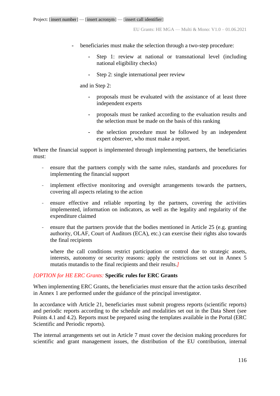- **-** beneficiaries must make the selection through a two-step procedure:
	- **-** Step 1: review at national or transnational level (including national eligibility checks)
	- **-** Step 2: single international peer review

and in Step 2:

- **-** proposals must be evaluated with the assistance of at least three independent experts
- **-** proposals must be ranked according to the evaluation results and the selection must be made on the basis of this ranking
- **-** the selection procedure must be followed by an independent expert observer, who must make a report.

Where the financial support is implemented through implementing partners, the beneficiaries must:

- ensure that the partners comply with the same rules, standards and procedures for implementing the financial support
- implement effective monitoring and oversight arrangements towards the partners, covering all aspects relating to the action
- ensure effective and reliable reporting by the partners, covering the activities implemented, information on indicators, as well as the legality and regularity of the expenditure claimed
- ensure that the partners provide that the bodies mentioned in Article 25 (e.g. granting authority, OLAF, Court of Auditors (ECA), etc.) can exercise their rights also towards the final recipients

where the call conditions restrict participation or control due to strategic assets, interests, autonomy or security reasons: apply the restrictions set out in Annex 5 mutatis mutandis to the final recipients and their results.*]*

### *[OPTION for HE ERC Grants:* **Specific rules for ERC Grants**

When implementing ERC Grants, the beneficiaries must ensure that the action tasks described in Annex 1 are performed under the guidance of the principal investigator.

In accordance with Article 21, beneficiaries must submit progress reports (scientific reports) and periodic reports according to the schedule and modalities set out in the Data Sheet (see Points 4.1 and 4.2). Reports must be prepared using the templates available in the Portal (ERC Scientific and Periodic reports).

The internal arrangements set out in Article 7 must cover the decision making procedures for scientific and grant management issues, the distribution of the EU contribution, internal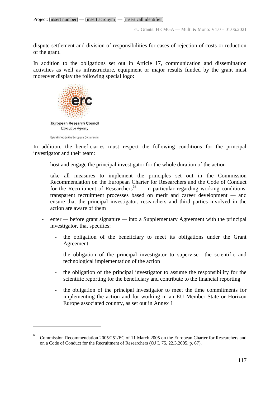dispute settlement and division of responsibilities for cases of rejection of costs or reduction of the grant.

In addition to the obligations set out in Article 17, communication and dissemination activities as well as infrastructure, equipment or major results funded by the grant must moreover display the following special logo:



1

In addition, the beneficiaries must respect the following conditions for the principal investigator and their team:

- host and engage the principal investigator for the whole duration of the action
- take all measures to implement the principles set out in the Commission Recommendation on the European Charter for Researchers and the Code of Conduct for the Recruitment of Researchers<sup>63</sup> — in particular regarding working conditions, transparent recruitment processes based on merit and career development *—* and ensure that the principal investigator, researchers and third parties involved in the action are aware of them
- enter *—* before grant signature *—* into a Supplementary Agreement with the principal investigator, that specifies:
	- the obligation of the beneficiary to meet its obligations under the Grant Agreement
	- the obligation of the principal investigator to supervise the scientific and technological implementation of the action
	- the obligation of the principal investigator to assume the responsibility for the scientific reporting for the beneficiary and contribute to the financial reporting
	- the obligation of the principal investigator to meet the time commitments for implementing the action and for working in an EU Member State or Horizon Europe associated country, as set out in Annex 1

Commission Recommendation 2005/251/EC of 11 March 2005 on the European Charter for Researchers and on a Code of Conduct for the Recruitment of Researchers (OJ L 75, 22.3.2005, p. 67).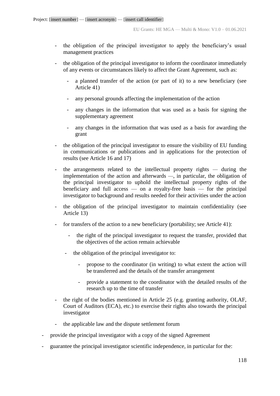- the obligation of the principal investigator to apply the beneficiary's usual management practices
- the obligation of the principal investigator to inform the coordinator immediately of any events or circumstances likely to affect the Grant Agreement, such as:
	- a planned transfer of the action (or part of it) to a new beneficiary (see Article 41)
	- any personal grounds affecting the implementation of the action
	- any changes in the information that was used as a basis for signing the supplementary agreement
	- any changes in the information that was used as a basis for awarding the grant
- the obligation of the principal investigator to ensure the visibility of EU funding in communications or publications and in applications for the protection of results (see Article 16 and 17)
- the arrangements related to the intellectual property rights *—* during the implementation of the action and afterwards *—*, in particular, the obligation of the principal investigator to uphold the intellectual property rights of the beneficiary and full access — on a royalty-free basis — for the principal investigator to background and results needed for their activities under the action
- the obligation of the principal investigator to maintain confidentiality (see Article 13)
- for transfers of the action to a new beneficiary (portability; see Article 41):
	- the right of the principal investigator to request the transfer, provided that the objectives of the action remain achievable
	- the obligation of the principal investigator to:
		- propose to the coordinator (in writing) to what extent the action will be transferred and the details of the transfer arrangement
		- provide a statement to the coordinator with the detailed results of the research up to the time of transfer
- the right of the bodies mentioned in Article 25 (e.g. granting authority, OLAF, Court of Auditors (ECA), etc.) to exercise their rights also towards the principal investigator
- the applicable law and the dispute settlement forum
- provide the principal investigator with a copy of the signed Agreement
- guarantee the principal investigator scientific independence, in particular for the: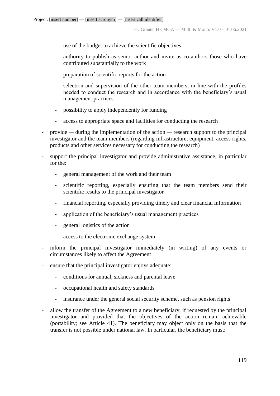- use of the budget to achieve the scientific objectives
- authority to publish as senior author and invite as co-authors those who have contributed substantially to the work
- preparation of scientific reports for the action
- selection and supervision of the other team members, in line with the profiles needed to conduct the research and in accordance with the beneficiary's usual management practices
- possibility to apply independently for funding
- access to appropriate space and facilities for conducting the research
- provide *—* during the implementation of the action *—* research support to the principal investigator and the team members (regarding infrastructure, equipment, access rights, products and other services necessary for conducting the research)
- support the principal investigator and provide administrative assistance, in particular for the:
	- general management of the work and their team
	- scientific reporting, especially ensuring that the team members send their scientific results to the principal investigator
	- financial reporting, especially providing timely and clear financial information
	- application of the beneficiary's usual management practices
	- general logistics of the action
	- access to the electronic exchange system
- inform the principal investigator immediately (in writing) of any events or circumstances likely to affect the Agreement
- ensure that the principal investigator enjoys adequate:
	- conditions for annual, sickness and parental leave
	- occupational health and safety standards
	- insurance under the general social security scheme, such as pension rights
- allow the transfer of the Agreement to a new beneficiary, if requested by the principal investigator and provided that the objectives of the action remain achievable (portability; see Article 41). The beneficiary may object only on the basis that the transfer is not possible under national law. In particular, the beneficiary must: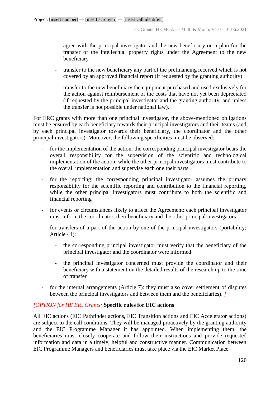- agree with the principal investigator and the new beneficiary on a plan for the transfer of the intellectual property rights under the Agreement to the new beneficiary
- transfer to the new beneficiary any part of the prefinancing received which is not covered by an approved financial report (if requested by the granting authority)
- transfer to the new beneficiary the equipment purchased and used exclusively for the action against reimbursement of the costs that have not yet been depreciated (if requested by the principal investigator and the granting authority, and unless the transfer is not possible under national law).

For ERC grants with more than one principal investigator, the above-mentioned obligations must be ensured by each beneficiary towards their principal investigators and their teams (and by each principal investigator towards their beneficiary, the coordinator and the other principal investigators). Moreover, the following specificities must be observed:

- for the implementation of the action: the corresponding principal investigator bears the overall responsibility for the supervision of the scientific and technological implementation of the action, while the other principal investigators must contribute to the overall implementation and supervise each one their parts
- for the reporting: the corresponding principal investigator assumes the primary responsibility for the scientific reporting and contribution to the financial reporting, while the other principal investigators must contribute to both the scientific and financial reporting
- for events or circumstances likely to affect the Agreement: each principal investigator must inform the coordinator, their beneficiary and the other principal investigators
- for transfers of a part of the action by one of the principal investigators (portability; Article 41):
	- the corresponding principal investigator must verify that the beneficiary of the principal investigator and the coordinator were informed
	- the principal investigator concerned must provide the coordinator and their beneficiary with a statement on the detailed results of the research up to the time of transfer
- for the internal arrangements (Article 7): they must also cover settlement of disputes between the principal investigators and between them and the beneficiaries). *]*

# *[OPTION for HE EIC Grants:* **Specific rules for EIC actions**

All EIC actions (EIC Pathfinder actions, EIC Transition actions and EIC Accelerator actions) are subject to the call conditions. They will be managed proactively by the granting authority and the EIC Programme Manager it has appointed. When implementing them, the beneficiaries must closely cooperate and follow their instructions and provide requested information and data in a timely, helpful and constructive manner. Communication between EIC Programme Managers and beneficiaries must take place via the EIC Market Place.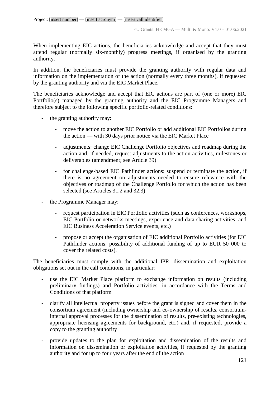When implementing EIC actions, the beneficiaries acknowledge and accept that they must attend regular (normally six-monthly) progress meetings, if organised by the granting authority.

In addition, the beneficiaries must provide the granting authority with regular data and information on the implementation of the action (normally every three months), if requested by the granting authority and via the EIC Market Place.

The beneficiaries acknowledge and accept that EIC actions are part of (one or more) EIC Portfolio(s) managed by the granting authority and the EIC Programme Managers and therefore subject to the following specific portfolio-related conditions:

- the granting authority may:
	- move the action to another EIC Portfolio or add additional EIC Portfolios during the action — with 30 days prior notice via the EIC Market Place
	- adjustments: change EIC Challenge Portfolio objectives and roadmap during the action and, if needed, request adjustments to the action activities, milestones or deliverables (amendment; see Article 39)
	- for challenge-based EIC Pathfinder actions: suspend or terminate the action, if there is no agreement on adjustments needed to ensure relevance with the objectives or roadmap of the Challenge Portfolio for which the action has been selected (see Articles 31.2 and 32.3)
- the Programme Manager may:
	- request participation in EIC Portfolio activities (such as conferences, workshops, EIC Portfolio or networks meetings, experience and data sharing activities, and EIC Business Acceleration Service events, etc.)
	- propose or accept the organisation of EIC additional Portfolio activities (for EIC Pathfinder actions: possibility of additional funding of up to EUR 50 000 to cover the related costs).

The beneficiaries must comply with the additional IPR, dissemination and exploitation obligations set out in the call conditions, in particular:

- use the EIC Market Place platform to exchange information on results (including preliminary findings) and Portfolio activities, in accordance with the Terms and Conditions of that platform
- clarify all intellectual property issues before the grant is signed and cover them in the consortium agreement (including ownership and co-ownership of results, consortiuminternal approval processes for the dissemination of results, pre-existing technologies, appropriate licensing agreements for background, etc.) and, if requested, provide a copy to the granting authority
- provide updates to the plan for exploitation and dissemination of the results and information on dissemination or exploitation activities, if requested by the granting authority and for up to four years after the end of the action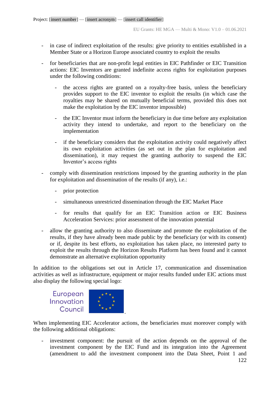- in case of indirect exploitation of the results: give priority to entities established in a Member State or a Horizon Europe associated country to exploit the results
- for beneficiaries that are non-profit legal entities in EIC Pathfinder or EIC Transition actions: EIC Inventors are granted indefinite access rights for exploitation purposes under the following conditions:
	- the access rights are granted on a royalty-free basis, unless the beneficiary provides support to the EIC inventor to exploit the results (in which case the royalties may be shared on mutually beneficial terms, provided this does not make the exploitation by the EIC inventor impossible)
	- the EIC Inventor must inform the beneficiary in due time before any exploitation activity they intend to undertake, and report to the beneficiary on the implementation
	- if the beneficiary considers that the exploitation activity could negatively affect its own exploitation activities (as set out in the plan for exploitation and dissemination), it may request the granting authority to suspend the EIC Inventor's access rights
- comply with dissemination restrictions imposed by the granting authority in the plan for exploitation and dissemination of the results (if any), i.e.:
	- prior protection
	- simultaneous unrestricted dissemination through the EIC Market Place
	- for results that qualify for an EIC Transition action or EIC Business Acceleration Services: prior assessment of the innovation potential
- allow the granting authority to also disseminate and promote the exploitation of the results, if they have already been made public by the beneficiary (or with its consent) or if, despite its best efforts, no exploitation has taken place, no interested party to exploit the results through the Horizon Results Platform has been found and it cannot demonstrate an alternative exploitation opportunity

In addition to the obligations set out in Article 17, communication and dissemination activities as well as infrastructure, equipment or major results funded under EIC actions must also display the following special logo:

European Innovation Council



When implementing EIC Accelerator actions, the beneficiaries must moreover comply with the following additional obligations:

investment component: the pursuit of the action depends on the approval of the investment component by the EIC Fund and its integration into the Agreement (amendment to add the investment component into the Data Sheet, Point 1 and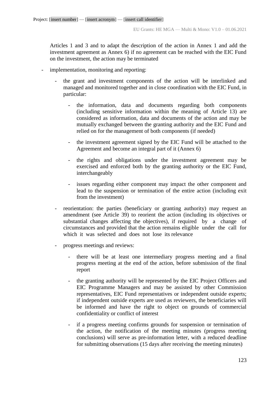Articles 1 and 3 and to adapt the description of the action in Annex 1 and add the investment agreement as Annex 6) if no agreement can be reached with the EIC Fund on the investment, the action may be terminated

- implementation, monitoring and reporting:
	- the grant and investment components of the action will be interlinked and managed and monitored together and in close coordination with the EIC Fund, in particular:
		- the information, data and documents regarding both components (including sensitive information within the meaning of Article 13) are considered as information, data and documents of the action and may be mutually exchanged between the granting authority and the EIC Fund and relied on for the management of both components (if needed)
		- the investment agreement signed by the EIC Fund will be attached to the Agreement and become an integral part of it (Annex 6)
		- the rights and obligations under the investment agreement may be exercised and enforced both by the granting authority or the EIC Fund, interchangeably
		- issues regarding either component may impact the other component and lead to the suspension or termination of the entire action (including exit from the investment)
	- reorientation: the parties (beneficiary or granting authority) may request an amendment (see Article 39) to reorient the action (including its objectives or substantial changes affecting the objectives), if required by a change of circumstances and provided that the action remains eligible under the call for which it was selected and does not lose its relevance
	- progress meetings and reviews:
		- there will be at least one intermediary progress meeting and a final progress meeting at the end of the action, before submission of the final report
		- the granting authority will be represented by the EIC Project Officers and EIC Programme Managers and may be assisted by other Commission representatives, EIC Fund representatives or independent outside experts; if independent outside experts are used as reviewers, the beneficiaries will be informed and have the right to object on grounds of commercial confidentiality or conflict of interest
		- if a progress meeting confirms grounds for suspension or termination of the action, the notification of the meeting minutes (progress meeting conclusions) will serve as pre-information letter, with a reduced deadline for submitting observations (15 days after receiving the meeting minutes)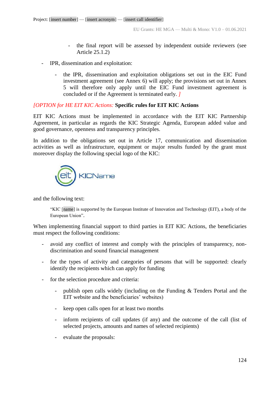- the final report will be assessed by independent outside reviewers (see Article 25.1.2)
- IPR, dissemination and exploitation:
	- the IPR, dissemination and exploitation obligations set out in the EIC Fund investment agreement (see Annex 6) will apply; the provisions set out in Annex 5 will therefore only apply until the EIC Fund investment agreement is concluded or if the Agreement is terminated early. *]*

### *[OPTION for HE EIT KIC Actions:* **Specific rules for EIT KIC Actions**

EIT KIC Actions must be implemented in accordance with the EIT KIC Partnership Agreement, in particular as regards the KIC Strategic Agenda, European added value and good governance, openness and transparency principles.

In addition to the obligations set out in Article 17, communication and dissemination activities as well as infrastructure, equipment or major results funded by the grant must moreover display the following special logo of the KIC:



and the following text:

"KIC [name] is supported by the European Institute of Innovation and Technology (EIT), a body of the European Union".

When implementing financial support to third parties in EIT KIC Actions, the beneficiaries must respect the following conditions:

- avoid any conflict of interest and comply with the principles of transparency, nondiscrimination and sound financial management
- for the types of activity and categories of persons that will be supported: clearly identify the recipients which can apply for funding
- for the selection procedure and criteria:
	- publish open calls widely (including on the Funding  $&$  Tenders Portal and the EIT website and the beneficiaries' websites)
	- keep open calls open for at least two months
	- inform recipients of call updates (if any) and the outcome of the call (list of selected projects, amounts and names of selected recipients)
	- evaluate the proposals: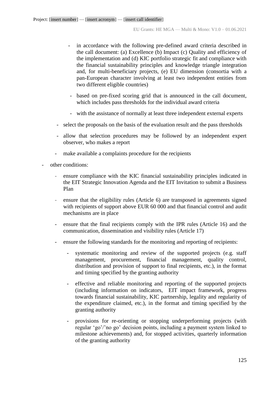- in accordance with the following pre-defined award criteria described in the call document: (a) Excellence (b) Impact (c) Quality and efficiency of the implementation and (d) KIC portfolio strategic fit and compliance with the financial sustainability principles and knowledge triangle integration and, for multi-beneficiary projects, (e) EU dimension (consortia with a pan-European character involving at least two independent entities from two different eligible countries)
- based on pre-fixed scoring grid that is announced in the call document, which includes pass thresholds for the individual award criteria
- with the assistance of normally at least three independent external experts
- select the proposals on the basis of the evaluation result and the pass thresholds
- allow that selection procedures may be followed by an independent expert observer, who makes a report
- make available a complaints procedure for the recipients
- other conditions:
	- ensure compliance with the KIC financial sustainability principles indicated in the EIT Strategic Innovation Agenda and the EIT Invitation to submit a Business Plan
	- ensure that the eligibility rules (Article 6) are transposed in agreements signed with recipients of support above EUR 60 000 and that financial control and audit mechanisms are in place
	- ensure that the final recipients comply with the IPR rules (Article 16) and the communication, dissemination and visibility rules (Article 17)
	- ensure the following standards for the monitoring and reporting of recipients:
		- systematic monitoring and review of the supported projects (e.g. staff management, procurement, financial management, quality control, distribution and provision of support to final recipients, etc.), in the format and timing specified by the granting authority
		- effective and reliable monitoring and reporting of the supported projects (including information on indicators, EIT impact framework, progress towards financial sustainability, KIC partnership, legality and regularity of the expenditure claimed, etc.), in the format and timing specified by the granting authority
		- provisions for re-orienting or stopping underperforming projects (with regular 'go'/'no go' decision points, including a payment system linked to milestone achievements) and, for stopped activities, quarterly information of the granting authority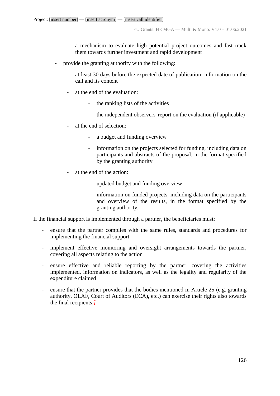- a mechanism to evaluate high potential project outcomes and fast track them towards further investment and rapid development
- provide the granting authority with the following:
	- at least 30 days before the expected date of publication: information on the call and its content
	- at the end of the evaluation:
		- the ranking lists of the activities
		- the independent observers' report on the evaluation (if applicable)
	- at the end of selection:
		- a budget and funding overview
		- information on the projects selected for funding, including data on participants and abstracts of the proposal, in the format specified by the granting authority
	- at the end of the action:
		- updated budget and funding overview
		- information on funded projects, including data on the participants and overview of the results, in the format specified by the granting authority.

If the financial support is implemented through a partner, the beneficiaries must:

- ensure that the partner complies with the same rules, standards and procedures for implementing the financial support
- implement effective monitoring and oversight arrangements towards the partner, covering all aspects relating to the action
- ensure effective and reliable reporting by the partner, covering the activities implemented, information on indicators, as well as the legality and regularity of the expenditure claimed
- ensure that the partner provides that the bodies mentioned in Article 25 (e.g. granting authority, OLAF, Court of Auditors (ECA), etc.) can exercise their rights also towards the final recipients.*]*